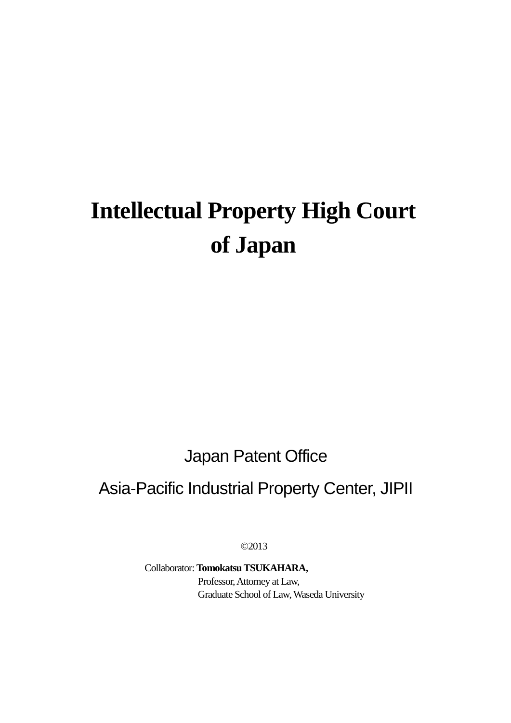# **Intellectual Property High Court of Japan**

Japan Patent Office

# Asia-Pacific Industrial Property Center, JIPII

©2013

Collaborator: **TomokatsuTSUKAHARA,**  Professor, Attorney at Law, Graduate School of Law, Waseda University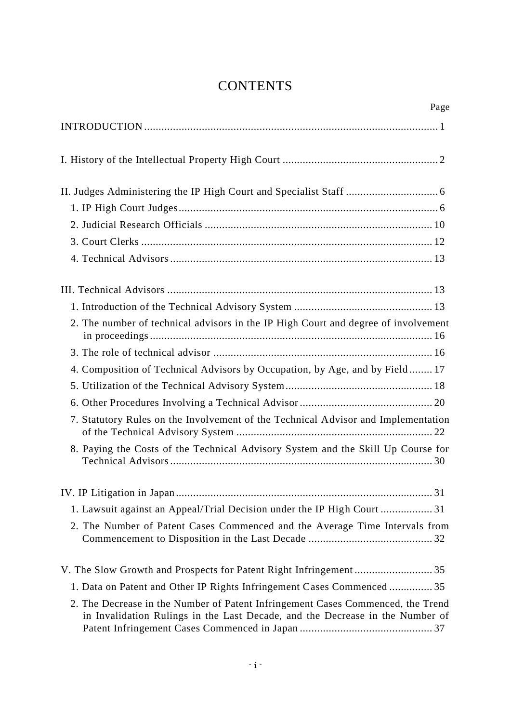## **CONTENTS**

| Page                                                                                                                                                             |
|------------------------------------------------------------------------------------------------------------------------------------------------------------------|
|                                                                                                                                                                  |
|                                                                                                                                                                  |
|                                                                                                                                                                  |
|                                                                                                                                                                  |
|                                                                                                                                                                  |
|                                                                                                                                                                  |
|                                                                                                                                                                  |
|                                                                                                                                                                  |
|                                                                                                                                                                  |
| 2. The number of technical advisors in the IP High Court and degree of involvement                                                                               |
|                                                                                                                                                                  |
| 4. Composition of Technical Advisors by Occupation, by Age, and by Field 17                                                                                      |
|                                                                                                                                                                  |
|                                                                                                                                                                  |
| 7. Statutory Rules on the Involvement of the Technical Advisor and Implementation                                                                                |
| 8. Paying the Costs of the Technical Advisory System and the Skill Up Course for                                                                                 |
|                                                                                                                                                                  |
| 1. Lawsuit against an Appeal/Trial Decision under the IP High Court  31                                                                                          |
| 2. The Number of Patent Cases Commenced and the Average Time Intervals from                                                                                      |
|                                                                                                                                                                  |
| 1. Data on Patent and Other IP Rights Infringement Cases Commenced  35                                                                                           |
| 2. The Decrease in the Number of Patent Infringement Cases Commenced, the Trend<br>in Invalidation Rulings in the Last Decade, and the Decrease in the Number of |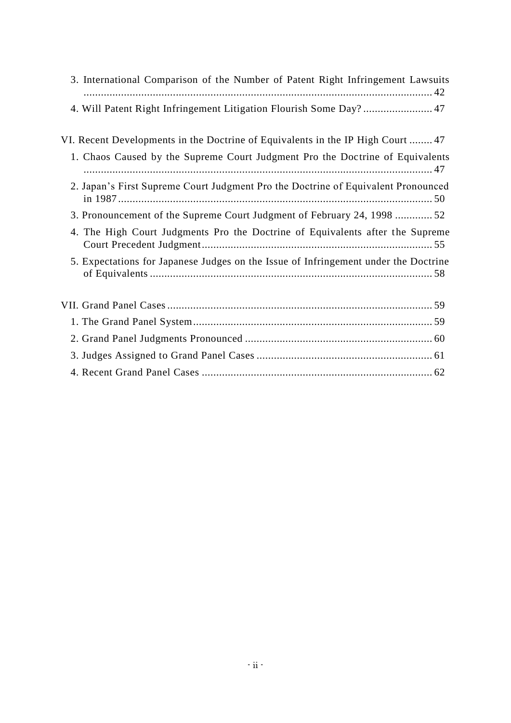| 3. International Comparison of the Number of Patent Right Infringement Lawsuits     |
|-------------------------------------------------------------------------------------|
| 4. Will Patent Right Infringement Litigation Flourish Some Day?47                   |
| VI. Recent Developments in the Doctrine of Equivalents in the IP High Court  47     |
| 1. Chaos Caused by the Supreme Court Judgment Pro the Doctrine of Equivalents       |
| 2. Japan's First Supreme Court Judgment Pro the Doctrine of Equivalent Pronounced   |
| 3. Pronouncement of the Supreme Court Judgment of February 24, 1998 52              |
| 4. The High Court Judgments Pro the Doctrine of Equivalents after the Supreme       |
| 5. Expectations for Japanese Judges on the Issue of Infringement under the Doctrine |
|                                                                                     |
|                                                                                     |
|                                                                                     |
|                                                                                     |
|                                                                                     |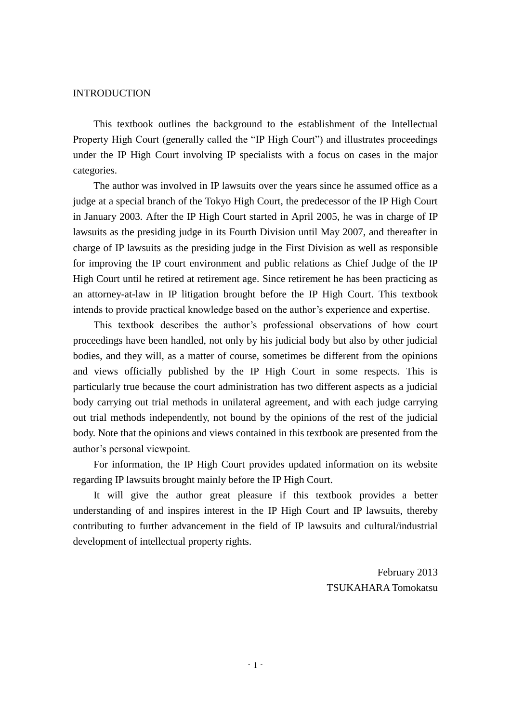#### INTRODUCTION

This textbook outlines the background to the establishment of the Intellectual Property High Court (generally called the "IP High Court") and illustrates proceedings under the IP High Court involving IP specialists with a focus on cases in the major categories.

The author was involved in IP lawsuits over the years since he assumed office as a judge at a special branch of the Tokyo High Court, the predecessor of the IP High Court in January 2003. After the IP High Court started in April 2005, he was in charge of IP lawsuits as the presiding judge in its Fourth Division until May 2007, and thereafter in charge of IP lawsuits as the presiding judge in the First Division as well as responsible for improving the IP court environment and public relations as Chief Judge of the IP High Court until he retired at retirement age. Since retirement he has been practicing as an attorney-at-law in IP litigation brought before the IP High Court. This textbook intends to provide practical knowledge based on the author's experience and expertise.

This textbook describes the author's professional observations of how court proceedings have been handled, not only by his judicial body but also by other judicial bodies, and they will, as a matter of course, sometimes be different from the opinions and views officially published by the IP High Court in some respects. This is particularly true because the court administration has two different aspects as a judicial body carrying out trial methods in unilateral agreement, and with each judge carrying out trial methods independently, not bound by the opinions of the rest of the judicial body. Note that the opinions and views contained in this textbook are presented from the author's personal viewpoint.

For information, the IP High Court provides updated information on its website regarding IP lawsuits brought mainly before the IP High Court.

It will give the author great pleasure if this textbook provides a better understanding of and inspires interest in the IP High Court and IP lawsuits, thereby contributing to further advancement in the field of IP lawsuits and cultural/industrial development of intellectual property rights.

> February 2013 TSUKAHARA Tomokatsu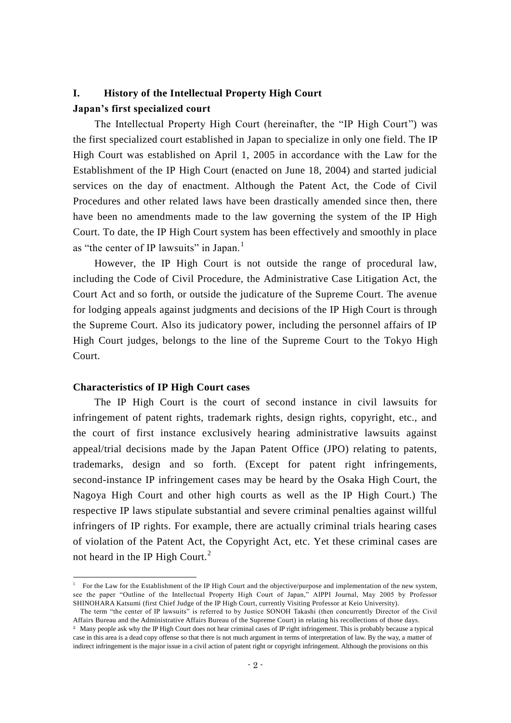## **I. History of the Intellectual Property High Court Japan's first specialized court**

The Intellectual Property High Court (hereinafter, the "IP High Court") was the first specialized court established in Japan to specialize in only one field. The IP High Court was established on April 1, 2005 in accordance with the Law for the Establishment of the IP High Court (enacted on June 18, 2004) and started judicial services on the day of enactment. Although the Patent Act, the Code of Civil Procedures and other related laws have been drastically amended since then, there have been no amendments made to the law governing the system of the IP High Court. To date, the IP High Court system has been effectively and smoothly in place as "the center of IP lawsuits" in Japan.<sup>1</sup>

However, the IP High Court is not outside the range of procedural law, including the Code of Civil Procedure, the Administrative Case Litigation Act, the Court Act and so forth, or outside the judicature of the Supreme Court. The avenue for lodging appeals against judgments and decisions of the IP High Court is through the Supreme Court. Also its judicatory power, including the personnel affairs of IP High Court judges, belongs to the line of the Supreme Court to the Tokyo High Court.

#### **Characteristics of IP High Court cases**

-

The IP High Court is the court of second instance in civil lawsuits for infringement of patent rights, trademark rights, design rights, copyright, etc., and the court of first instance exclusively hearing administrative lawsuits against appeal/trial decisions made by the Japan Patent Office (JPO) relating to patents, trademarks, design and so forth. (Except for patent right infringements, second-instance IP infringement cases may be heard by the Osaka High Court, the Nagoya High Court and other high courts as well as the IP High Court.) The respective IP laws stipulate substantial and severe criminal penalties against willful infringers of IP rights. For example, there are actually criminal trials hearing cases of violation of the Patent Act, the Copyright Act, etc. Yet these criminal cases are not heard in the IP High Court.<sup>2</sup>

<sup>&</sup>lt;sup>1</sup> For the Law for the Establishment of the IP High Court and the objective/purpose and implementation of the new system, see the paper "Outline of the Intellectual Property High Court of Japan," AIPPI Journal, May 2005 by Professor SHINOHARA Katsumi (first Chief Judge of the IP High Court, currently Visiting Professor at Keio University).

The term "the center of IP lawsuits" is referred to by Justice SONOH Takashi (then concurrently Director of the Civil Affairs Bureau and the Administrative Affairs Bureau of the Supreme Court) in relating his recollections of those days.

<sup>&</sup>lt;sup>2</sup> Many people ask why the IP High Court does not hear criminal cases of IP right infringement. This is probably because a typical case in this area is a dead copy offense so that there is not much argument in terms of interpretation of law. By the way, a matter of indirect infringement is the major issue in a civil action of patent right or copyright infringement. Although the provisions on this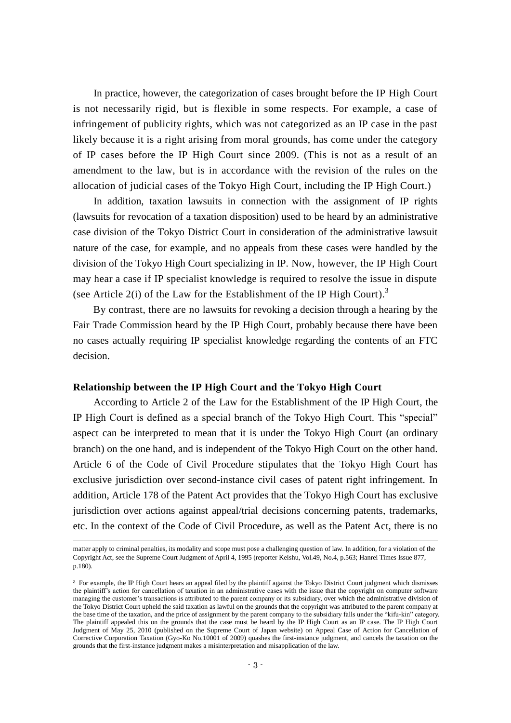In practice, however, the categorization of cases brought before the IP High Court is not necessarily rigid, but is flexible in some respects. For example, a case of infringement of publicity rights, which was not categorized as an IP case in the past likely because it is a right arising from moral grounds, has come under the category of IP cases before the IP High Court since 2009. (This is not as a result of an amendment to the law, but is in accordance with the revision of the rules on the allocation of judicial cases of the Tokyo High Court, including the IP High Court.)

In addition, taxation lawsuits in connection with the assignment of IP rights (lawsuits for revocation of a taxation disposition) used to be heard by an administrative case division of the Tokyo District Court in consideration of the administrative lawsuit nature of the case, for example, and no appeals from these cases were handled by the division of the Tokyo High Court specializing in IP. Now, however, the IP High Court may hear a case if IP specialist knowledge is required to resolve the issue in dispute (see Article 2(i) of the Law for the Establishment of the IP High Court).<sup>3</sup>

By contrast, there are no lawsuits for revoking a decision through a hearing by the Fair Trade Commission heard by the IP High Court, probably because there have been no cases actually requiring IP specialist knowledge regarding the contents of an FTC decision.

#### **Relationship between the IP High Court and the Tokyo High Court**

 $\overline{a}$ 

According to Article 2 of the Law for the Establishment of the IP High Court, the IP High Court is defined as a special branch of the Tokyo High Court. This "special" aspect can be interpreted to mean that it is under the Tokyo High Court (an ordinary branch) on the one hand, and is independent of the Tokyo High Court on the other hand. Article 6 of the Code of Civil Procedure stipulates that the Tokyo High Court has exclusive jurisdiction over second-instance civil cases of patent right infringement. In addition, Article 178 of the Patent Act provides that the Tokyo High Court has exclusive jurisdiction over actions against appeal/trial decisions concerning patents, trademarks, etc. In the context of the Code of Civil Procedure, as well as the Patent Act, there is no

matter apply to criminal penalties, its modality and scope must pose a challenging question of law. In addition, for a violation of the Copyright Act, see the Supreme Court Judgment of April 4, 1995 (reporter Keishu, Vol.49, No.4, p.563; Hanrei Times Issue 877, p.180).

<sup>3</sup> For example, the IP High Court hears an appeal filed by the plaintiff against the Tokyo District Court judgment which dismisses the plaintiff's action for cancellation of taxation in an administrative cases with the issue that the copyright on computer software managing the customer's transactions is attributed to the parent company or its subsidiary, over which the administrative division of the Tokyo District Court upheld the said taxation as lawful on the grounds that the copyright was attributed to the parent company at the base time of the taxation, and the price of assignment by the parent company to the subsidiary falls under the "kifu-kin" category. The plaintiff appealed this on the grounds that the case must be heard by the IP High Court as an IP case. The IP High Court Judgment of May 25, 2010 (published on the Supreme Court of Japan website) on Appeal Case of Action for Cancellation of Corrective Corporation Taxation (Gyo-Ko No.10001 of 2009) quashes the first-instance judgment, and cancels the taxation on the grounds that the first-instance judgment makes a misinterpretation and misapplication of the law.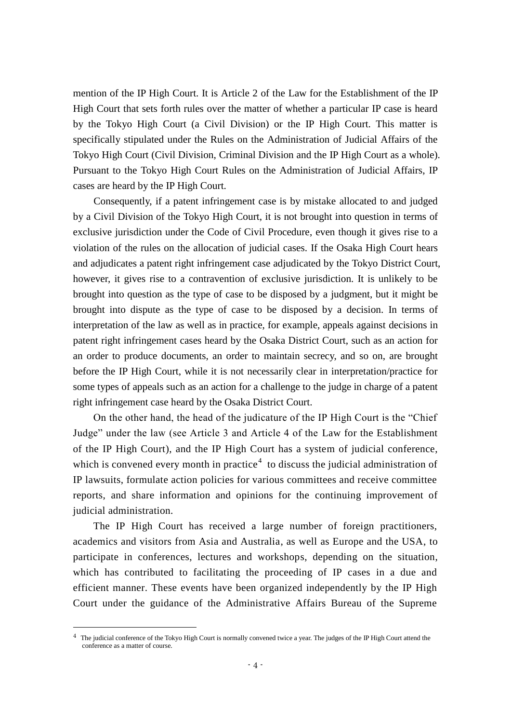mention of the IP High Court. It is Article 2 of the Law for the Establishment of the IP High Court that sets forth rules over the matter of whether a particular IP case is heard by the Tokyo High Court (a Civil Division) or the IP High Court. This matter is specifically stipulated under the Rules on the Administration of Judicial Affairs of the Tokyo High Court (Civil Division, Criminal Division and the IP High Court as a whole). Pursuant to the Tokyo High Court Rules on the Administration of Judicial Affairs, IP cases are heard by the IP High Court.

Consequently, if a patent infringement case is by mistake allocated to and judged by a Civil Division of the Tokyo High Court, it is not brought into question in terms of exclusive jurisdiction under the Code of Civil Procedure, even though it gives rise to a violation of the rules on the allocation of judicial cases. If the Osaka High Court hears and adjudicates a patent right infringement case adjudicated by the Tokyo District Court, however, it gives rise to a contravention of exclusive jurisdiction. It is unlikely to be brought into question as the type of case to be disposed by a judgment, but it might be brought into dispute as the type of case to be disposed by a decision. In terms of interpretation of the law as well as in practice, for example, appeals against decisions in patent right infringement cases heard by the Osaka District Court, such as an action for an order to produce documents, an order to maintain secrecy, and so on, are brought before the IP High Court, while it is not necessarily clear in interpretation/practice for some types of appeals such as an action for a challenge to the judge in charge of a patent right infringement case heard by the Osaka District Court.

On the other hand, the head of the judicature of the IP High Court is the "Chief Judge" under the law (see Article 3 and Article 4 of the Law for the Establishment of the IP High Court), and the IP High Court has a system of judicial conference, which is convened every month in practice<sup>4</sup> to discuss the judicial administration of IP lawsuits, formulate action policies for various committees and receive committee reports, and share information and opinions for the continuing improvement of judicial administration.

The IP High Court has received a large number of foreign practitioners, academics and visitors from Asia and Australia, as well as Europe and the USA, to participate in conferences, lectures and workshops, depending on the situation, which has contributed to facilitating the proceeding of IP cases in a due and efficient manner. These events have been organized independently by the IP High Court under the guidance of the Administrative Affairs Bureau of the Supreme

-

<sup>4</sup> The judicial conference of the Tokyo High Court is normally convened twice a year. The judges of the IP High Court attend the conference as a matter of course.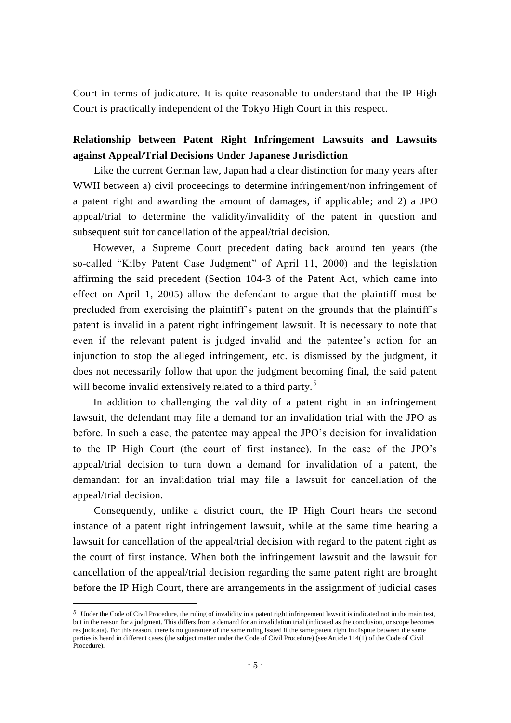Court in terms of judicature. It is quite reasonable to understand that the IP High Court is practically independent of the Tokyo High Court in this respect.

## **Relationship between Patent Right Infringement Lawsuits and Lawsuits against Appeal/Trial Decisions Under Japanese Jurisdiction**

Like the current German law, Japan had a clear distinction for many years after WWII between a) civil proceedings to determine infringement/non infringement of a patent right and awarding the amount of damages, if applicable; and 2) a JPO appeal/trial to determine the validity/invalidity of the patent in question and subsequent suit for cancellation of the appeal/trial decision.

However, a Supreme Court precedent dating back around ten years (the so-called "Kilby Patent Case Judgment" of April 11, 2000) and the legislation affirming the said precedent (Section 104-3 of the Patent Act, which came into effect on April 1, 2005) allow the defendant to argue that the plaintiff must be precluded from exercising the plaintiff's patent on the grounds that the plaintiff's patent is invalid in a patent right infringement lawsuit. It is necessary to note that even if the relevant patent is judged invalid and the patentee's action for an injunction to stop the alleged infringement, etc. is dismissed by the judgment, it does not necessarily follow that upon the judgment becoming final, the said patent will become invalid extensively related to a third party.<sup>5</sup>

In addition to challenging the validity of a patent right in an infringement lawsuit, the defendant may file a demand for an invalidation trial with the JPO as before. In such a case, the patentee may appeal the JPO's decision for invalidation to the IP High Court (the court of first instance). In the case of the JPO's appeal/trial decision to turn down a demand for invalidation of a patent, the demandant for an invalidation trial may file a lawsuit for cancellation of the appeal/trial decision.

Consequently, unlike a district court, the IP High Court hears the second instance of a patent right infringement lawsuit, while at the same time hearing a lawsuit for cancellation of the appeal/trial decision with regard to the patent right as the court of first instance. When both the infringement lawsuit and the lawsuit for cancellation of the appeal/trial decision regarding the same patent right are brought before the IP High Court, there are arrangements in the assignment of judicial cases

 $\overline{a}$ 

 $5$  Under the Code of Civil Procedure, the ruling of invalidity in a patent right infringement lawsuit is indicated not in the main text, but in the reason for a judgment. This differs from a demand for an invalidation trial (indicated as the conclusion, or scope becomes res judicata). For this reason, there is no guarantee of the same ruling issued if the same patent right in dispute between the same parties is heard in different cases (the subject matter under the Code of Civil Procedure) (see Article 114(1) of the Code of Civil Procedure).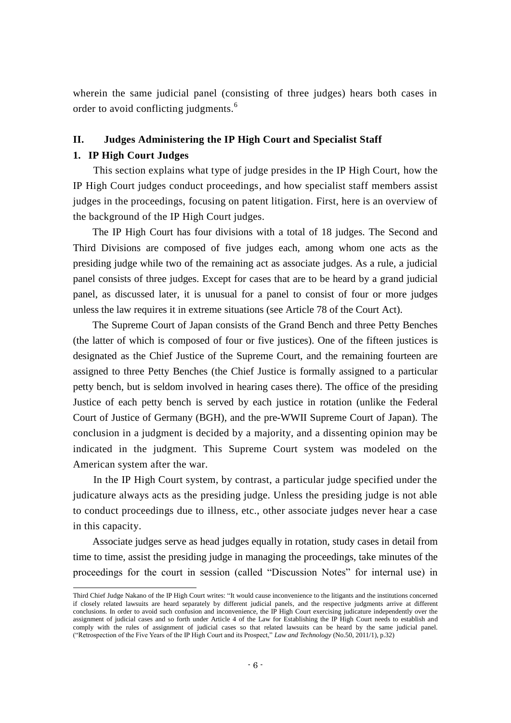wherein the same judicial panel (consisting of three judges) hears both cases in order to avoid conflicting judgments.<sup>6</sup>

#### **II. Judges Administering the IP High Court and Specialist Staff**

#### **1. IP High Court Judges**

 $\overline{a}$ 

This section explains what type of judge presides in the IP High Court, how the IP High Court judges conduct proceedings, and how specialist staff members assist judges in the proceedings, focusing on patent litigation. First, here is an overview of the background of the IP High Court judges.

The IP High Court has four divisions with a total of 18 judges. The Second and Third Divisions are composed of five judges each, among whom one acts as the presiding judge while two of the remaining act as associate judges. As a rule, a judicial panel consists of three judges. Except for cases that are to be heard by a grand judicial panel, as discussed later, it is unusual for a panel to consist of four or more judges unless the law requires it in extreme situations (see Article 78 of the Court Act).

The Supreme Court of Japan consists of the Grand Bench and three Petty Benches (the latter of which is composed of four or five justices). One of the fifteen justices is designated as the Chief Justice of the Supreme Court, and the remaining fourteen are assigned to three Petty Benches (the Chief Justice is formally assigned to a particular petty bench, but is seldom involved in hearing cases there). The office of the presiding Justice of each petty bench is served by each justice in rotation (unlike the Federal Court of Justice of Germany (BGH), and the pre-WWII Supreme Court of Japan). The conclusion in a judgment is decided by a majority, and a dissenting opinion may be indicated in the judgment. This Supreme Court system was modeled on the American system after the war.

In the IP High Court system, by contrast, a particular judge specified under the judicature always acts as the presiding judge. Unless the presiding judge is not able to conduct proceedings due to illness, etc., other associate judges never hear a case in this capacity.

Associate judges serve as head judges equally in rotation, study cases in detail from time to time, assist the presiding judge in managing the proceedings, take minutes of the proceedings for the court in session (called "Discussion Notes" for internal use) in

Third Chief Judge Nakano of the IP High Court writes: "It would cause inconvenience to the litigants and the institutions concerned if closely related lawsuits are heard separately by different judicial panels, and the respective judgments arrive at different conclusions. In order to avoid such confusion and inconvenience, the IP High Court exercising judicature independently over the assignment of judicial cases and so forth under Article 4 of the Law for Establishing the IP High Court needs to establish and comply with the rules of assignment of judicial cases so that related lawsuits can be heard by the same judicial panel. ("Retrospection of the Five Years of the IP High Court and its Prospect," *Law and Technology* (No.50, 2011/1), p.32)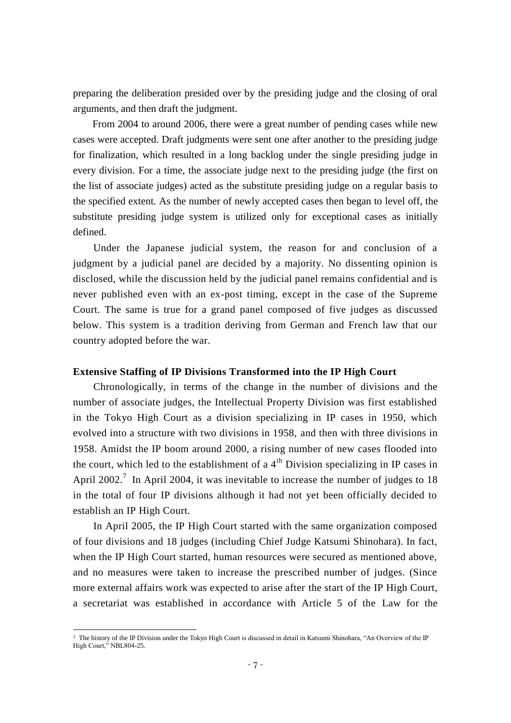preparing the deliberation presided over by the presiding judge and the closing of oral arguments, and then draft the judgment.

From 2004 to around 2006, there were a great number of pending cases while new cases were accepted. Draft judgments were sent one after another to the presiding judge for finalization, which resulted in a long backlog under the single presiding judge in every division. For a time, the associate judge next to the presiding judge (the first on the list of associate judges) acted as the substitute presiding judge on a regular basis to the specified extent. As the number of newly accepted cases then began to level off, the substitute presiding judge system is utilized only for exceptional cases as initially defined.

Under the Japanese judicial system, the reason for and conclusion of a judgment by a judicial panel are decided by a majority. No dissenting opinion is disclosed, while the discussion held by the judicial panel remains confidential and is never published even with an ex-post timing, except in the case of the Supreme Court. The same is true for a grand panel composed of five judges as discussed below. This system is a tradition deriving from German and French law that our country adopted before the war.

#### **Extensive Staffing of IP Divisions Transformed into the IP High Court**

Chronologically, in terms of the change in the number of divisions and the number of associate judges, the Intellectual Property Division was first established in the Tokyo High Court as a division specializing in IP cases in 1950, which evolved into a structure with two divisions in 1958, and then with three divisions in 1958. Amidst the IP boom around 2000, a rising number of new cases flooded into the court, which led to the establishment of a  $4<sup>th</sup>$  Division specializing in IP cases in April 2002.<sup>7</sup> In April 2004, it was inevitable to increase the number of judges to 18 in the total of four IP divisions although it had not yet been officially decided to establish an IP High Court.

In April 2005, the IP High Court started with the same organization composed of four divisions and 18 judges (including Chief Judge Katsumi Shinohara). In fact, when the IP High Court started, human resources were secured as mentioned above, and no measures were taken to increase the prescribed number of judges. (Since more external affairs work was expected to arise after the start of the IP High Court, a secretariat was established in accordance with Article 5 of the Law for the

-

<sup>7</sup> The history of the IP Division under the Tokyo High Court is discussed in detail in Katsumi Shinohara, "An Overview of the IP High Court," NBL804-25.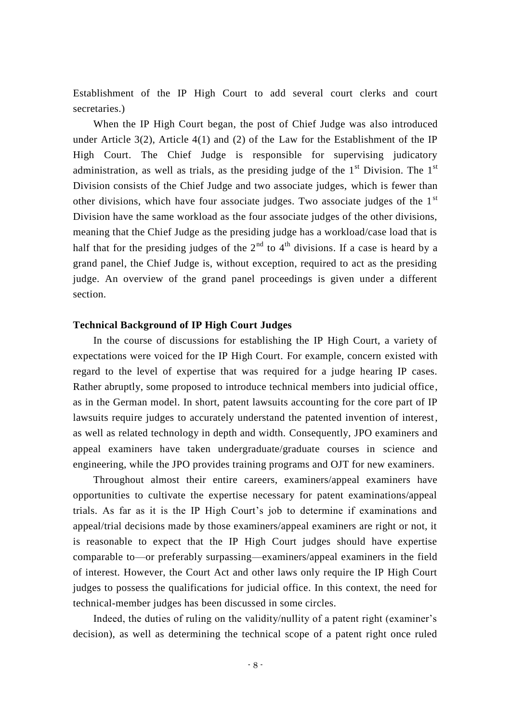Establishment of the IP High Court to add several court clerks and court secretaries.)

When the IP High Court began, the post of Chief Judge was also introduced under Article  $3(2)$ , Article  $4(1)$  and  $(2)$  of the Law for the Establishment of the IP High Court. The Chief Judge is responsible for supervising judicatory administration, as well as trials, as the presiding judge of the  $1<sup>st</sup>$  Division. The  $1<sup>st</sup>$ Division consists of the Chief Judge and two associate judges, which is fewer than other divisions, which have four associate judges. Two associate judges of the  $1<sup>st</sup>$ Division have the same workload as the four associate judges of the other divisions, meaning that the Chief Judge as the presiding judge has a workload/case load that is half that for the presiding judges of the  $2<sup>nd</sup>$  to  $4<sup>th</sup>$  divisions. If a case is heard by a grand panel, the Chief Judge is, without exception, required to act as the presiding judge. An overview of the grand panel proceedings is given under a different section.

#### **Technical Background of IP High Court Judges**

In the course of discussions for establishing the IP High Court, a variety of expectations were voiced for the IP High Court. For example, concern existed with regard to the level of expertise that was required for a judge hearing IP cases. Rather abruptly, some proposed to introduce technical members into judicial office, as in the German model. In short, patent lawsuits accounting for the core part of IP lawsuits require judges to accurately understand the patented invention of interest, as well as related technology in depth and width. Consequently, JPO examiners and appeal examiners have taken undergraduate/graduate courses in science and engineering, while the JPO provides training programs and OJT for new examiners.

Throughout almost their entire careers, examiners/appeal examiners have opportunities to cultivate the expertise necessary for patent examinations/appeal trials. As far as it is the IP High Court's job to determine if examinations and appeal/trial decisions made by those examiners/appeal examiners are right or not, it is reasonable to expect that the IP High Court judges should have expertise comparable to—or preferably surpassing—examiners/appeal examiners in the field of interest. However, the Court Act and other laws only require the IP High Court judges to possess the qualifications for judicial office. In this context, the need for technical-member judges has been discussed in some circles.

Indeed, the duties of ruling on the validity/nullity of a patent right (examiner's decision), as well as determining the technical scope of a patent right once ruled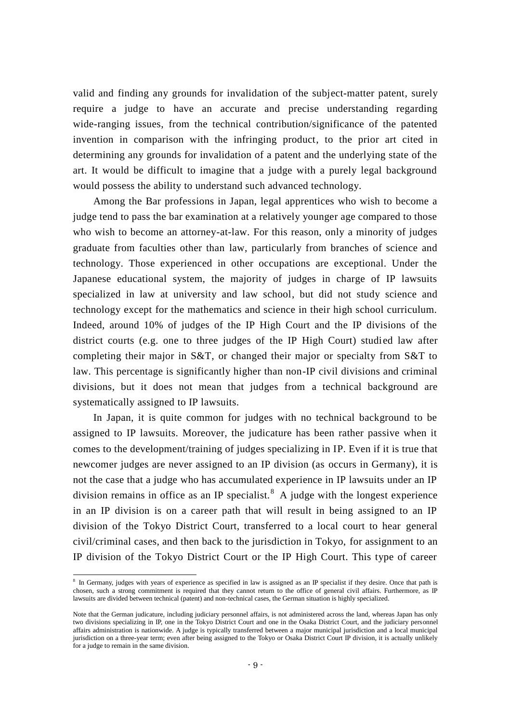valid and finding any grounds for invalidation of the subject-matter patent, surely require a judge to have an accurate and precise understanding regarding wide-ranging issues, from the technical contribution/significance of the patented invention in comparison with the infringing product, to the prior art cited in determining any grounds for invalidation of a patent and the underlying state of the art. It would be difficult to imagine that a judge with a purely legal background would possess the ability to understand such advanced technology.

Among the Bar professions in Japan, legal apprentices who wish to become a judge tend to pass the bar examination at a relatively younger age compared to those who wish to become an attorney-at-law. For this reason, only a minority of judges graduate from faculties other than law, particularly from branches of science and technology. Those experienced in other occupations are exceptional. Under the Japanese educational system, the majority of judges in charge of IP lawsuits specialized in law at university and law school, but did not study science and technology except for the mathematics and science in their high school curriculum. Indeed, around 10% of judges of the IP High Court and the IP divisions of the district courts (e.g. one to three judges of the IP High Court) studied law after completing their major in S&T, or changed their major or specialty from S&T to law. This percentage is significantly higher than non-IP civil divisions and criminal divisions, but it does not mean that judges from a technical background are systematically assigned to IP lawsuits.

In Japan, it is quite common for judges with no technical background to be assigned to IP lawsuits. Moreover, the judicature has been rather passive when it comes to the development/training of judges specializing in IP. Even if it is true that newcomer judges are never assigned to an IP division (as occurs in Germany), it is not the case that a judge who has accumulated experience in IP lawsuits under an IP division remains in office as an IP specialist.<sup>8</sup> A judge with the longest experience in an IP division is on a career path that will result in being assigned to an IP division of the Tokyo District Court, transferred to a local court to hear general civil/criminal cases, and then back to the jurisdiction in Tokyo, for assignment to an IP division of the Tokyo District Court or the IP High Court. This type of career

**EXECUTE:**<br><sup>8</sup> In Germany, judges with years of experience as specified in law is assigned as an IP specialist if they desire. Once that path is chosen, such a strong commitment is required that they cannot return to the office of general civil affairs. Furthermore, as IP lawsuits are divided between technical (patent) and non-technical cases, the German situation is highly specialized.

Note that the German judicature, including judiciary personnel affairs, is not administered across the land, whereas Japan has only two divisions specializing in IP, one in the Tokyo District Court and one in the Osaka District Court, and the judiciary personnel affairs administration is nationwide. A judge is typically transferred between a major municipal jurisdiction and a local municipal jurisdiction on a three-year term; even after being assigned to the Tokyo or Osaka District Court IP division, it is actually unlikely for a judge to remain in the same division.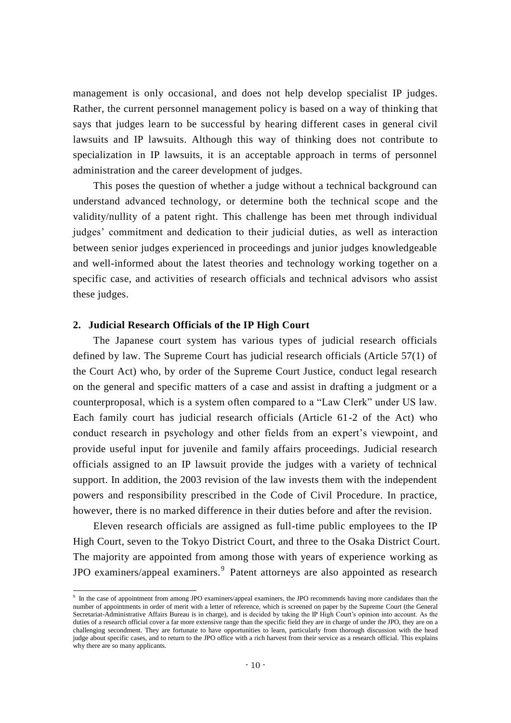management is only occasional, and does not help develop specialist IP judges. Rather, the current personnel management policy is based on a way of thinking that says that judges learn to be successful by hearing different cases in general civil lawsuits and IP lawsuits. Although this way of thinking does not contribute to specialization in IP lawsuits, it is an acceptable approach in terms of personnel administration and the career development of judges.

This poses the question of whether a judge without a technical background can understand advanced technology, or determine both the technical scope and the validity/nullity of a patent right. This challenge has been met through individual judges' commitment and dedication to their judicial duties, as well as interaction between senior judges experienced in proceedings and junior judges knowledgeable and well-informed about the latest theories and technology working together on a specific case, and activities of research officials and technical advisors who assist these judges.

#### **2. Judicial Research Officials of the IP High Court**

 $\overline{\phantom{a}}$ 

The Japanese court system has various types of judicial research officials defined by law. The Supreme Court has judicial research officials (Article 57(1) of the Court Act) who, by order of the Supreme Court Justice, conduct legal research on the general and specific matters of a case and assist in drafting a judgment or a counterproposal, which is a system often compared to a "Law Clerk" under US law. Each family court has judicial research officials (Article 61-2 of the Act) who conduct research in psychology and other fields from an expert's viewpoint, and provide useful input for juvenile and family affairs proceedings. Judicial research officials assigned to an IP lawsuit provide the judges with a variety of technical support. In addition, the 2003 revision of the law invests them with the independent powers and responsibility prescribed in the Code of Civil Procedure. In practice, however, there is no marked difference in their duties before and after the revision.

Eleven research officials are assigned as full-time public employees to the IP High Court, seven to the Tokyo District Court, and three to the Osaka District Court. The majority are appointed from among those with years of experience working as JPO examiners/appeal examiners.<sup>9</sup> Patent attorneys are also appointed as research

<sup>&</sup>lt;sup>9</sup> In the case of appointment from among JPO examiners/appeal examiners, the JPO recommends having more candidates than the number of appointments in order of merit with a letter of reference, which is screened on paper by the Supreme Court (the General Secretariat-Administrative Affairs Bureau is in charge), and is decided by taking the IP High Court's opinion into account. As the duties of a research official cover a far more extensive range than the specific field they are in charge of under the JPO, they are on a challenging secondment. They are fortunate to have opportunities to learn, particularly from thorough discussion with the head judge about specific cases, and to return to the JPO office with a rich harvest from their service as a research official. This explains why there are so many applicants.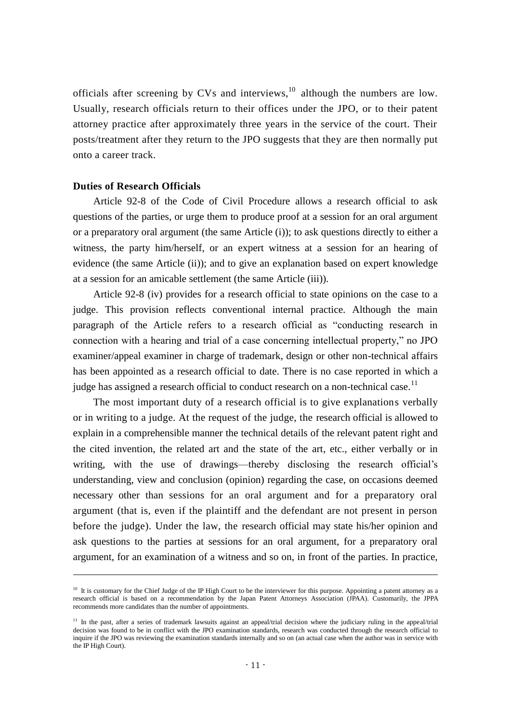officials after screening by CVs and interviews,  $10$  although the numbers are low. Usually, research officials return to their offices under the JPO, or to their patent attorney practice after approximately three years in the service of the court. Their posts/treatment after they return to the JPO suggests that they are then normally put onto a career track.

#### **Duties of Research Officials**

 $\overline{a}$ 

Article 92-8 of the Code of Civil Procedure allows a research official to ask questions of the parties, or urge them to produce proof at a session for an oral argument or a preparatory oral argument (the same Article (i)); to ask questions directly to either a witness, the party him/herself, or an expert witness at a session for an hearing of evidence (the same Article (ii)); and to give an explanation based on expert knowledge at a session for an amicable settlement (the same Article (iii)).

Article 92-8 (iv) provides for a research official to state opinions on the case to a judge. This provision reflects conventional internal practice. Although the main paragraph of the Article refers to a research official as "conducting research in connection with a hearing and trial of a case concerning intellectual property," no JPO examiner/appeal examiner in charge of trademark, design or other non-technical affairs has been appointed as a research official to date. There is no case reported in which a judge has assigned a research official to conduct research on a non-technical case.<sup>11</sup>

The most important duty of a research official is to give explanations verbally or in writing to a judge. At the request of the judge, the research official is allowed to explain in a comprehensible manner the technical details of the relevant patent right and the cited invention, the related art and the state of the art, etc., either verbally or in writing, with the use of drawings—thereby disclosing the research official's understanding, view and conclusion (opinion) regarding the case, on occasions deemed necessary other than sessions for an oral argument and for a preparatory oral argument (that is, even if the plaintiff and the defendant are not present in person before the judge). Under the law, the research official may state his/her opinion and ask questions to the parties at sessions for an oral argument, for a preparatory oral argument, for an examination of a witness and so on, in front of the parties. In practice,

<sup>&</sup>lt;sup>10</sup> It is customary for the Chief Judge of the IP High Court to be the interviewer for this purpose. Appointing a patent attorney as a research official is based on a recommendation by the Japan Patent Attorneys Association (JPAA). Customarily, the JPPA recommends more candidates than the number of appointments.

<sup>&</sup>lt;sup>11</sup> In the past, after a series of trademark lawsuits against an appeal/trial decision where the judiciary ruling in the appeal/trial decision was found to be in conflict with the JPO examination standards, research was conducted through the research official to inquire if the JPO was reviewing the examination standards internally and so on (an actual case when the author was in service with the IP High Court).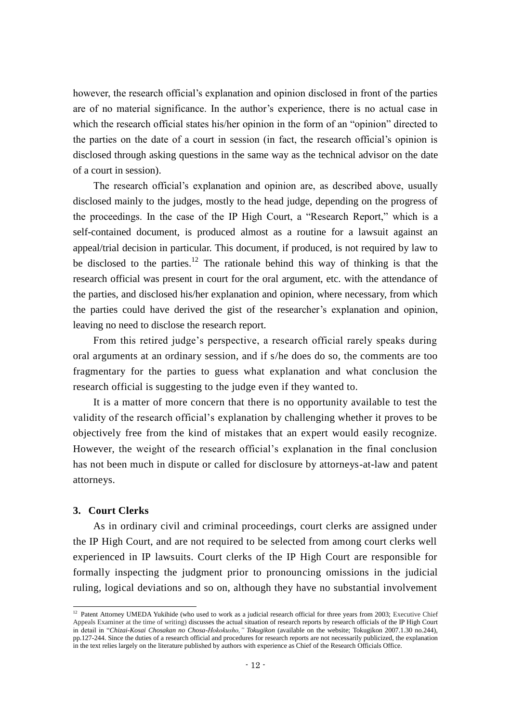however, the research official's explanation and opinion disclosed in front of the parties are of no material significance. In the author's experience, there is no actual case in which the research official states his/her opinion in the form of an "opinion" directed to the parties on the date of a court in session (in fact, the research official's opinion is disclosed through asking questions in the same way as the technical advisor on the date of a court in session).

The research official's explanation and opinion are, as described above, usually disclosed mainly to the judges, mostly to the head judge, depending on the progress of the proceedings. In the case of the IP High Court, a "Research Report," which is a self-contained document, is produced almost as a routine for a lawsuit against an appeal/trial decision in particular. This document, if produced, is not required by law to be disclosed to the parties.<sup>12</sup> The rationale behind this way of thinking is that the research official was present in court for the oral argument, etc. with the attendance of the parties, and disclosed his/her explanation and opinion, where necessary, from which the parties could have derived the gist of the researcher's explanation and opinion, leaving no need to disclose the research report.

From this retired judge's perspective, a research official rarely speaks during oral arguments at an ordinary session, and if s/he does do so, the comments are too fragmentary for the parties to guess what explanation and what conclusion the research official is suggesting to the judge even if they wanted to.

It is a matter of more concern that there is no opportunity available to test the validity of the research official's explanation by challenging whether it proves to be objectively free from the kind of mistakes that an expert would easily recognize. However, the weight of the research official's explanation in the final conclusion has not been much in dispute or called for disclosure by attorneys-at-law and patent attorneys.

#### **3. Court Clerks**

-

As in ordinary civil and criminal proceedings, court clerks are assigned under the IP High Court, and are not required to be selected from among court clerks well experienced in IP lawsuits. Court clerks of the IP High Court are responsible for formally inspecting the judgment prior to pronouncing omissions in the judicial ruling, logical deviations and so on, although they have no substantial involvement

<sup>&</sup>lt;sup>12</sup> Patent Attorney UMEDA Yukihide (who used to work as a judicial research official for three years from 2003; Executive Chief Appeals Examiner at the time of writing) discusses the actual situation of research reports by research officials of the IP High Court in detail in "*Chizai-Kosai Chosakan no Chosa-Hokokusho," Tokugikon* (available on the website; Tokugikon 2007.1.30 no.244), pp.127-244. Since the duties of a research official and procedures for research reports are not necessarily publicized, the explanation in the text relies largely on the literature published by authors with experience as Chief of the Research Officials Office.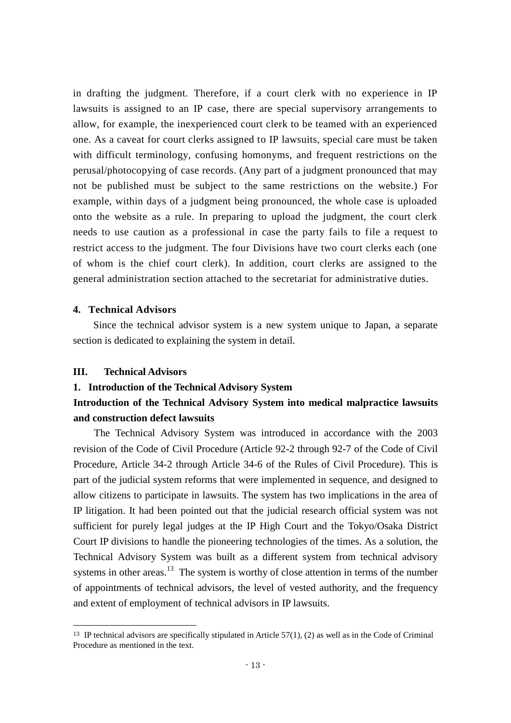in drafting the judgment. Therefore, if a court clerk with no experience in IP lawsuits is assigned to an IP case, there are special supervisory arrangements to allow, for example, the inexperienced court clerk to be teamed with an experienced one. As a caveat for court clerks assigned to IP lawsuits, special care must be taken with difficult terminology, confusing homonyms, and frequent restrictions on the perusal/photocopying of case records. (Any part of a judgment pronounced that may not be published must be subject to the same restrictions on the website.) For example, within days of a judgment being pronounced, the whole case is uploaded onto the website as a rule. In preparing to upload the judgment, the court clerk needs to use caution as a professional in case the party fails to file a request to restrict access to the judgment. The four Divisions have two court clerks each (one of whom is the chief court clerk). In addition, court clerks are assigned to the general administration section attached to the secretariat for administrative duties.

#### **4. Technical Advisors**

Since the technical advisor system is a new system unique to Japan, a separate section is dedicated to explaining the system in detail.

#### **III. Technical Advisors**

-

#### **1. Introduction of the Technical Advisory System**

## **Introduction of the Technical Advisory System into medical malpractice lawsuits and construction defect lawsuits**

The Technical Advisory System was introduced in accordance with the 2003 revision of the Code of Civil Procedure (Article 92-2 through 92-7 of the Code of Civil Procedure, Article 34-2 through Article 34-6 of the Rules of Civil Procedure). This is part of the judicial system reforms that were implemented in sequence, and designed to allow citizens to participate in lawsuits. The system has two implications in the area of IP litigation. It had been pointed out that the judicial research official system was not sufficient for purely legal judges at the IP High Court and the Tokyo/Osaka District Court IP divisions to handle the pioneering technologies of the times. As a solution, the Technical Advisory System was built as a different system from technical advisory systems in other areas.<sup>13</sup> The system is worthy of close attention in terms of the number of appointments of technical advisors, the level of vested authority, and the frequency and extent of employment of technical advisors in IP lawsuits.

 $13$  IP technical advisors are specifically stipulated in Article 57(1), (2) as well as in the Code of Criminal Procedure as mentioned in the text.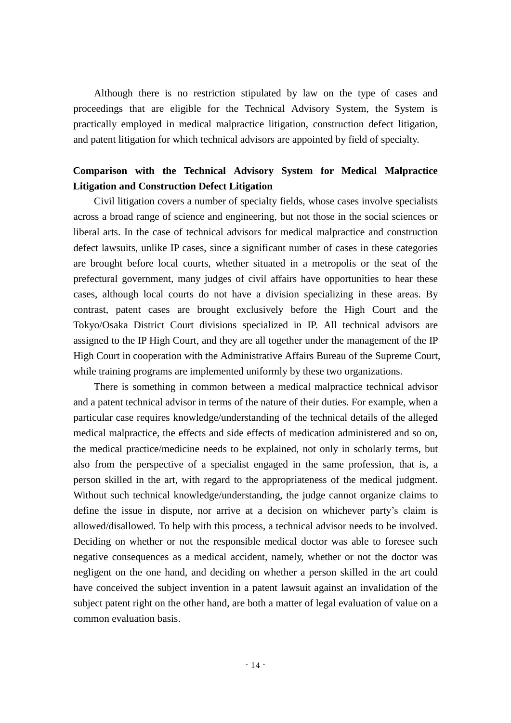Although there is no restriction stipulated by law on the type of cases and proceedings that are eligible for the Technical Advisory System, the System is practically employed in medical malpractice litigation, construction defect litigation, and patent litigation for which technical advisors are appointed by field of specialty.

## **Comparison with the Technical Advisory System for Medical Malpractice Litigation and Construction Defect Litigation**

Civil litigation covers a number of specialty fields, whose cases involve specialists across a broad range of science and engineering, but not those in the social sciences or liberal arts. In the case of technical advisors for medical malpractice and construction defect lawsuits, unlike IP cases, since a significant number of cases in these categories are brought before local courts, whether situated in a metropolis or the seat of the prefectural government, many judges of civil affairs have opportunities to hear these cases, although local courts do not have a division specializing in these areas. By contrast, patent cases are brought exclusively before the High Court and the Tokyo/Osaka District Court divisions specialized in IP. All technical advisors are assigned to the IP High Court, and they are all together under the management of the IP High Court in cooperation with the Administrative Affairs Bureau of the Supreme Court, while training programs are implemented uniformly by these two organizations.

There is something in common between a medical malpractice technical advisor and a patent technical advisor in terms of the nature of their duties. For example, when a particular case requires knowledge/understanding of the technical details of the alleged medical malpractice, the effects and side effects of medication administered and so on, the medical practice/medicine needs to be explained, not only in scholarly terms, but also from the perspective of a specialist engaged in the same profession, that is, a person skilled in the art, with regard to the appropriateness of the medical judgment. Without such technical knowledge/understanding, the judge cannot organize claims to define the issue in dispute, nor arrive at a decision on whichever party's claim is allowed/disallowed. To help with this process, a technical advisor needs to be involved. Deciding on whether or not the responsible medical doctor was able to foresee such negative consequences as a medical accident, namely, whether or not the doctor was negligent on the one hand, and deciding on whether a person skilled in the art could have conceived the subject invention in a patent lawsuit against an invalidation of the subject patent right on the other hand, are both a matter of legal evaluation of value on a common evaluation basis.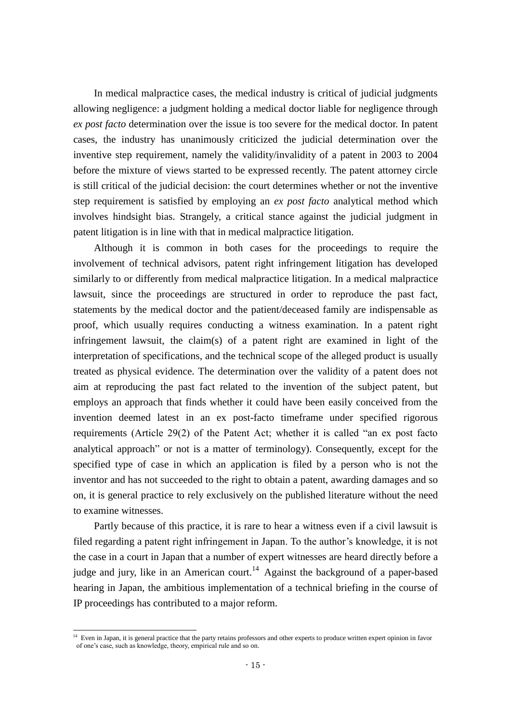In medical malpractice cases, the medical industry is critical of judicial judgments allowing negligence: a judgment holding a medical doctor liable for negligence through *ex post facto* determination over the issue is too severe for the medical doctor. In patent cases, the industry has unanimously criticized the judicial determination over the inventive step requirement, namely the validity/invalidity of a patent in 2003 to 2004 before the mixture of views started to be expressed recently. The patent attorney circle is still critical of the judicial decision: the court determines whether or not the inventive step requirement is satisfied by employing an *ex post facto* analytical method which involves hindsight bias. Strangely, a critical stance against the judicial judgment in patent litigation is in line with that in medical malpractice litigation.

Although it is common in both cases for the proceedings to require the involvement of technical advisors, patent right infringement litigation has developed similarly to or differently from medical malpractice litigation. In a medical malpractice lawsuit, since the proceedings are structured in order to reproduce the past fact, statements by the medical doctor and the patient/deceased family are indispensable as proof, which usually requires conducting a witness examination. In a patent right infringement lawsuit, the claim(s) of a patent right are examined in light of the interpretation of specifications, and the technical scope of the alleged product is usually treated as physical evidence. The determination over the validity of a patent does not aim at reproducing the past fact related to the invention of the subject patent, but employs an approach that finds whether it could have been easily conceived from the invention deemed latest in an ex post-facto timeframe under specified rigorous requirements (Article 29(2) of the Patent Act; whether it is called "an ex post facto analytical approach" or not is a matter of terminology). Consequently, except for the specified type of case in which an application is filed by a person who is not the inventor and has not succeeded to the right to obtain a patent, awarding damages and so on, it is general practice to rely exclusively on the published literature without the need to examine witnesses.

Partly because of this practice, it is rare to hear a witness even if a civil lawsuit is filed regarding a patent right infringement in Japan. To the author's knowledge, it is not the case in a court in Japan that a number of expert witnesses are heard directly before a judge and jury, like in an American court.<sup>14</sup> Against the background of a paper-based hearing in Japan, the ambitious implementation of a technical briefing in the course of IP proceedings has contributed to a major reform.

 $\overline{\phantom{a}}$ 

<sup>&</sup>lt;sup>14</sup> Even in Japan, it is general practice that the party retains professors and other experts to produce written expert opinion in favor of one's case, such as knowledge, theory, empirical rule and so on.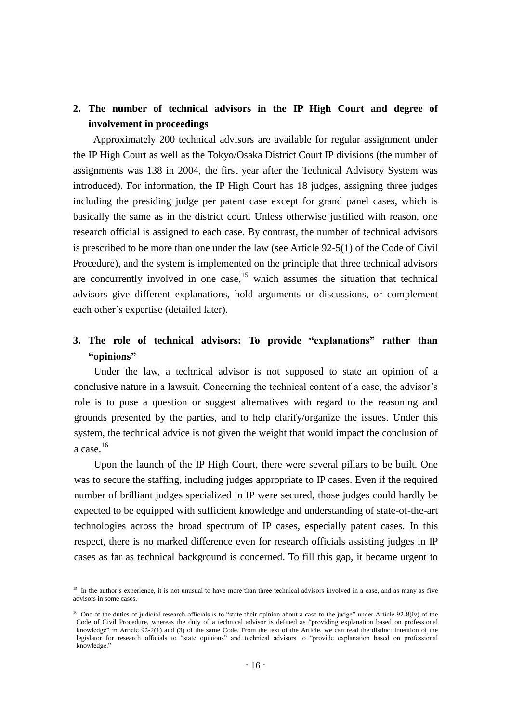## **2. The number of technical advisors in the IP High Court and degree of involvement in proceedings**

Approximately 200 technical advisors are available for regular assignment under the IP High Court as well as the Tokyo/Osaka District Court IP divisions (the number of assignments was 138 in 2004, the first year after the Technical Advisory System was introduced). For information, the IP High Court has 18 judges, assigning three judges including the presiding judge per patent case except for grand panel cases, which is basically the same as in the district court. Unless otherwise justified with reason, one research official is assigned to each case. By contrast, the number of technical advisors is prescribed to be more than one under the law (see Article 92-5(1) of the Code of Civil Procedure), and the system is implemented on the principle that three technical advisors are concurrently involved in one case, <sup>15</sup> which assumes the situation that technical advisors give different explanations, hold arguments or discussions, or complement each other's expertise (detailed later).

## **3. The role of technical advisors: To provide "explanations" rather than "opinions"**

Under the law, a technical advisor is not supposed to state an opinion of a conclusive nature in a lawsuit. Concerning the technical content of a case, the advisor's role is to pose a question or suggest alternatives with regard to the reasoning and grounds presented by the parties, and to help clarify/organize the issues. Under this system, the technical advice is not given the weight that would impact the conclusion of a case.<sup>16</sup>

Upon the launch of the IP High Court, there were several pillars to be built. One was to secure the staffing, including judges appropriate to IP cases. Even if the required number of brilliant judges specialized in IP were secured, those judges could hardly be expected to be equipped with sufficient knowledge and understanding of state-of-the-art technologies across the broad spectrum of IP cases, especially patent cases. In this respect, there is no marked difference even for research officials assisting judges in IP cases as far as technical background is concerned. To fill this gap, it became urgent to

-

<sup>&</sup>lt;sup>15</sup> In the author's experience, it is not unusual to have more than three technical advisors involved in a case, and as many as five advisors in some cases.

<sup>&</sup>lt;sup>16</sup> One of the duties of judicial research officials is to "state their opinion about a case to the judge" under Article 92-8(iv) of the Code of Civil Procedure, whereas the duty of a technical advisor is defined as "providing explanation based on professional knowledge" in Article 92-2(1) and (3) of the same Code. From the text of the Article, we can read the distinct intention of the legislator for research officials to "state opinions" and technical advisors to "provide explanation based on professional knowledge."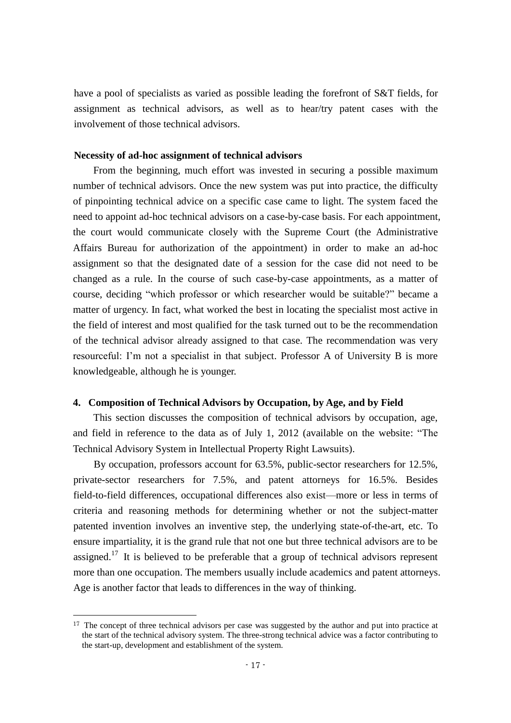have a pool of specialists as varied as possible leading the forefront of S&T fields, for assignment as technical advisors, as well as to hear/try patent cases with the involvement of those technical advisors.

#### **Necessity of ad-hoc assignment of technical advisors**

From the beginning, much effort was invested in securing a possible maximum number of technical advisors. Once the new system was put into practice, the difficulty of pinpointing technical advice on a specific case came to light. The system faced the need to appoint ad-hoc technical advisors on a case-by-case basis. For each appointment, the court would communicate closely with the Supreme Court (the Administrative Affairs Bureau for authorization of the appointment) in order to make an ad-hoc assignment so that the designated date of a session for the case did not need to be changed as a rule. In the course of such case-by-case appointments, as a matter of course, deciding "which professor or which researcher would be suitable?" became a matter of urgency. In fact, what worked the best in locating the specialist most active in the field of interest and most qualified for the task turned out to be the recommendation of the technical advisor already assigned to that case. The recommendation was very resourceful: I'm not a specialist in that subject. Professor A of University B is more knowledgeable, although he is younger.

#### **4. Composition of Technical Advisors by Occupation, by Age, and by Field**

This section discusses the composition of technical advisors by occupation, age, and field in reference to the data as of July 1, 2012 (available on the website: "The Technical Advisory System in Intellectual Property Right Lawsuits).

By occupation, professors account for 63.5%, public-sector researchers for 12.5%, private-sector researchers for 7.5%, and patent attorneys for 16.5%. Besides field-to-field differences, occupational differences also exist—more or less in terms of criteria and reasoning methods for determining whether or not the subject-matter patented invention involves an inventive step, the underlying state-of-the-art, etc. To ensure impartiality, it is the grand rule that not one but three technical advisors are to be assigned.<sup>17</sup> It is believed to be preferable that a group of technical advisors represent more than one occupation. The members usually include academics and patent attorneys. Age is another factor that leads to differences in the way of thinking.

-

<sup>&</sup>lt;sup>17</sup> The concept of three technical advisors per case was suggested by the author and put into practice at the start of the technical advisory system. The three-strong technical advice was a factor contributing to the start-up, development and establishment of the system.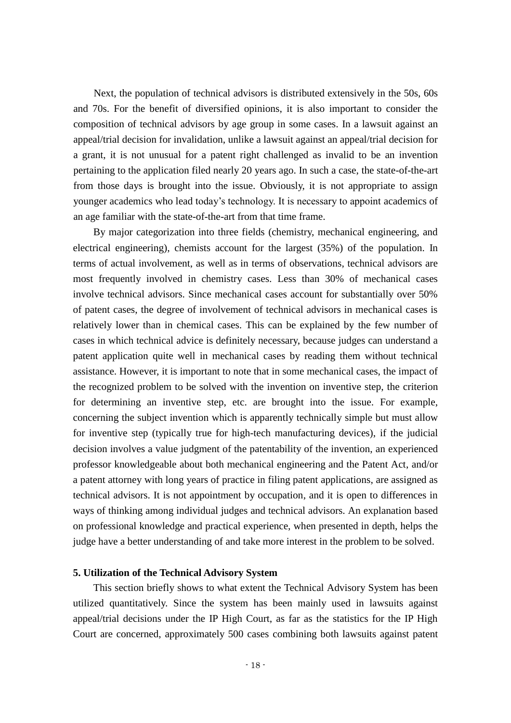Next, the population of technical advisors is distributed extensively in the 50s, 60s and 70s. For the benefit of diversified opinions, it is also important to consider the composition of technical advisors by age group in some cases. In a lawsuit against an appeal/trial decision for invalidation, unlike a lawsuit against an appeal/trial decision for a grant, it is not unusual for a patent right challenged as invalid to be an invention pertaining to the application filed nearly 20 years ago. In such a case, the state-of-the-art from those days is brought into the issue. Obviously, it is not appropriate to assign younger academics who lead today's technology. It is necessary to appoint academics of an age familiar with the state-of-the-art from that time frame.

By major categorization into three fields (chemistry, mechanical engineering, and electrical engineering), chemists account for the largest (35%) of the population. In terms of actual involvement, as well as in terms of observations, technical advisors are most frequently involved in chemistry cases. Less than 30% of mechanical cases involve technical advisors. Since mechanical cases account for substantially over 50% of patent cases, the degree of involvement of technical advisors in mechanical cases is relatively lower than in chemical cases. This can be explained by the few number of cases in which technical advice is definitely necessary, because judges can understand a patent application quite well in mechanical cases by reading them without technical assistance. However, it is important to note that in some mechanical cases, the impact of the recognized problem to be solved with the invention on inventive step, the criterion for determining an inventive step, etc. are brought into the issue. For example, concerning the subject invention which is apparently technically simple but must allow for inventive step (typically true for high-tech manufacturing devices), if the judicial decision involves a value judgment of the patentability of the invention, an experienced professor knowledgeable about both mechanical engineering and the Patent Act, and/or a patent attorney with long years of practice in filing patent applications, are assigned as technical advisors. It is not appointment by occupation, and it is open to differences in ways of thinking among individual judges and technical advisors. An explanation based on professional knowledge and practical experience, when presented in depth, helps the judge have a better understanding of and take more interest in the problem to be solved.

#### **5. Utilization of the Technical Advisory System**

This section briefly shows to what extent the Technical Advisory System has been utilized quantitatively. Since the system has been mainly used in lawsuits against appeal/trial decisions under the IP High Court, as far as the statistics for the IP High Court are concerned, approximately 500 cases combining both lawsuits against patent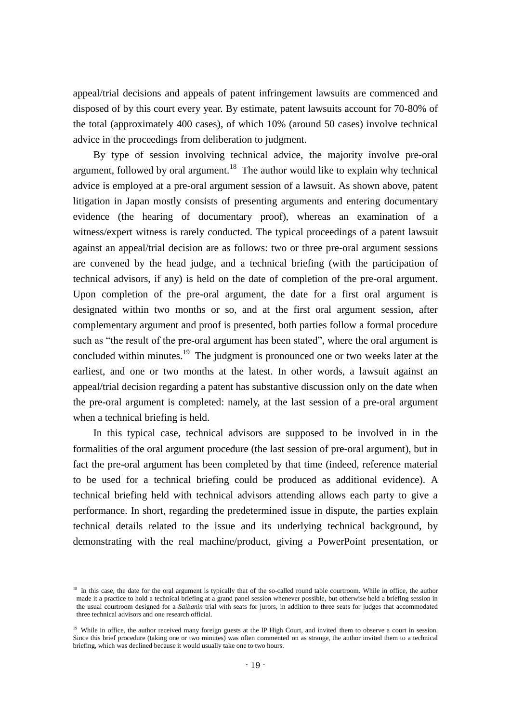appeal/trial decisions and appeals of patent infringement lawsuits are commenced and disposed of by this court every year. By estimate, patent lawsuits account for 70-80% of the total (approximately 400 cases), of which 10% (around 50 cases) involve technical advice in the proceedings from deliberation to judgment.

By type of session involving technical advice, the majority involve pre-oral argument, followed by oral argument.<sup>18</sup> The author would like to explain why technical advice is employed at a pre-oral argument session of a lawsuit. As shown above, patent litigation in Japan mostly consists of presenting arguments and entering documentary evidence (the hearing of documentary proof), whereas an examination of a witness/expert witness is rarely conducted. The typical proceedings of a patent lawsuit against an appeal/trial decision are as follows: two or three pre-oral argument sessions are convened by the head judge, and a technical briefing (with the participation of technical advisors, if any) is held on the date of completion of the pre-oral argument. Upon completion of the pre-oral argument, the date for a first oral argument is designated within two months or so, and at the first oral argument session, after complementary argument and proof is presented, both parties follow a formal procedure such as "the result of the pre-oral argument has been stated", where the oral argument is concluded within minutes.<sup>19</sup> The judgment is pronounced one or two weeks later at the earliest, and one or two months at the latest. In other words, a lawsuit against an appeal/trial decision regarding a patent has substantive discussion only on the date when the pre-oral argument is completed: namely, at the last session of a pre-oral argument when a technical briefing is held.

In this typical case, technical advisors are supposed to be involved in in the formalities of the oral argument procedure (the last session of pre-oral argument), but in fact the pre-oral argument has been completed by that time (indeed, reference material to be used for a technical briefing could be produced as additional evidence). A technical briefing held with technical advisors attending allows each party to give a performance. In short, regarding the predetermined issue in dispute, the parties explain technical details related to the issue and its underlying technical background, by demonstrating with the real machine/product, giving a PowerPoint presentation, or

-

<sup>&</sup>lt;sup>18</sup> In this case, the date for the oral argument is typically that of the so-called round table courtroom. While in office, the author made it a practice to hold a technical briefing at a grand panel session whenever possible, but otherwise held a briefing session in the usual courtroom designed for a *Saibanin* trial with seats for jurors, in addition to three seats for judges that accommodated three technical advisors and one research official.

<sup>&</sup>lt;sup>19</sup> While in office, the author received many foreign guests at the IP High Court, and invited them to observe a court in session. Since this brief procedure (taking one or two minutes) was often commented on as strange, the author invited them to a technical briefing, which was declined because it would usually take one to two hours.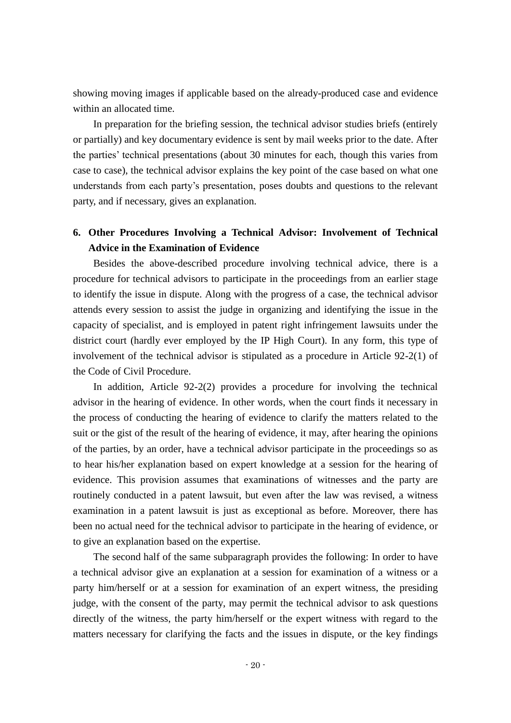showing moving images if applicable based on the already-produced case and evidence within an allocated time.

In preparation for the briefing session, the technical advisor studies briefs (entirely or partially) and key documentary evidence is sent by mail weeks prior to the date. After the parties' technical presentations (about 30 minutes for each, though this varies from case to case), the technical advisor explains the key point of the case based on what one understands from each party's presentation, poses doubts and questions to the relevant party, and if necessary, gives an explanation.

## **6. Other Procedures Involving a Technical Advisor: Involvement of Technical Advice in the Examination of Evidence**

Besides the above-described procedure involving technical advice, there is a procedure for technical advisors to participate in the proceedings from an earlier stage to identify the issue in dispute. Along with the progress of a case, the technical advisor attends every session to assist the judge in organizing and identifying the issue in the capacity of specialist, and is employed in patent right infringement lawsuits under the district court (hardly ever employed by the IP High Court). In any form, this type of involvement of the technical advisor is stipulated as a procedure in Article 92-2(1) of the Code of Civil Procedure.

In addition, Article 92-2(2) provides a procedure for involving the technical advisor in the hearing of evidence. In other words, when the court finds it necessary in the process of conducting the hearing of evidence to clarify the matters related to the suit or the gist of the result of the hearing of evidence, it may, after hearing the opinions of the parties, by an order, have a technical advisor participate in the proceedings so as to hear his/her explanation based on expert knowledge at a session for the hearing of evidence. This provision assumes that examinations of witnesses and the party are routinely conducted in a patent lawsuit, but even after the law was revised, a witness examination in a patent lawsuit is just as exceptional as before. Moreover, there has been no actual need for the technical advisor to participate in the hearing of evidence, or to give an explanation based on the expertise.

The second half of the same subparagraph provides the following: In order to have a technical advisor give an explanation at a session for examination of a witness or a party him/herself or at a session for examination of an expert witness, the presiding judge, with the consent of the party, may permit the technical advisor to ask questions directly of the witness, the party him/herself or the expert witness with regard to the matters necessary for clarifying the facts and the issues in dispute, or the key findings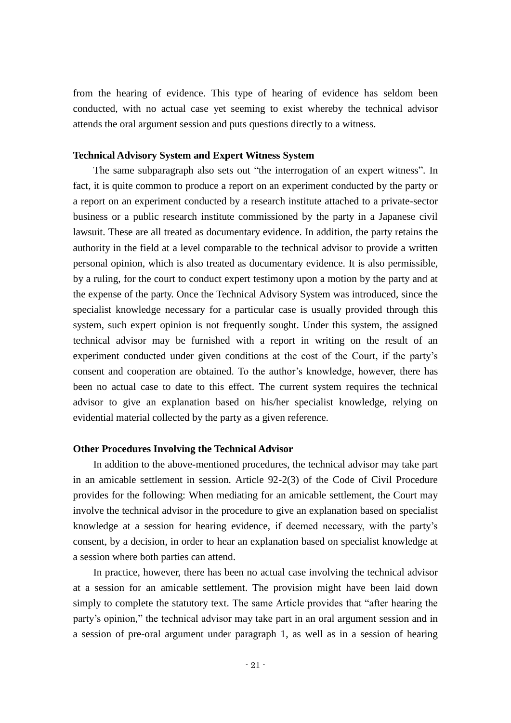from the hearing of evidence. This type of hearing of evidence has seldom been conducted, with no actual case yet seeming to exist whereby the technical advisor attends the oral argument session and puts questions directly to a witness.

#### **Technical Advisory System and Expert Witness System**

The same subparagraph also sets out "the interrogation of an expert witness". In fact, it is quite common to produce a report on an experiment conducted by the party or a report on an experiment conducted by a research institute attached to a private-sector business or a public research institute commissioned by the party in a Japanese civil lawsuit. These are all treated as documentary evidence. In addition, the party retains the authority in the field at a level comparable to the technical advisor to provide a written personal opinion, which is also treated as documentary evidence. It is also permissible, by a ruling, for the court to conduct expert testimony upon a motion by the party and at the expense of the party. Once the Technical Advisory System was introduced, since the specialist knowledge necessary for a particular case is usually provided through this system, such expert opinion is not frequently sought. Under this system, the assigned technical advisor may be furnished with a report in writing on the result of an experiment conducted under given conditions at the cost of the Court, if the party's consent and cooperation are obtained. To the author's knowledge, however, there has been no actual case to date to this effect. The current system requires the technical advisor to give an explanation based on his/her specialist knowledge, relying on evidential material collected by the party as a given reference.

#### **Other Procedures Involving the Technical Advisor**

In addition to the above-mentioned procedures, the technical advisor may take part in an amicable settlement in session. Article 92-2(3) of the Code of Civil Procedure provides for the following: When mediating for an amicable settlement, the Court may involve the technical advisor in the procedure to give an explanation based on specialist knowledge at a session for hearing evidence, if deemed necessary, with the party's consent, by a decision, in order to hear an explanation based on specialist knowledge at a session where both parties can attend.

In practice, however, there has been no actual case involving the technical advisor at a session for an amicable settlement. The provision might have been laid down simply to complete the statutory text. The same Article provides that "after hearing the party's opinion," the technical advisor may take part in an oral argument session and in a session of pre-oral argument under paragraph 1, as well as in a session of hearing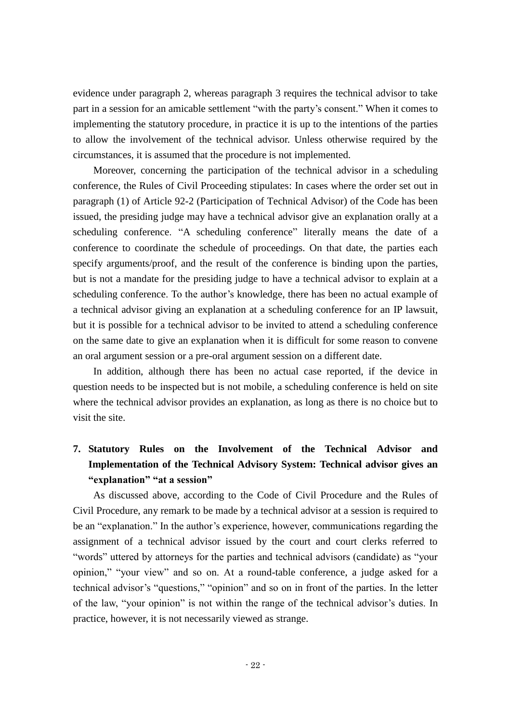evidence under paragraph 2, whereas paragraph 3 requires the technical advisor to take part in a session for an amicable settlement "with the party's consent." When it comes to implementing the statutory procedure, in practice it is up to the intentions of the parties to allow the involvement of the technical advisor. Unless otherwise required by the circumstances, it is assumed that the procedure is not implemented.

Moreover, concerning the participation of the technical advisor in a scheduling conference, the Rules of Civil Proceeding stipulates: In cases where the order set out in paragraph (1) of Article 92-2 (Participation of Technical Advisor) of the Code has been issued, the presiding judge may have a technical advisor give an explanation orally at a scheduling conference. "A scheduling conference" literally means the date of a conference to coordinate the schedule of proceedings. On that date, the parties each specify arguments/proof, and the result of the conference is binding upon the parties, but is not a mandate for the presiding judge to have a technical advisor to explain at a scheduling conference. To the author's knowledge, there has been no actual example of a technical advisor giving an explanation at a scheduling conference for an IP lawsuit, but it is possible for a technical advisor to be invited to attend a scheduling conference on the same date to give an explanation when it is difficult for some reason to convene an oral argument session or a pre-oral argument session on a different date.

In addition, although there has been no actual case reported, if the device in question needs to be inspected but is not mobile, a scheduling conference is held on site where the technical advisor provides an explanation, as long as there is no choice but to visit the site.

## **7. Statutory Rules on the Involvement of the Technical Advisor and Implementation of the Technical Advisory System: Technical advisor gives an "explanation" "at a session"**

As discussed above, according to the Code of Civil Procedure and the Rules of Civil Procedure, any remark to be made by a technical advisor at a session is required to be an "explanation." In the author's experience, however, communications regarding the assignment of a technical advisor issued by the court and court clerks referred to "words" uttered by attorneys for the parties and technical advisors (candidate) as "your opinion," "your view" and so on. At a round-table conference, a judge asked for a technical advisor's "questions," "opinion" and so on in front of the parties. In the letter of the law, "your opinion" is not within the range of the technical advisor's duties. In practice, however, it is not necessarily viewed as strange.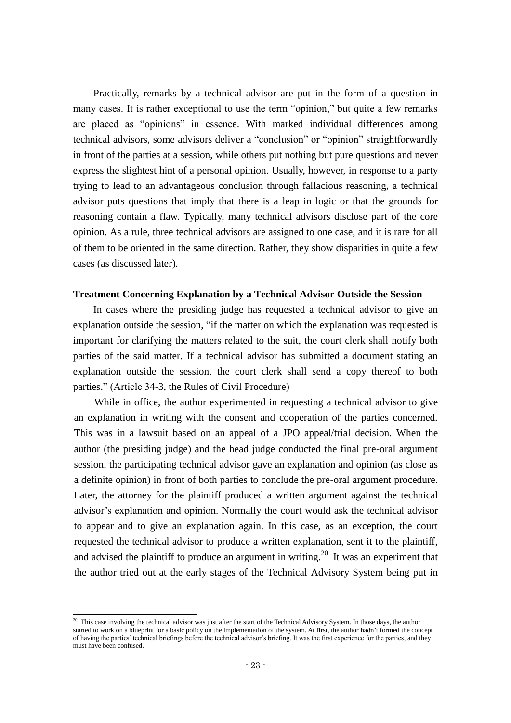Practically, remarks by a technical advisor are put in the form of a question in many cases. It is rather exceptional to use the term "opinion," but quite a few remarks are placed as "opinions" in essence. With marked individual differences among technical advisors, some advisors deliver a "conclusion" or "opinion" straightforwardly in front of the parties at a session, while others put nothing but pure questions and never express the slightest hint of a personal opinion. Usually, however, in response to a party trying to lead to an advantageous conclusion through fallacious reasoning, a technical advisor puts questions that imply that there is a leap in logic or that the grounds for reasoning contain a flaw. Typically, many technical advisors disclose part of the core opinion. As a rule, three technical advisors are assigned to one case, and it is rare for all of them to be oriented in the same direction. Rather, they show disparities in quite a few cases (as discussed later).

#### **Treatment Concerning Explanation by a Technical Advisor Outside the Session**

In cases where the presiding judge has requested a technical advisor to give an explanation outside the session, "if the matter on which the explanation was requested is important for clarifying the matters related to the suit, the court clerk shall notify both parties of the said matter. If a technical advisor has submitted a document stating an explanation outside the session, the court clerk shall send a copy thereof to both parties." (Article 34-3, the Rules of Civil Procedure)

While in office, the author experimented in requesting a technical advisor to give an explanation in writing with the consent and cooperation of the parties concerned. This was in a lawsuit based on an appeal of a JPO appeal/trial decision. When the author (the presiding judge) and the head judge conducted the final pre-oral argument session, the participating technical advisor gave an explanation and opinion (as close as a definite opinion) in front of both parties to conclude the pre-oral argument procedure. Later, the attorney for the plaintiff produced a written argument against the technical advisor's explanation and opinion. Normally the court would ask the technical advisor to appear and to give an explanation again. In this case, as an exception, the court requested the technical advisor to produce a written explanation, sent it to the plaintiff, and advised the plaintiff to produce an argument in writing.<sup>20</sup> It was an experiment that the author tried out at the early stages of the Technical Advisory System being put in

-

 $20$  This case involving the technical advisor was just after the start of the Technical Advisory System. In those days, the author started to work on a blueprint for a basic policy on the implementation of the system. At first, the author hadn't formed the concept of having the parties' technical briefings before the technical advisor's briefing. It was the first experience for the parties, and they must have been confused.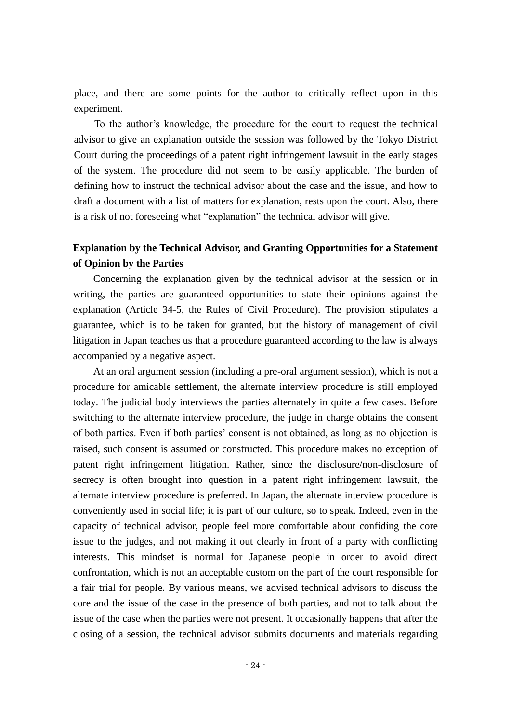place, and there are some points for the author to critically reflect upon in this experiment.

To the author's knowledge, the procedure for the court to request the technical advisor to give an explanation outside the session was followed by the Tokyo District Court during the proceedings of a patent right infringement lawsuit in the early stages of the system. The procedure did not seem to be easily applicable. The burden of defining how to instruct the technical advisor about the case and the issue, and how to draft a document with a list of matters for explanation, rests upon the court. Also, there is a risk of not foreseeing what "explanation" the technical advisor will give.

### **Explanation by the Technical Advisor, and Granting Opportunities for a Statement of Opinion by the Parties**

Concerning the explanation given by the technical advisor at the session or in writing, the parties are guaranteed opportunities to state their opinions against the explanation (Article 34-5, the Rules of Civil Procedure). The provision stipulates a guarantee, which is to be taken for granted, but the history of management of civil litigation in Japan teaches us that a procedure guaranteed according to the law is always accompanied by a negative aspect.

At an oral argument session (including a pre-oral argument session), which is not a procedure for amicable settlement, the alternate interview procedure is still employed today. The judicial body interviews the parties alternately in quite a few cases. Before switching to the alternate interview procedure, the judge in charge obtains the consent of both parties. Even if both parties' consent is not obtained, as long as no objection is raised, such consent is assumed or constructed. This procedure makes no exception of patent right infringement litigation. Rather, since the disclosure/non-disclosure of secrecy is often brought into question in a patent right infringement lawsuit, the alternate interview procedure is preferred. In Japan, the alternate interview procedure is conveniently used in social life; it is part of our culture, so to speak. Indeed, even in the capacity of technical advisor, people feel more comfortable about confiding the core issue to the judges, and not making it out clearly in front of a party with conflicting interests. This mindset is normal for Japanese people in order to avoid direct confrontation, which is not an acceptable custom on the part of the court responsible for a fair trial for people. By various means, we advised technical advisors to discuss the core and the issue of the case in the presence of both parties, and not to talk about the issue of the case when the parties were not present. It occasionally happens that after the closing of a session, the technical advisor submits documents and materials regarding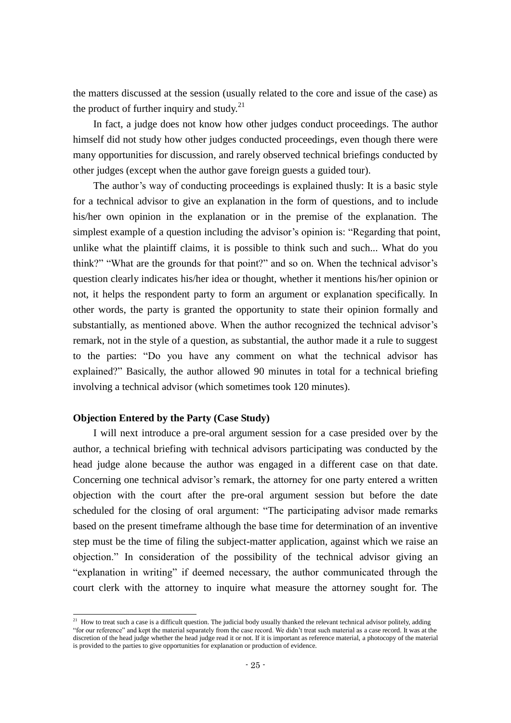the matters discussed at the session (usually related to the core and issue of the case) as the product of further inquiry and study.<sup>21</sup>

In fact, a judge does not know how other judges conduct proceedings. The author himself did not study how other judges conducted proceedings, even though there were many opportunities for discussion, and rarely observed technical briefings conducted by other judges (except when the author gave foreign guests a guided tour).

The author's way of conducting proceedings is explained thusly: It is a basic style for a technical advisor to give an explanation in the form of questions, and to include his/her own opinion in the explanation or in the premise of the explanation. The simplest example of a question including the advisor's opinion is: "Regarding that point, unlike what the plaintiff claims, it is possible to think such and such... What do you think?" "What are the grounds for that point?" and so on. When the technical advisor's question clearly indicates his/her idea or thought, whether it mentions his/her opinion or not, it helps the respondent party to form an argument or explanation specifically. In other words, the party is granted the opportunity to state their opinion formally and substantially, as mentioned above. When the author recognized the technical advisor's remark, not in the style of a question, as substantial, the author made it a rule to suggest to the parties: "Do you have any comment on what the technical advisor has explained?" Basically, the author allowed 90 minutes in total for a technical briefing involving a technical advisor (which sometimes took 120 minutes).

#### **Objection Entered by the Party (Case Study)**

-

I will next introduce a pre-oral argument session for a case presided over by the author, a technical briefing with technical advisors participating was conducted by the head judge alone because the author was engaged in a different case on that date. Concerning one technical advisor's remark, the attorney for one party entered a written objection with the court after the pre-oral argument session but before the date scheduled for the closing of oral argument: "The participating advisor made remarks based on the present timeframe although the base time for determination of an inventive step must be the time of filing the subject-matter application, against which we raise an objection." In consideration of the possibility of the technical advisor giving an "explanation in writing" if deemed necessary, the author communicated through the court clerk with the attorney to inquire what measure the attorney sought for. The

 $2<sup>1</sup>$  How to treat such a case is a difficult question. The judicial body usually thanked the relevant technical advisor politely, adding "for our reference" and kept the material separately from the case record. We didn't treat such material as a case record. It was at the discretion of the head judge whether the head judge read it or not. If it is important as reference material, a photocopy of the material is provided to the parties to give opportunities for explanation or production of evidence.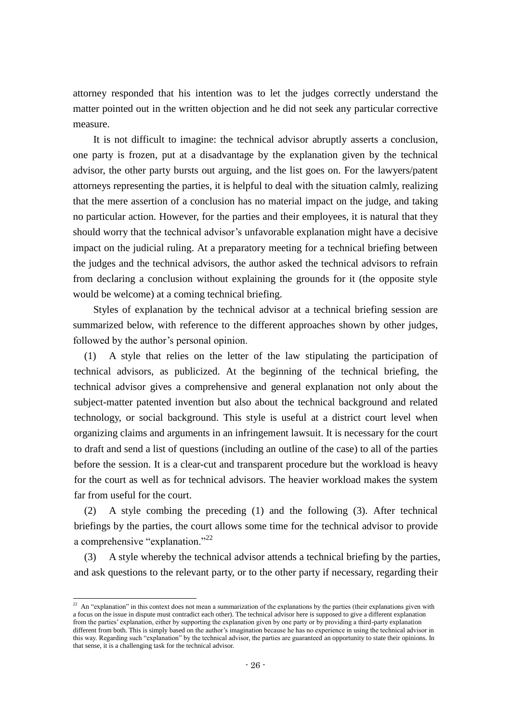attorney responded that his intention was to let the judges correctly understand the matter pointed out in the written objection and he did not seek any particular corrective measure.

It is not difficult to imagine: the technical advisor abruptly asserts a conclusion, one party is frozen, put at a disadvantage by the explanation given by the technical advisor, the other party bursts out arguing, and the list goes on. For the lawyers/patent attorneys representing the parties, it is helpful to deal with the situation calmly, realizing that the mere assertion of a conclusion has no material impact on the judge, and taking no particular action. However, for the parties and their employees, it is natural that they should worry that the technical advisor's unfavorable explanation might have a decisive impact on the judicial ruling. At a preparatory meeting for a technical briefing between the judges and the technical advisors, the author asked the technical advisors to refrain from declaring a conclusion without explaining the grounds for it (the opposite style would be welcome) at a coming technical briefing.

Styles of explanation by the technical advisor at a technical briefing session are summarized below, with reference to the different approaches shown by other judges, followed by the author's personal opinion.

(1) A style that relies on the letter of the law stipulating the participation of technical advisors, as publicized. At the beginning of the technical briefing, the technical advisor gives a comprehensive and general explanation not only about the subject-matter patented invention but also about the technical background and related technology, or social background. This style is useful at a district court level when organizing claims and arguments in an infringement lawsuit. It is necessary for the court to draft and send a list of questions (including an outline of the case) to all of the parties before the session. It is a clear-cut and transparent procedure but the workload is heavy for the court as well as for technical advisors. The heavier workload makes the system far from useful for the court.

(2) A style combing the preceding (1) and the following (3). After technical briefings by the parties, the court allows some time for the technical advisor to provide a comprehensive "explanation."<sup>22</sup>

(3) A style whereby the technical advisor attends a technical briefing by the parties, and ask questions to the relevant party, or to the other party if necessary, regarding their

-

<sup>&</sup>lt;sup>22</sup> An "explanation" in this context does not mean a summarization of the explanations by the parties (their explanations given with a focus on the issue in dispute must contradict each other). The technical advisor here is supposed to give a different explanation from the parties' explanation, either by supporting the explanation given by one party or by providing a third-party explanation different from both. This is simply based on the author's imagination because he has no experience in using the technical advisor in this way. Regarding such "explanation" by the technical advisor, the parties are guaranteed an opportunity to state their opinions. In that sense, it is a challenging task for the technical advisor.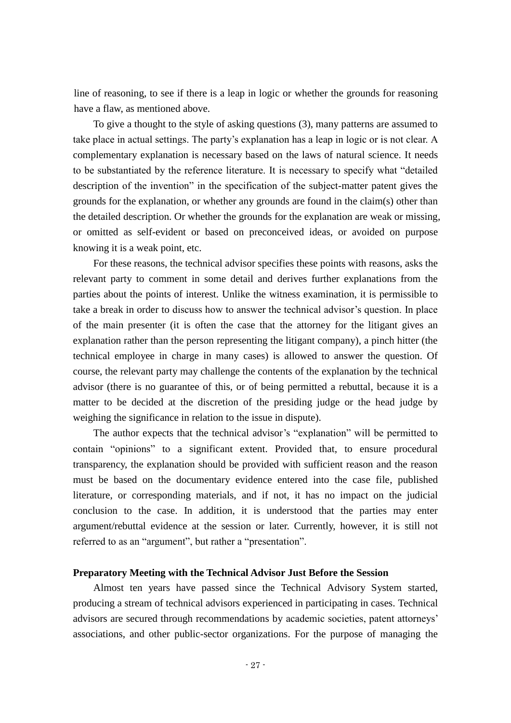line of reasoning, to see if there is a leap in logic or whether the grounds for reasoning have a flaw, as mentioned above.

To give a thought to the style of asking questions (3), many patterns are assumed to take place in actual settings. The party's explanation has a leap in logic or is not clear. A complementary explanation is necessary based on the laws of natural science. It needs to be substantiated by the reference literature. It is necessary to specify what "detailed description of the invention" in the specification of the subject-matter patent gives the grounds for the explanation, or whether any grounds are found in the claim(s) other than the detailed description. Or whether the grounds for the explanation are weak or missing, or omitted as self-evident or based on preconceived ideas, or avoided on purpose knowing it is a weak point, etc.

For these reasons, the technical advisor specifies these points with reasons, asks the relevant party to comment in some detail and derives further explanations from the parties about the points of interest. Unlike the witness examination, it is permissible to take a break in order to discuss how to answer the technical advisor's question. In place of the main presenter (it is often the case that the attorney for the litigant gives an explanation rather than the person representing the litigant company), a pinch hitter (the technical employee in charge in many cases) is allowed to answer the question. Of course, the relevant party may challenge the contents of the explanation by the technical advisor (there is no guarantee of this, or of being permitted a rebuttal, because it is a matter to be decided at the discretion of the presiding judge or the head judge by weighing the significance in relation to the issue in dispute).

The author expects that the technical advisor's "explanation" will be permitted to contain "opinions" to a significant extent. Provided that, to ensure procedural transparency, the explanation should be provided with sufficient reason and the reason must be based on the documentary evidence entered into the case file, published literature, or corresponding materials, and if not, it has no impact on the judicial conclusion to the case. In addition, it is understood that the parties may enter argument/rebuttal evidence at the session or later. Currently, however, it is still not referred to as an "argument", but rather a "presentation".

#### **Preparatory Meeting with the Technical Advisor Just Before the Session**

Almost ten years have passed since the Technical Advisory System started, producing a stream of technical advisors experienced in participating in cases. Technical advisors are secured through recommendations by academic societies, patent attorneys' associations, and other public-sector organizations. For the purpose of managing the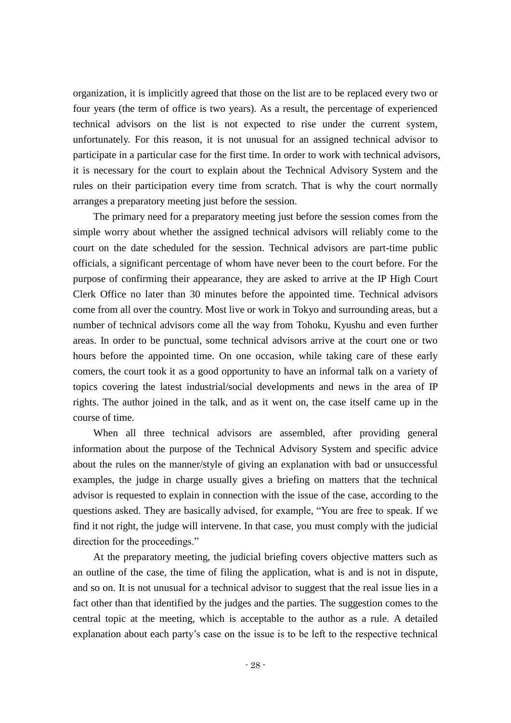organization, it is implicitly agreed that those on the list are to be replaced every two or four years (the term of office is two years). As a result, the percentage of experienced technical advisors on the list is not expected to rise under the current system, unfortunately. For this reason, it is not unusual for an assigned technical advisor to participate in a particular case for the first time. In order to work with technical advisors, it is necessary for the court to explain about the Technical Advisory System and the rules on their participation every time from scratch. That is why the court normally arranges a preparatory meeting just before the session.

The primary need for a preparatory meeting just before the session comes from the simple worry about whether the assigned technical advisors will reliably come to the court on the date scheduled for the session. Technical advisors are part-time public officials, a significant percentage of whom have never been to the court before. For the purpose of confirming their appearance, they are asked to arrive at the IP High Court Clerk Office no later than 30 minutes before the appointed time. Technical advisors come from all over the country. Most live or work in Tokyo and surrounding areas, but a number of technical advisors come all the way from Tohoku, Kyushu and even further areas. In order to be punctual, some technical advisors arrive at the court one or two hours before the appointed time. On one occasion, while taking care of these early comers, the court took it as a good opportunity to have an informal talk on a variety of topics covering the latest industrial/social developments and news in the area of IP rights. The author joined in the talk, and as it went on, the case itself came up in the course of time.

When all three technical advisors are assembled, after providing general information about the purpose of the Technical Advisory System and specific advice about the rules on the manner/style of giving an explanation with bad or unsuccessful examples, the judge in charge usually gives a briefing on matters that the technical advisor is requested to explain in connection with the issue of the case, according to the questions asked. They are basically advised, for example, "You are free to speak. If we find it not right, the judge will intervene. In that case, you must comply with the judicial direction for the proceedings."

At the preparatory meeting, the judicial briefing covers objective matters such as an outline of the case, the time of filing the application, what is and is not in dispute, and so on. It is not unusual for a technical advisor to suggest that the real issue lies in a fact other than that identified by the judges and the parties. The suggestion comes to the central topic at the meeting, which is acceptable to the author as a rule. A detailed explanation about each party's case on the issue is to be left to the respective technical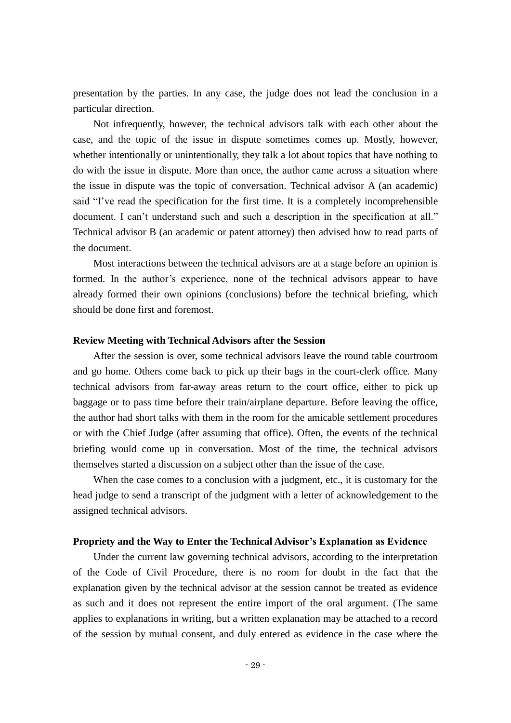presentation by the parties. In any case, the judge does not lead the conclusion in a particular direction.

Not infrequently, however, the technical advisors talk with each other about the case, and the topic of the issue in dispute sometimes comes up. Mostly, however, whether intentionally or unintentionally, they talk a lot about topics that have nothing to do with the issue in dispute. More than once, the author came across a situation where the issue in dispute was the topic of conversation. Technical advisor A (an academic) said "I've read the specification for the first time. It is a completely incomprehensible document. I can't understand such and such a description in the specification at all." Technical advisor B (an academic or patent attorney) then advised how to read parts of the document.

Most interactions between the technical advisors are at a stage before an opinion is formed. In the author's experience, none of the technical advisors appear to have already formed their own opinions (conclusions) before the technical briefing, which should be done first and foremost.

#### **Review Meeting with Technical Advisors after the Session**

After the session is over, some technical advisors leave the round table courtroom and go home. Others come back to pick up their bags in the court-clerk office. Many technical advisors from far-away areas return to the court office, either to pick up baggage or to pass time before their train/airplane departure. Before leaving the office, the author had short talks with them in the room for the amicable settlement procedures or with the Chief Judge (after assuming that office). Often, the events of the technical briefing would come up in conversation. Most of the time, the technical advisors themselves started a discussion on a subject other than the issue of the case.

When the case comes to a conclusion with a judgment, etc., it is customary for the head judge to send a transcript of the judgment with a letter of acknowledgement to the assigned technical advisors.

#### **Propriety and the Way to Enter the Technical Advisor's Explanation as Evidence**

Under the current law governing technical advisors, according to the interpretation of the Code of Civil Procedure, there is no room for doubt in the fact that the explanation given by the technical advisor at the session cannot be treated as evidence as such and it does not represent the entire import of the oral argument. (The same applies to explanations in writing, but a written explanation may be attached to a record of the session by mutual consent, and duly entered as evidence in the case where the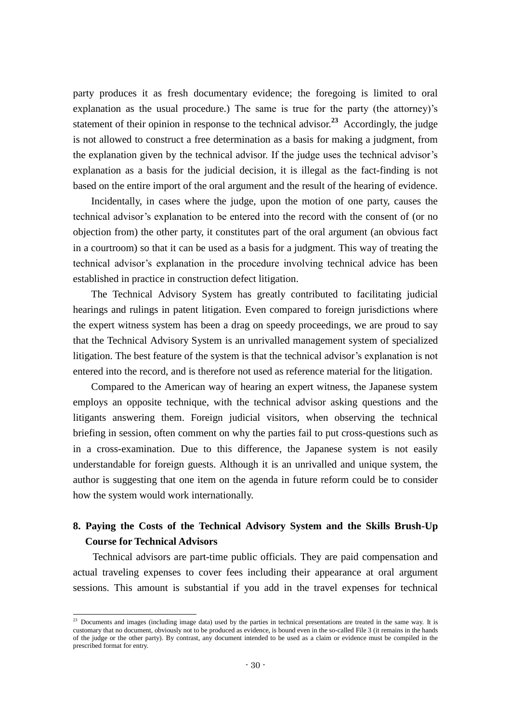party produces it as fresh documentary evidence; the foregoing is limited to oral explanation as the usual procedure.) The same is true for the party (the attorney)'s statement of their opinion in response to the technical advisor.<sup>23</sup> Accordingly, the judge is not allowed to construct a free determination as a basis for making a judgment, from the explanation given by the technical advisor. If the judge uses the technical advisor's explanation as a basis for the judicial decision, it is illegal as the fact-finding is not based on the entire import of the oral argument and the result of the hearing of evidence.

Incidentally, in cases where the judge, upon the motion of one party, causes the technical advisor's explanation to be entered into the record with the consent of (or no objection from) the other party, it constitutes part of the oral argument (an obvious fact in a courtroom) so that it can be used as a basis for a judgment. This way of treating the technical advisor's explanation in the procedure involving technical advice has been established in practice in construction defect litigation.

The Technical Advisory System has greatly contributed to facilitating judicial hearings and rulings in patent litigation. Even compared to foreign jurisdictions where the expert witness system has been a drag on speedy proceedings, we are proud to say that the Technical Advisory System is an unrivalled management system of specialized litigation. The best feature of the system is that the technical advisor's explanation is not entered into the record, and is therefore not used as reference material for the litigation.

Compared to the American way of hearing an expert witness, the Japanese system employs an opposite technique, with the technical advisor asking questions and the litigants answering them. Foreign judicial visitors, when observing the technical briefing in session, often comment on why the parties fail to put cross-questions such as in a cross-examination. Due to this difference, the Japanese system is not easily understandable for foreign guests. Although it is an unrivalled and unique system, the author is suggesting that one item on the agenda in future reform could be to consider how the system would work internationally.

## **8. Paying the Costs of the Technical Advisory System and the Skills Brush-Up Course for Technical Advisors**

Technical advisors are part-time public officials. They are paid compensation and actual traveling expenses to cover fees including their appearance at oral argument sessions. This amount is substantial if you add in the travel expenses for technical

-

 $2<sup>23</sup>$  Documents and images (including image data) used by the parties in technical presentations are treated in the same way. It is customary that no document, obviously not to be produced as evidence, is bound even in the so-called File 3 (it remains in the hands of the judge or the other party). By contrast, any document intended to be used as a claim or evidence must be compiled in the prescribed format for entry.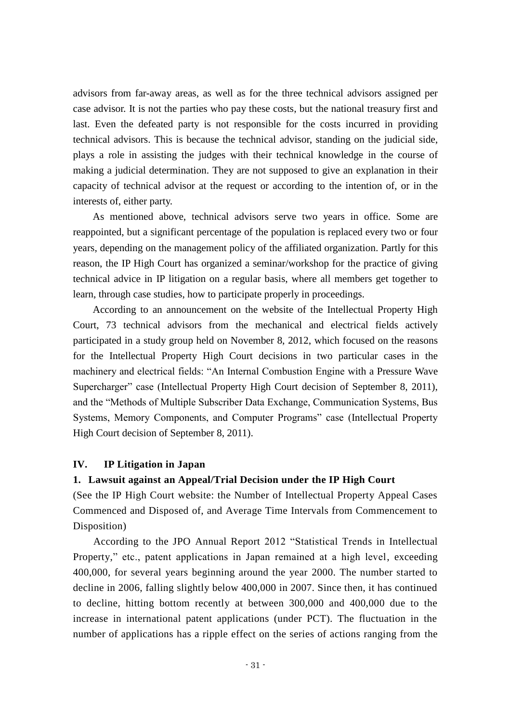advisors from far-away areas, as well as for the three technical advisors assigned per case advisor. It is not the parties who pay these costs, but the national treasury first and last. Even the defeated party is not responsible for the costs incurred in providing technical advisors. This is because the technical advisor, standing on the judicial side, plays a role in assisting the judges with their technical knowledge in the course of making a judicial determination. They are not supposed to give an explanation in their capacity of technical advisor at the request or according to the intention of, or in the interests of, either party.

As mentioned above, technical advisors serve two years in office. Some are reappointed, but a significant percentage of the population is replaced every two or four years, depending on the management policy of the affiliated organization. Partly for this reason, the IP High Court has organized a seminar/workshop for the practice of giving technical advice in IP litigation on a regular basis, where all members get together to learn, through case studies, how to participate properly in proceedings.

According to an announcement on the website of the Intellectual Property High Court, 73 technical advisors from the mechanical and electrical fields actively participated in a study group held on November 8, 2012, which focused on the reasons for the Intellectual Property High Court decisions in two particular cases in the machinery and electrical fields: "An Internal Combustion Engine with a Pressure Wave Supercharger" case (Intellectual Property High Court decision of September 8, 2011), and the "Methods of Multiple Subscriber Data Exchange, Communication Systems, Bus Systems, Memory Components, and Computer Programs" case (Intellectual Property High Court decision of September 8, 2011).

#### **IV. IP Litigation in Japan**

#### **1. Lawsuit against an Appeal/Trial Decision under the IP High Court**

(See the IP High Court website: the Number of Intellectual Property Appeal Cases Commenced and Disposed of, and Average Time Intervals from Commencement to Disposition)

According to the JPO Annual Report 2012 "Statistical Trends in Intellectual Property," etc., patent applications in Japan remained at a high level, exceeding 400,000, for several years beginning around the year 2000. The number started to decline in 2006, falling slightly below 400,000 in 2007. Since then, it has continued to decline, hitting bottom recently at between 300,000 and 400,000 due to the increase in international patent applications (under PCT). The fluctuation in the number of applications has a ripple effect on the series of actions ranging from the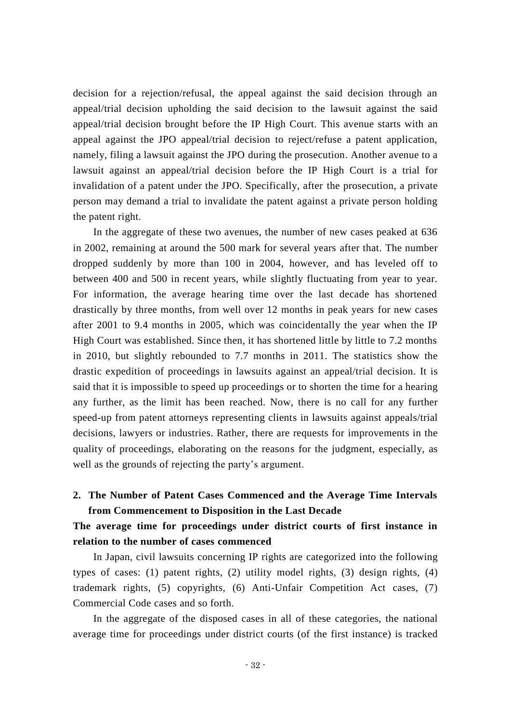decision for a rejection/refusal, the appeal against the said decision through an appeal/trial decision upholding the said decision to the lawsuit against the said appeal/trial decision brought before the IP High Court. This avenue starts with an appeal against the JPO appeal/trial decision to reject/refuse a patent application, namely, filing a lawsuit against the JPO during the prosecution. Another avenue to a lawsuit against an appeal/trial decision before the IP High Court is a trial for invalidation of a patent under the JPO. Specifically, after the prosecution, a private person may demand a trial to invalidate the patent against a private person holding the patent right.

In the aggregate of these two avenues, the number of new cases peaked at 636 in 2002, remaining at around the 500 mark for several years after that. The number dropped suddenly by more than 100 in 2004, however, and has leveled off to between 400 and 500 in recent years, while slightly fluctuating from year to year. For information, the average hearing time over the last decade has shortened drastically by three months, from well over 12 months in peak years for new cases after 2001 to 9.4 months in 2005, which was coincidentally the year when the IP High Court was established. Since then, it has shortened little by little to 7.2 months in 2010, but slightly rebounded to 7.7 months in 2011. The statistics show the drastic expedition of proceedings in lawsuits against an appeal/trial decision. It is said that it is impossible to speed up proceedings or to shorten the time for a hearing any further, as the limit has been reached. Now, there is no call for any further speed-up from patent attorneys representing clients in lawsuits against appeals/trial decisions, lawyers or industries. Rather, there are requests for improvements in the quality of proceedings, elaborating on the reasons for the judgment, especially, as well as the grounds of rejecting the party's argument.

## **2. The Number of Patent Cases Commenced and the Average Time Intervals from Commencement to Disposition in the Last Decade**

## **The average time for proceedings under district courts of first instance in relation to the number of cases commenced**

In Japan, civil lawsuits concerning IP rights are categorized into the following types of cases: (1) patent rights, (2) utility model rights, (3) design rights, (4) trademark rights, (5) copyrights, (6) Anti-Unfair Competition Act cases, (7) Commercial Code cases and so forth.

In the aggregate of the disposed cases in all of these categories, the national average time for proceedings under district courts (of the first instance) is tracked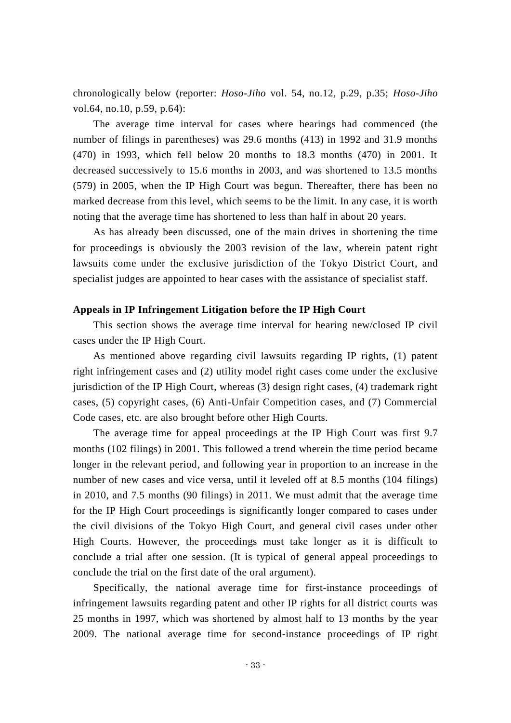chronologically below (reporter: *Hoso-Jiho* vol. 54, no.12, p.29, p.35; *Hoso-Jiho* vol.64, no.10, p.59, p.64):

The average time interval for cases where hearings had commenced (the number of filings in parentheses) was 29.6 months (413) in 1992 and 31.9 months (470) in 1993, which fell below 20 months to 18.3 months (470) in 2001. It decreased successively to 15.6 months in 2003, and was shortened to 13.5 months (579) in 2005, when the IP High Court was begun. Thereafter, there has been no marked decrease from this level, which seems to be the limit. In any case, it is worth noting that the average time has shortened to less than half in about 20 years.

As has already been discussed, one of the main drives in shortening the time for proceedings is obviously the 2003 revision of the law, wherein patent right lawsuits come under the exclusive jurisdiction of the Tokyo District Court, and specialist judges are appointed to hear cases with the assistance of specialist staff.

#### **Appeals in IP Infringement Litigation before the IP High Court**

This section shows the average time interval for hearing new/closed IP civil cases under the IP High Court.

As mentioned above regarding civil lawsuits regarding IP rights, (1) patent right infringement cases and (2) utility model right cases come under the exclusive jurisdiction of the IP High Court, whereas (3) design right cases, (4) trademark right cases, (5) copyright cases, (6) Anti-Unfair Competition cases, and (7) Commercial Code cases, etc. are also brought before other High Courts.

The average time for appeal proceedings at the IP High Court was first 9.7 months (102 filings) in 2001. This followed a trend wherein the time period became longer in the relevant period, and following year in proportion to an increase in the number of new cases and vice versa, until it leveled off at 8.5 months (104 filings) in 2010, and 7.5 months (90 filings) in 2011. We must admit that the average time for the IP High Court proceedings is significantly longer compared to cases under the civil divisions of the Tokyo High Court, and general civil cases under other High Courts. However, the proceedings must take longer as it is difficult to conclude a trial after one session. (It is typical of general appeal proceedings to conclude the trial on the first date of the oral argument).

Specifically, the national average time for first-instance proceedings of infringement lawsuits regarding patent and other IP rights for all district courts was 25 months in 1997, which was shortened by almost half to 13 months by the year 2009. The national average time for second-instance proceedings of IP right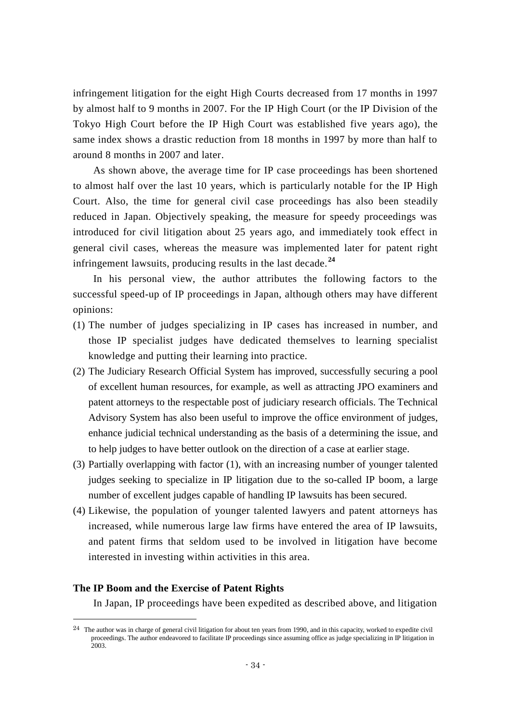infringement litigation for the eight High Courts decreased from 17 months in 1997 by almost half to 9 months in 2007. For the IP High Court (or the IP Division of the Tokyo High Court before the IP High Court was established five years ago), the same index shows a drastic reduction from 18 months in 1997 by more than half to around 8 months in 2007 and later.

As shown above, the average time for IP case proceedings has been shortened to almost half over the last 10 years, which is particularly notable for the IP High Court. Also, the time for general civil case proceedings has also been steadily reduced in Japan. Objectively speaking, the measure for speedy proceedings was introduced for civil litigation about 25 years ago, and immediately took effect in general civil cases, whereas the measure was implemented later for patent right infringement lawsuits, producing results in the last decade.**<sup>24</sup>**

In his personal view, the author attributes the following factors to the successful speed-up of IP proceedings in Japan, although others may have different opinions:

- (1) The number of judges specializing in IP cases has increased in number, and those IP specialist judges have dedicated themselves to learning specialist knowledge and putting their learning into practice.
- (2) The Judiciary Research Official System has improved, successfully securing a pool of excellent human resources, for example, as well as attracting JPO examiners and patent attorneys to the respectable post of judiciary research officials. The Technical Advisory System has also been useful to improve the office environment of judges, enhance judicial technical understanding as the basis of a determining the issue, and to help judges to have better outlook on the direction of a case at earlier stage.
- (3) Partially overlapping with factor (1), with an increasing number of younger talented judges seeking to specialize in IP litigation due to the so-called IP boom, a large number of excellent judges capable of handling IP lawsuits has been secured.
- (4) Likewise, the population of younger talented lawyers and patent attorneys has increased, while numerous large law firms have entered the area of IP lawsuits, and patent firms that seldom used to be involved in litigation have become interested in investing within activities in this area.

#### **The IP Boom and the Exercise of Patent Rights**

 $\overline{\phantom{a}}$ 

In Japan, IP proceedings have been expedited as described above, and litigation

<sup>&</sup>lt;sup>24</sup> The author was in charge of general civil litigation for about ten years from 1990, and in this capacity, worked to expedite civil proceedings. The author endeavored to facilitate IP proceedings since assuming office as judge specializing in IP litigation in 2003.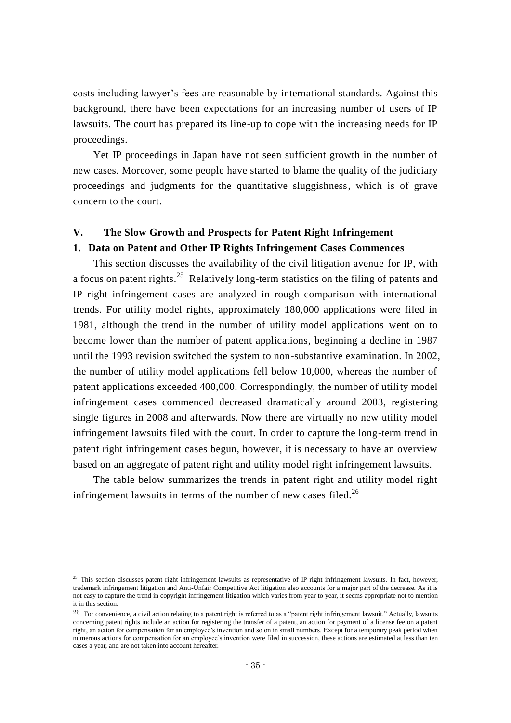costs including lawyer's fees are reasonable by international standards. Against this background, there have been expectations for an increasing number of users of IP lawsuits. The court has prepared its line-up to cope with the increasing needs for IP proceedings.

Yet IP proceedings in Japan have not seen sufficient growth in the number of new cases. Moreover, some people have started to blame the quality of the judiciary proceedings and judgments for the quantitative sluggishness, which is of grave concern to the court.

#### **V. The Slow Growth and Prospects for Patent Right Infringement**

#### **1. Data on Patent and Other IP Rights Infringement Cases Commences**

This section discusses the availability of the civil litigation avenue for IP, with a focus on patent rights.<sup>25</sup> Relatively long-term statistics on the filing of patents and IP right infringement cases are analyzed in rough comparison with international trends. For utility model rights, approximately 180,000 applications were filed in 1981, although the trend in the number of utility model applications went on to become lower than the number of patent applications, beginning a decline in 1987 until the 1993 revision switched the system to non-substantive examination. In 2002, the number of utility model applications fell below 10,000, whereas the number of patent applications exceeded 400,000. Correspondingly, the number of utility model infringement cases commenced decreased dramatically around 2003, registering single figures in 2008 and afterwards. Now there are virtually no new utility model infringement lawsuits filed with the court. In order to capture the long-term trend in patent right infringement cases begun, however, it is necessary to have an overview based on an aggregate of patent right and utility model right infringement lawsuits.

The table below summarizes the trends in patent right and utility model right infringement lawsuits in terms of the number of new cases filed.<sup>26</sup>

-

 $25$  This section discusses patent right infringement lawsuits as representative of IP right infringement lawsuits. In fact, however, trademark infringement litigation and Anti-Unfair Competitive Act litigation also accounts for a major part of the decrease. As it is not easy to capture the trend in copyright infringement litigation which varies from year to year, it seems appropriate not to mention it in this section.

 $26$  For convenience, a civil action relating to a patent right is referred to as a "patent right infringement lawsuit." Actually, lawsuits concerning patent rights include an action for registering the transfer of a patent, an action for payment of a license fee on a patent right, an action for compensation for an employee's invention and so on in small numbers. Except for a temporary peak period when numerous actions for compensation for an employee's invention were filed in succession, these actions are estimated at less than ten cases a year, and are not taken into account hereafter.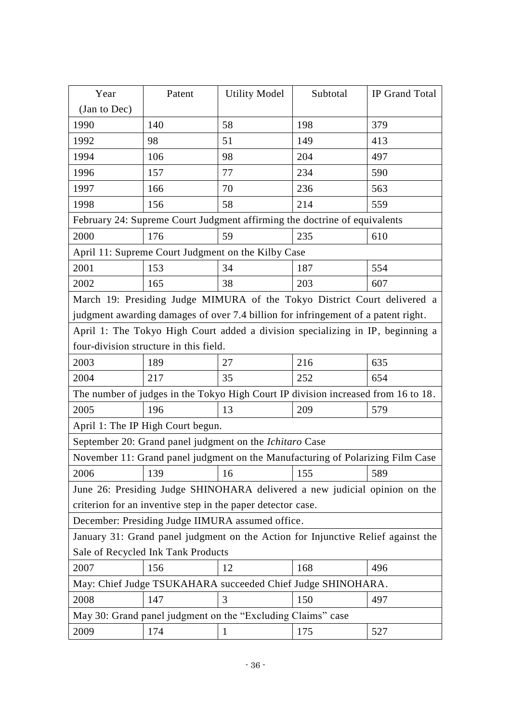| Year                                                                              | Patent | <b>Utility Model</b>                                                           | Subtotal | IP Grand Total |  |  |
|-----------------------------------------------------------------------------------|--------|--------------------------------------------------------------------------------|----------|----------------|--|--|
| (Jan to Dec)                                                                      |        |                                                                                |          |                |  |  |
| 1990                                                                              | 140    | 58                                                                             | 198      | 379            |  |  |
| 1992                                                                              | 98     | 51                                                                             | 149      | 413            |  |  |
| 1994                                                                              | 106    | 98                                                                             | 204      | 497            |  |  |
| 1996                                                                              | 157    | 77                                                                             | 234      | 590            |  |  |
| 1997                                                                              | 166    | 70                                                                             | 236      | 563            |  |  |
| 1998                                                                              | 156    | 58                                                                             | 214      | 559            |  |  |
|                                                                                   |        | February 24: Supreme Court Judgment affirming the doctrine of equivalents      |          |                |  |  |
| 2000                                                                              | 176    | 59                                                                             | 235      | 610            |  |  |
| April 11: Supreme Court Judgment on the Kilby Case                                |        |                                                                                |          |                |  |  |
| 2001                                                                              | 153    | 34                                                                             | 187      | 554            |  |  |
| 2002                                                                              | 165    | 38                                                                             | 203      | 607            |  |  |
| March 19: Presiding Judge MIMURA of the Tokyo District Court delivered a          |        |                                                                                |          |                |  |  |
| judgment awarding damages of over 7.4 billion for infringement of a patent right. |        |                                                                                |          |                |  |  |
|                                                                                   |        | April 1: The Tokyo High Court added a division specializing in IP, beginning a |          |                |  |  |
| four-division structure in this field.                                            |        |                                                                                |          |                |  |  |
| 2003                                                                              | 189    | 27                                                                             | 216      | 635            |  |  |
| 2004                                                                              | 217    | 35                                                                             | 252      | 654            |  |  |
| The number of judges in the Tokyo High Court IP division increased from 16 to 18. |        |                                                                                |          |                |  |  |
| 2005                                                                              | 196    | 13                                                                             | 209      | 579            |  |  |
| April 1: The IP High Court begun.                                                 |        |                                                                                |          |                |  |  |
| September 20: Grand panel judgment on the <i>Ichitaro</i> Case                    |        |                                                                                |          |                |  |  |
| November 11: Grand panel judgment on the Manufacturing of Polarizing Film Case    |        |                                                                                |          |                |  |  |
| 2006                                                                              | 139    | 16                                                                             | 155      | 589            |  |  |
| June 26: Presiding Judge SHINOHARA delivered a new judicial opinion on the        |        |                                                                                |          |                |  |  |
| criterion for an inventive step in the paper detector case.                       |        |                                                                                |          |                |  |  |
| December: Presiding Judge IIMURA assumed office.                                  |        |                                                                                |          |                |  |  |
| January 31: Grand panel judgment on the Action for Injunctive Relief against the  |        |                                                                                |          |                |  |  |
| Sale of Recycled Ink Tank Products                                                |        |                                                                                |          |                |  |  |
| 2007                                                                              | 156    | 12                                                                             | 168      | 496            |  |  |
| May: Chief Judge TSUKAHARA succeeded Chief Judge SHINOHARA.                       |        |                                                                                |          |                |  |  |
| 2008                                                                              | 147    | 3                                                                              | 150      | 497            |  |  |
|                                                                                   |        | May 30: Grand panel judgment on the "Excluding Claims" case                    |          |                |  |  |
| 2009                                                                              | 174    | 1                                                                              | 175      | 527            |  |  |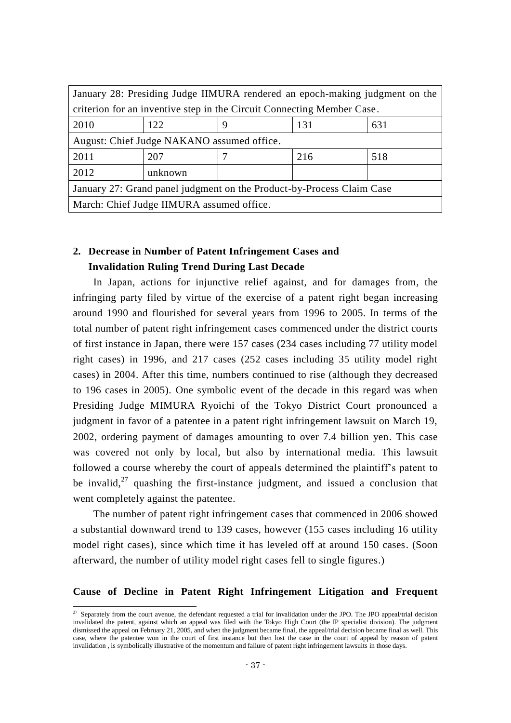| January 28: Presiding Judge IIMURA rendered an epoch-making judgment on the |         |   |     |     |  |  |
|-----------------------------------------------------------------------------|---------|---|-----|-----|--|--|
| criterion for an inventive step in the Circuit Connecting Member Case.      |         |   |     |     |  |  |
| 2010                                                                        | 122     | 9 | 131 | 631 |  |  |
| August: Chief Judge NAKANO assumed office.                                  |         |   |     |     |  |  |
| 2011                                                                        | 207     |   | 216 | 518 |  |  |
| 2012                                                                        | unknown |   |     |     |  |  |
| January 27: Grand panel judgment on the Product-by-Process Claim Case       |         |   |     |     |  |  |
| March: Chief Judge IIMURA assumed office.                                   |         |   |     |     |  |  |

## **2. Decrease in Number of Patent Infringement Cases and Invalidation Ruling Trend During Last Decade**

In Japan, actions for injunctive relief against, and for damages from, the infringing party filed by virtue of the exercise of a patent right began increasing around 1990 and flourished for several years from 1996 to 2005. In terms of the total number of patent right infringement cases commenced under the district courts of first instance in Japan, there were 157 cases (234 cases including 77 utility model right cases) in 1996, and 217 cases (252 cases including 35 utility model right cases) in 2004. After this time, numbers continued to rise (although they decreased to 196 cases in 2005). One symbolic event of the decade in this regard was when Presiding Judge MIMURA Ryoichi of the Tokyo District Court pronounced a judgment in favor of a patentee in a patent right infringement lawsuit on March 19, 2002, ordering payment of damages amounting to over 7.4 billion yen. This case was covered not only by local, but also by international media. This lawsuit followed a course whereby the court of appeals determined the plaintiff's patent to be invalid, $27$  quashing the first-instance judgment, and issued a conclusion that went completely against the patentee.

The number of patent right infringement cases that commenced in 2006 showed a substantial downward trend to 139 cases, however (155 cases including 16 utility model right cases), since which time it has leveled off at around 150 cases. (Soon afterward, the number of utility model right cases fell to single figures.)

#### **Cause of Decline in Patent Right Infringement Litigation and Frequent**

-

<sup>&</sup>lt;sup>27</sup> Separately from the court avenue, the defendant requested a trial for invalidation under the JPO. The JPO appeal/trial decision invalidated the patent, against which an appeal was filed with the Tokyo High Court (the IP specialist division). The judgment dismissed the appeal on February 21, 2005, and when the judgment became final, the appeal/trial decision became final as well. This case, where the patentee won in the court of first instance but then lost the case in the court of appeal by reason of patent invalidation , is symbolically illustrative of the momentum and failure of patent right infringement lawsuits in those days.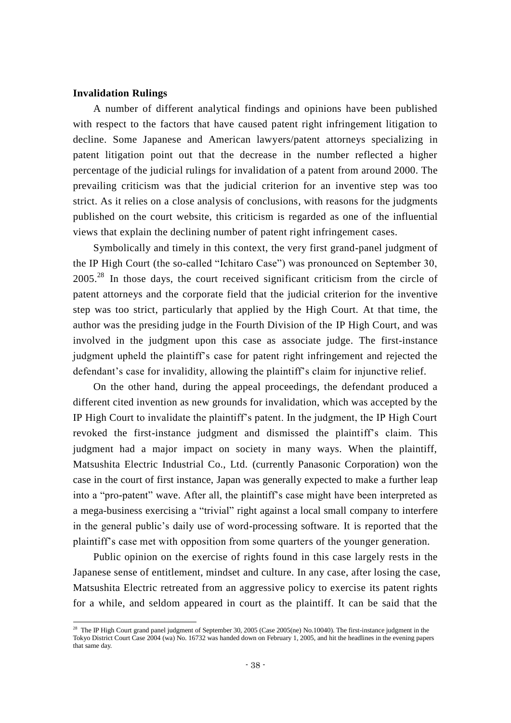#### **Invalidation Rulings**

-

A number of different analytical findings and opinions have been published with respect to the factors that have caused patent right infringement litigation to decline. Some Japanese and American lawyers/patent attorneys specializing in patent litigation point out that the decrease in the number reflected a higher percentage of the judicial rulings for invalidation of a patent from around 2000. The prevailing criticism was that the judicial criterion for an inventive step was too strict. As it relies on a close analysis of conclusions, with reasons for the judgments published on the court website, this criticism is regarded as one of the influential views that explain the declining number of patent right infringement cases.

Symbolically and timely in this context, the very first grand-panel judgment of the IP High Court (the so-called "Ichitaro Case") was pronounced on September 30,  $2005<sup>28</sup>$  In those days, the court received significant criticism from the circle of patent attorneys and the corporate field that the judicial criterion for the inventive step was too strict, particularly that applied by the High Court. At that time, the author was the presiding judge in the Fourth Division of the IP High Court, and was involved in the judgment upon this case as associate judge. The first-instance judgment upheld the plaintiff's case for patent right infringement and rejected the defendant's case for invalidity, allowing the plaintiff's claim for injunctive relief.

On the other hand, during the appeal proceedings, the defendant produced a different cited invention as new grounds for invalidation, which was accepted by the IP High Court to invalidate the plaintiff's patent. In the judgment, the IP High Court revoked the first-instance judgment and dismissed the plaintiff's claim. This judgment had a major impact on society in many ways. When the plaintiff, Matsushita Electric Industrial Co., Ltd. (currently Panasonic Corporation) won the case in the court of first instance, Japan was generally expected to make a further leap into a "pro-patent" wave. After all, the plaintiff's case might have been interpreted as a mega-business exercising a "trivial" right against a local small company to interfere in the general public's daily use of word-processing software. It is reported that the plaintiff's case met with opposition from some quarters of the younger generation.

Public opinion on the exercise of rights found in this case largely rests in the Japanese sense of entitlement, mindset and culture. In any case, after losing the case, Matsushita Electric retreated from an aggressive policy to exercise its patent rights for a while, and seldom appeared in court as the plaintiff. It can be said that the

<sup>&</sup>lt;sup>28</sup> The IP High Court grand panel judgment of September 30, 2005 (Case 2005(ne) No.10040). The first-instance judgment in the Tokyo District Court Case 2004 (wa) No. 16732 was handed down on February 1, 2005, and hit the headlines in the evening papers that same day.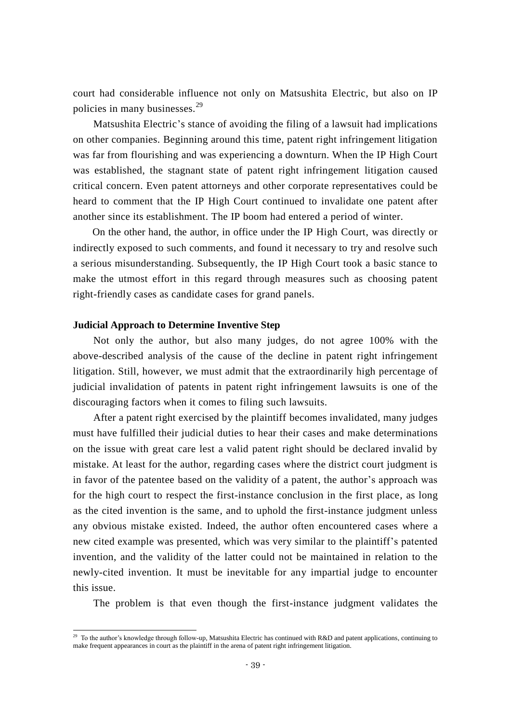court had considerable influence not only on Matsushita Electric, but also on IP policies in many businesses.<sup>29</sup>

Matsushita Electric's stance of avoiding the filing of a lawsuit had implications on other companies. Beginning around this time, patent right infringement litigation was far from flourishing and was experiencing a downturn. When the IP High Court was established, the stagnant state of patent right infringement litigation caused critical concern. Even patent attorneys and other corporate representatives could be heard to comment that the IP High Court continued to invalidate one patent after another since its establishment. The IP boom had entered a period of winter.

On the other hand, the author, in office under the IP High Court, was directly or indirectly exposed to such comments, and found it necessary to try and resolve such a serious misunderstanding. Subsequently, the IP High Court took a basic stance to make the utmost effort in this regard through measures such as choosing patent right-friendly cases as candidate cases for grand panels.

#### **Judicial Approach to Determine Inventive Step**

 $\overline{\phantom{a}}$ 

Not only the author, but also many judges, do not agree 100% with the above-described analysis of the cause of the decline in patent right infringement litigation. Still, however, we must admit that the extraordinarily high percentage of judicial invalidation of patents in patent right infringement lawsuits is one of the discouraging factors when it comes to filing such lawsuits.

After a patent right exercised by the plaintiff becomes invalidated, many judges must have fulfilled their judicial duties to hear their cases and make determinations on the issue with great care lest a valid patent right should be declared invalid by mistake. At least for the author, regarding cases where the district court judgment is in favor of the patentee based on the validity of a patent, the author's approach was for the high court to respect the first-instance conclusion in the first place, as long as the cited invention is the same, and to uphold the first-instance judgment unless any obvious mistake existed. Indeed, the author often encountered cases where a new cited example was presented, which was very similar to the plaintiff's patented invention, and the validity of the latter could not be maintained in relation to the newly-cited invention. It must be inevitable for any impartial judge to encounter this issue.

The problem is that even though the first-instance judgment validates the

<sup>&</sup>lt;sup>29</sup> To the author's knowledge through follow-up, Matsushita Electric has continued with R&D and patent applications, continuing to make frequent appearances in court as the plaintiff in the arena of patent right infringement litigation.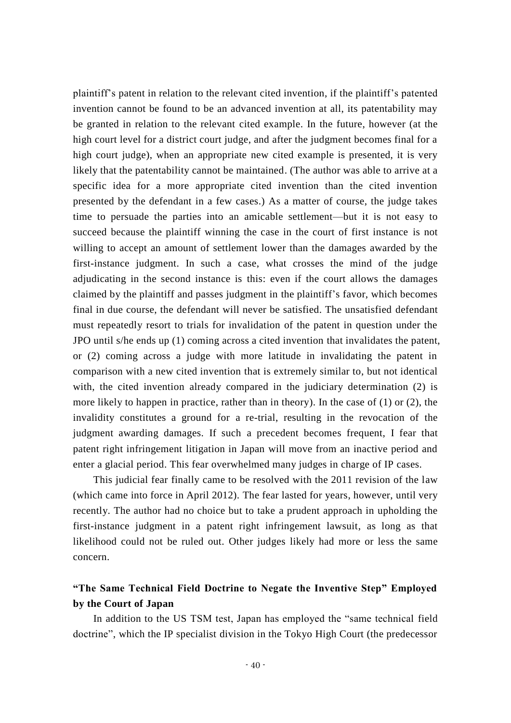plaintiff's patent in relation to the relevant cited invention, if the plaintiff's patented invention cannot be found to be an advanced invention at all, its patentability may be granted in relation to the relevant cited example. In the future, however (at the high court level for a district court judge, and after the judgment becomes final for a high court judge), when an appropriate new cited example is presented, it is very likely that the patentability cannot be maintained. (The author was able to arrive at a specific idea for a more appropriate cited invention than the cited invention presented by the defendant in a few cases.) As a matter of course, the judge takes time to persuade the parties into an amicable settlement—but it is not easy to succeed because the plaintiff winning the case in the court of first instance is not willing to accept an amount of settlement lower than the damages awarded by the first-instance judgment. In such a case, what crosses the mind of the judge adjudicating in the second instance is this: even if the court allows the damages claimed by the plaintiff and passes judgment in the plaintiff's favor, which becomes final in due course, the defendant will never be satisfied. The unsatisfied defendant must repeatedly resort to trials for invalidation of the patent in question under the JPO until s/he ends up (1) coming across a cited invention that invalidates the patent, or (2) coming across a judge with more latitude in invalidating the patent in comparison with a new cited invention that is extremely similar to, but not identical with, the cited invention already compared in the judiciary determination (2) is more likely to happen in practice, rather than in theory). In the case of (1) or (2), the invalidity constitutes a ground for a re-trial, resulting in the revocation of the judgment awarding damages. If such a precedent becomes frequent, I fear that patent right infringement litigation in Japan will move from an inactive period and enter a glacial period. This fear overwhelmed many judges in charge of IP cases.

This judicial fear finally came to be resolved with the 2011 revision of the law (which came into force in April 2012). The fear lasted for years, however, until very recently. The author had no choice but to take a prudent approach in upholding the first-instance judgment in a patent right infringement lawsuit, as long as that likelihood could not be ruled out. Other judges likely had more or less the same concern.

## **"The Same Technical Field Doctrine to Negate the Inventive Step" Employed by the Court of Japan**

In addition to the US TSM test, Japan has employed the "same technical field doctrine", which the IP specialist division in the Tokyo High Court (the predecessor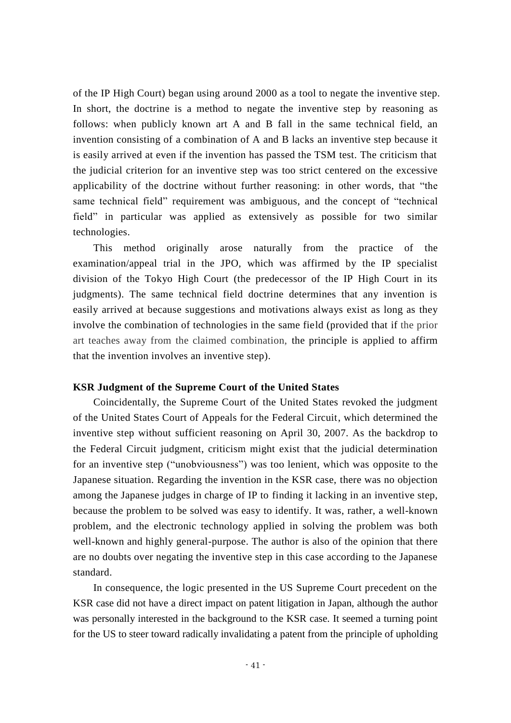of the IP High Court) began using around 2000 as a tool to negate the inventive step. In short, the doctrine is a method to negate the inventive step by reasoning as follows: when publicly known art A and B fall in the same technical field, an invention consisting of a combination of A and B lacks an inventive step because it is easily arrived at even if the invention has passed the TSM test. The criticism that the judicial criterion for an inventive step was too strict centered on the excessive applicability of the doctrine without further reasoning: in other words, that "the same technical field" requirement was ambiguous, and the concept of "technical field" in particular was applied as extensively as possible for two similar technologies.

This method originally arose naturally from the practice of the examination/appeal trial in the JPO, which was affirmed by the IP specialist division of the Tokyo High Court (the predecessor of the IP High Court in its judgments). The same technical field doctrine determines that any invention is easily arrived at because suggestions and motivations always exist as long as they involve the combination of technologies in the same field (provided that if the prior art teaches away from the claimed combination, the principle is applied to affirm that the invention involves an inventive step).

#### **KSR Judgment of the Supreme Court of the United States**

Coincidentally, the Supreme Court of the United States revoked the judgment of the United States Court of Appeals for the Federal Circuit, which determined the inventive step without sufficient reasoning on April 30, 2007. As the backdrop to the Federal Circuit judgment, criticism might exist that the judicial determination for an inventive step ("unobviousness") was too lenient, which was opposite to the Japanese situation. Regarding the invention in the KSR case, there was no objection among the Japanese judges in charge of IP to finding it lacking in an inventive step, because the problem to be solved was easy to identify. It was, rather, a well-known problem, and the electronic technology applied in solving the problem was both well-known and highly general-purpose. The author is also of the opinion that there are no doubts over negating the inventive step in this case according to the Japanese standard.

In consequence, the logic presented in the US Supreme Court precedent on the KSR case did not have a direct impact on patent litigation in Japan, although the author was personally interested in the background to the KSR case. It seemed a turning point for the US to steer toward radically invalidating a patent from the principle of upholding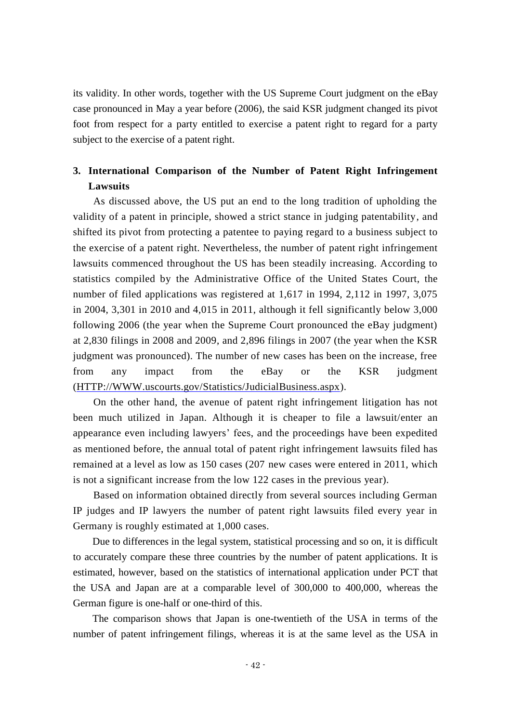its validity. In other words, together with the US Supreme Court judgment on the eBay case pronounced in May a year before (2006), the said KSR judgment changed its pivot foot from respect for a party entitled to exercise a patent right to regard for a party subject to the exercise of a patent right.

## **3. International Comparison of the Number of Patent Right Infringement Lawsuits**

As discussed above, the US put an end to the long tradition of upholding the validity of a patent in principle, showed a strict stance in judging patentability, and shifted its pivot from protecting a patentee to paying regard to a business subject to the exercise of a patent right. Nevertheless, the number of patent right infringement lawsuits commenced throughout the US has been steadily increasing. According to statistics compiled by the Administrative Office of the United States Court, the number of filed applications was registered at 1,617 in 1994, 2,112 in 1997, 3,075 in 2004, 3,301 in 2010 and 4,015 in 2011, although it fell significantly below 3,000 following 2006 (the year when the Supreme Court pronounced the eBay judgment) at 2,830 filings in 2008 and 2009, and 2,896 filings in 2007 (the year when the KSR judgment was pronounced). The number of new cases has been on the increase, free from any impact from the eBay or the KSR judgment [\(HTTP://WWW.uscourts.gov/S](http://www.uscourts.gov/)tatistics/JudicialBusiness.aspx).

On the other hand, the avenue of patent right infringement litigation has not been much utilized in Japan. Although it is cheaper to file a lawsuit/enter an appearance even including lawyers' fees, and the proceedings have been expedited as mentioned before, the annual total of patent right infringement lawsuits filed has remained at a level as low as 150 cases (207 new cases were entered in 2011, which is not a significant increase from the low 122 cases in the previous year).

Based on information obtained directly from several sources including German IP judges and IP lawyers the number of patent right lawsuits filed every year in Germany is roughly estimated at 1,000 cases.

Due to differences in the legal system, statistical processing and so on, it is difficult to accurately compare these three countries by the number of patent applications. It is estimated, however, based on the statistics of international application under PCT that the USA and Japan are at a comparable level of 300,000 to 400,000, whereas the German figure is one-half or one-third of this.

The comparison shows that Japan is one-twentieth of the USA in terms of the number of patent infringement filings, whereas it is at the same level as the USA in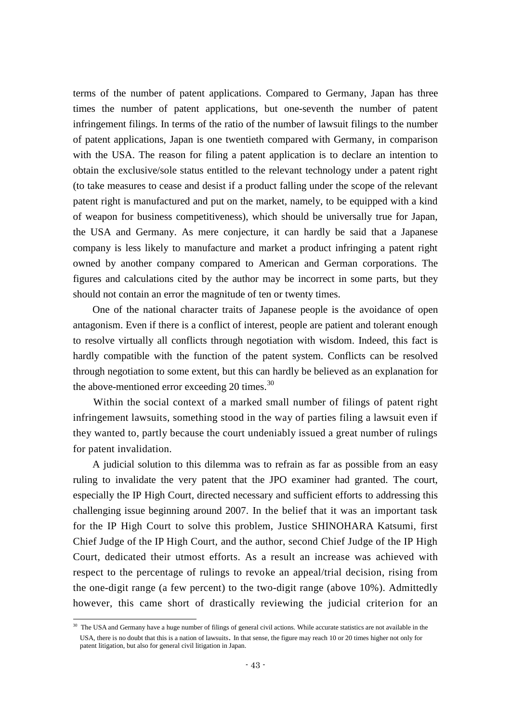terms of the number of patent applications. Compared to Germany, Japan has three times the number of patent applications, but one-seventh the number of patent infringement filings. In terms of the ratio of the number of lawsuit filings to the number of patent applications, Japan is one twentieth compared with Germany, in comparison with the USA. The reason for filing a patent application is to declare an intention to obtain the exclusive/sole status entitled to the relevant technology under a patent right (to take measures to cease and desist if a product falling under the scope of the relevant patent right is manufactured and put on the market, namely, to be equipped with a kind of weapon for business competitiveness), which should be universally true for Japan, the USA and Germany. As mere conjecture, it can hardly be said that a Japanese company is less likely to manufacture and market a product infringing a patent right owned by another company compared to American and German corporations. The figures and calculations cited by the author may be incorrect in some parts, but they should not contain an error the magnitude of ten or twenty times.

One of the national character traits of Japanese people is the avoidance of open antagonism. Even if there is a conflict of interest, people are patient and tolerant enough to resolve virtually all conflicts through negotiation with wisdom. Indeed, this fact is hardly compatible with the function of the patent system. Conflicts can be resolved through negotiation to some extent, but this can hardly be believed as an explanation for the above-mentioned error exceeding 20 times. $30$ 

Within the social context of a marked small number of filings of patent right infringement lawsuits, something stood in the way of parties filing a lawsuit even if they wanted to, partly because the court undeniably issued a great number of rulings for patent invalidation.

A judicial solution to this dilemma was to refrain as far as possible from an easy ruling to invalidate the very patent that the JPO examiner had granted. The court, especially the IP High Court, directed necessary and sufficient efforts to addressing this challenging issue beginning around 2007. In the belief that it was an important task for the IP High Court to solve this problem, Justice SHINOHARA Katsumi, first Chief Judge of the IP High Court, and the author, second Chief Judge of the IP High Court, dedicated their utmost efforts. As a result an increase was achieved with respect to the percentage of rulings to revoke an appeal/trial decision, rising from the one-digit range (a few percent) to the two-digit range (above 10%). Admittedly however, this came short of drastically reviewing the judicial criterion for an

 $\overline{\phantom{a}}$ 

<sup>&</sup>lt;sup>30</sup> The USA and Germany have a huge number of filings of general civil actions. While accurate statistics are not available in the USA, there is no doubt that this is a nation of lawsuits. In that sense, the figure may reach 10 or 20 times higher not only for patent litigation, but also for general civil litigation in Japan.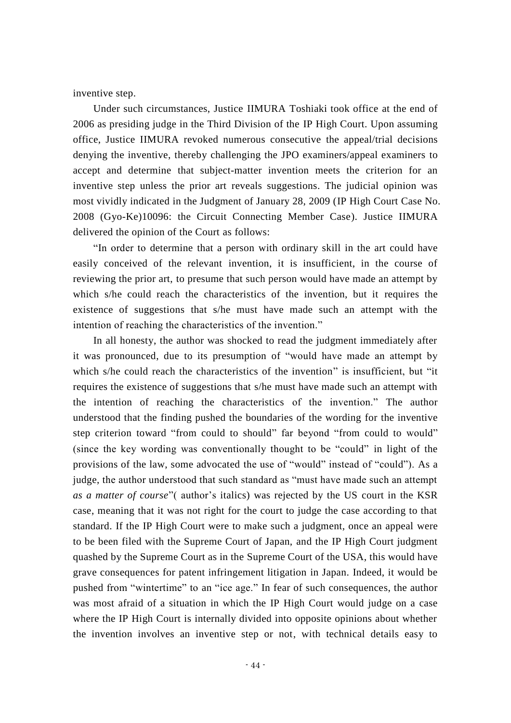inventive step.

Under such circumstances, Justice IIMURA Toshiaki took office at the end of 2006 as presiding judge in the Third Division of the IP High Court. Upon assuming office, Justice IIMURA revoked numerous consecutive the appeal/trial decisions denying the inventive, thereby challenging the JPO examiners/appeal examiners to accept and determine that subject-matter invention meets the criterion for an inventive step unless the prior art reveals suggestions. The judicial opinion was most vividly indicated in the Judgment of January 28, 2009 (IP High Court Case No. 2008 (Gyo-Ke)10096: the Circuit Connecting Member Case). Justice IIMURA delivered the opinion of the Court as follows:

"In order to determine that a person with ordinary skill in the art could have easily conceived of the relevant invention, it is insufficient, in the course of reviewing the prior art, to presume that such person would have made an attempt by which s/he could reach the characteristics of the invention, but it requires the existence of suggestions that s/he must have made such an attempt with the intention of reaching the characteristics of the invention."

In all honesty, the author was shocked to read the judgment immediately after it was pronounced, due to its presumption of "would have made an attempt by which s/he could reach the characteristics of the invention" is insufficient, but "it requires the existence of suggestions that s/he must have made such an attempt with the intention of reaching the characteristics of the invention." The author understood that the finding pushed the boundaries of the wording for the inventive step criterion toward "from could to should" far beyond "from could to would" (since the key wording was conventionally thought to be "could" in light of the provisions of the law, some advocated the use of "would" instead of "could"). As a judge, the author understood that such standard as "must have made such an attempt *as a matter of course*"( author's italics) was rejected by the US court in the KSR case, meaning that it was not right for the court to judge the case according to that standard. If the IP High Court were to make such a judgment, once an appeal were to be been filed with the Supreme Court of Japan, and the IP High Court judgment quashed by the Supreme Court as in the Supreme Court of the USA, this would have grave consequences for patent infringement litigation in Japan. Indeed, it would be pushed from "wintertime" to an "ice age." In fear of such consequences, the author was most afraid of a situation in which the IP High Court would judge on a case where the IP High Court is internally divided into opposite opinions about whether the invention involves an inventive step or not, with technical details easy to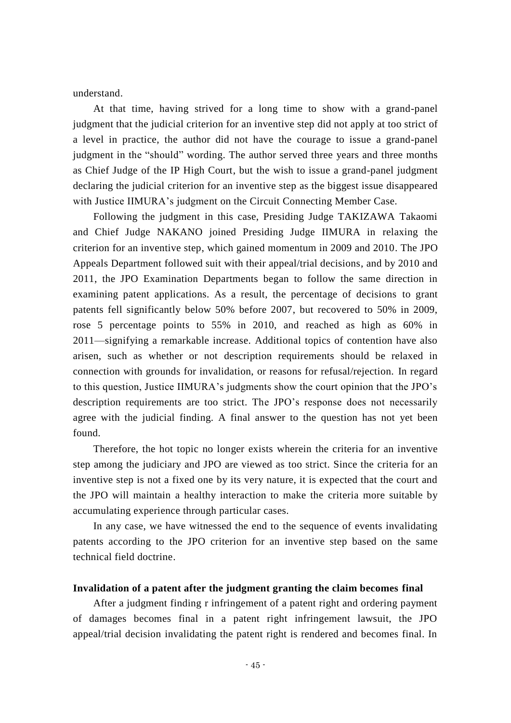understand.

At that time, having strived for a long time to show with a grand-panel judgment that the judicial criterion for an inventive step did not apply at too strict of a level in practice, the author did not have the courage to issue a grand-panel judgment in the "should" wording. The author served three years and three months as Chief Judge of the IP High Court, but the wish to issue a grand-panel judgment declaring the judicial criterion for an inventive step as the biggest issue disappeared with Justice IIMURA's judgment on the Circuit Connecting Member Case.

Following the judgment in this case, Presiding Judge TAKIZAWA Takaomi and Chief Judge NAKANO joined Presiding Judge IIMURA in relaxing the criterion for an inventive step, which gained momentum in 2009 and 2010. The JPO Appeals Department followed suit with their appeal/trial decisions, and by 2010 and 2011, the JPO Examination Departments began to follow the same direction in examining patent applications. As a result, the percentage of decisions to grant patents fell significantly below 50% before 2007, but recovered to 50% in 2009, rose 5 percentage points to 55% in 2010, and reached as high as 60% in 2011—signifying a remarkable increase. Additional topics of contention have also arisen, such as whether or not description requirements should be relaxed in connection with grounds for invalidation, or reasons for refusal/rejection. In regard to this question, Justice IIMURA's judgments show the court opinion that the JPO's description requirements are too strict. The JPO's response does not necessarily agree with the judicial finding. A final answer to the question has not yet been found.

Therefore, the hot topic no longer exists wherein the criteria for an inventive step among the judiciary and JPO are viewed as too strict. Since the criteria for an inventive step is not a fixed one by its very nature, it is expected that the court and the JPO will maintain a healthy interaction to make the criteria more suitable by accumulating experience through particular cases.

In any case, we have witnessed the end to the sequence of events invalidating patents according to the JPO criterion for an inventive step based on the same technical field doctrine.

#### **Invalidation of a patent after the judgment granting the claim becomes final**

After a judgment finding r infringement of a patent right and ordering payment of damages becomes final in a patent right infringement lawsuit, the JPO appeal/trial decision invalidating the patent right is rendered and becomes final. In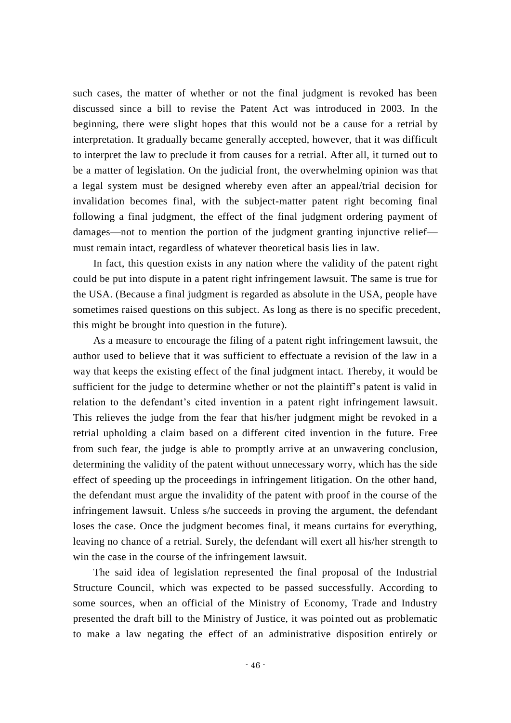such cases, the matter of whether or not the final judgment is revoked has been discussed since a bill to revise the Patent Act was introduced in 2003. In the beginning, there were slight hopes that this would not be a cause for a retrial by interpretation. It gradually became generally accepted, however, that it was difficult to interpret the law to preclude it from causes for a retrial. After all, it turned out to be a matter of legislation. On the judicial front, the overwhelming opinion was that a legal system must be designed whereby even after an appeal/trial decision for invalidation becomes final, with the subject-matter patent right becoming final following a final judgment, the effect of the final judgment ordering payment of damages—not to mention the portion of the judgment granting injunctive relief must remain intact, regardless of whatever theoretical basis lies in law.

In fact, this question exists in any nation where the validity of the patent right could be put into dispute in a patent right infringement lawsuit. The same is true for the USA. (Because a final judgment is regarded as absolute in the USA, people have sometimes raised questions on this subject. As long as there is no specific precedent, this might be brought into question in the future).

As a measure to encourage the filing of a patent right infringement lawsuit, the author used to believe that it was sufficient to effectuate a revision of the law in a way that keeps the existing effect of the final judgment intact. Thereby, it would be sufficient for the judge to determine whether or not the plaintiff's patent is valid in relation to the defendant's cited invention in a patent right infringement lawsuit. This relieves the judge from the fear that his/her judgment might be revoked in a retrial upholding a claim based on a different cited invention in the future. Free from such fear, the judge is able to promptly arrive at an unwavering conclusion, determining the validity of the patent without unnecessary worry, which has the side effect of speeding up the proceedings in infringement litigation. On the other hand, the defendant must argue the invalidity of the patent with proof in the course of the infringement lawsuit. Unless s/he succeeds in proving the argument, the defendant loses the case. Once the judgment becomes final, it means curtains for everything, leaving no chance of a retrial. Surely, the defendant will exert all his/her strength to win the case in the course of the infringement lawsuit.

The said idea of legislation represented the final proposal of the Industrial Structure Council, which was expected to be passed successfully. According to some sources, when an official of the Ministry of Economy, Trade and Industry presented the draft bill to the Ministry of Justice, it was pointed out as problematic to make a law negating the effect of an administrative disposition entirely or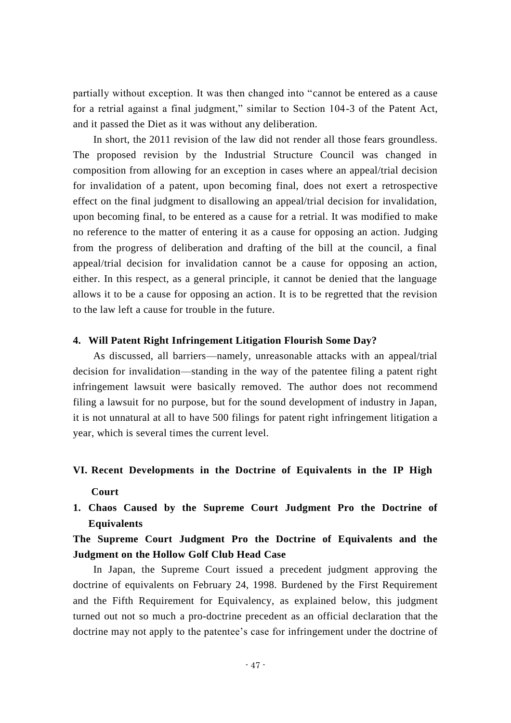partially without exception. It was then changed into "cannot be entered as a cause for a retrial against a final judgment," similar to Section 104-3 of the Patent Act, and it passed the Diet as it was without any deliberation.

In short, the 2011 revision of the law did not render all those fears groundless. The proposed revision by the Industrial Structure Council was changed in composition from allowing for an exception in cases where an appeal/trial decision for invalidation of a patent, upon becoming final, does not exert a retrospective effect on the final judgment to disallowing an appeal/trial decision for invalidation, upon becoming final, to be entered as a cause for a retrial. It was modified to make no reference to the matter of entering it as a cause for opposing an action. Judging from the progress of deliberation and drafting of the bill at the council, a final appeal/trial decision for invalidation cannot be a cause for opposing an action, either. In this respect, as a general principle, it cannot be denied that the language allows it to be a cause for opposing an action. It is to be regretted that the revision to the law left a cause for trouble in the future.

#### **4. Will Patent Right Infringement Litigation Flourish Some Day?**

As discussed, all barriers—namely, unreasonable attacks with an appeal/trial decision for invalidation—standing in the way of the patentee filing a patent right infringement lawsuit were basically removed. The author does not recommend filing a lawsuit for no purpose, but for the sound development of industry in Japan, it is not unnatural at all to have 500 filings for patent right infringement litigation a year, which is several times the current level.

## **VI. Recent Developments in the Doctrine of Equivalents in the IP High Court**

**1. Chaos Caused by the Supreme Court Judgment Pro the Doctrine of Equivalents**

## **The Supreme Court Judgment Pro the Doctrine of Equivalents and the Judgment on the Hollow Golf Club Head Case**

In Japan, the Supreme Court issued a precedent judgment approving the doctrine of equivalents on February 24, 1998. Burdened by the First Requirement and the Fifth Requirement for Equivalency, as explained below, this judgment turned out not so much a pro-doctrine precedent as an official declaration that the doctrine may not apply to the patentee's case for infringement under the doctrine of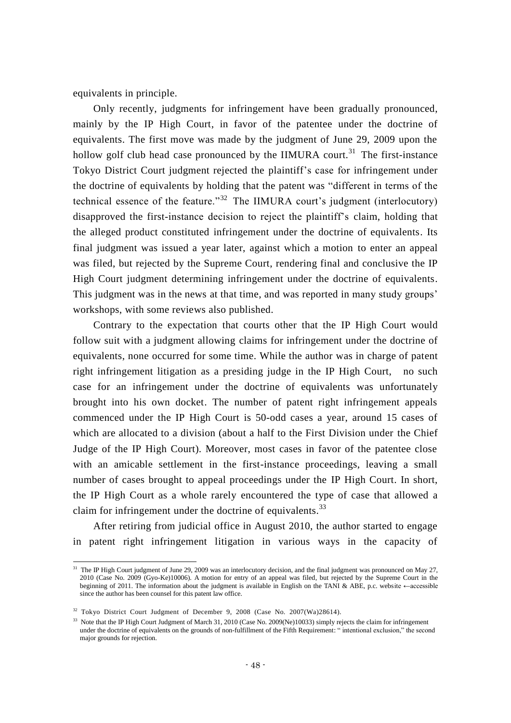equivalents in principle.

Only recently, judgments for infringement have been gradually pronounced, mainly by the IP High Court, in favor of the patentee under the doctrine of equivalents. The first move was made by the judgment of June 29, 2009 upon the hollow golf club head case pronounced by the IIMURA court.<sup>31</sup> The first-instance Tokyo District Court judgment rejected the plaintiff's case for infringement under the doctrine of equivalents by holding that the patent was "different in terms of the technical essence of the feature."<sup>32</sup> The IIMURA court's judgment (interlocutory) disapproved the first-instance decision to reject the plaintiff's claim, holding that the alleged product constituted infringement under the doctrine of equivalents. Its final judgment was issued a year later, against which a motion to enter an appeal was filed, but rejected by the Supreme Court, rendering final and conclusive the IP High Court judgment determining infringement under the doctrine of equivalents. This judgment was in the news at that time, and was reported in many study groups' workshops, with some reviews also published.

Contrary to the expectation that courts other that the IP High Court would follow suit with a judgment allowing claims for infringement under the doctrine of equivalents, none occurred for some time. While the author was in charge of patent right infringement litigation as a presiding judge in the IP High Court, no such case for an infringement under the doctrine of equivalents was unfortunately brought into his own docket. The number of patent right infringement appeals commenced under the IP High Court is 50-odd cases a year, around 15 cases of which are allocated to a division (about a half to the First Division under the Chief Judge of the IP High Court). Moreover, most cases in favor of the patentee close with an amicable settlement in the first-instance proceedings, leaving a small number of cases brought to appeal proceedings under the IP High Court. In short, the IP High Court as a whole rarely encountered the type of case that allowed a claim for infringement under the doctrine of equivalents.<sup>33</sup>

After retiring from judicial office in August 2010, the author started to engage in patent right infringement litigation in various ways in the capacity of

 $\overline{\phantom{a}}$ 

<sup>&</sup>lt;sup>31</sup> The IP High Court judgment of June 29, 2009 was an interlocutory decision, and the final judgment was pronounced on May 27, 2010 (Case No. 2009 (Gyo-Ke)10006). A motion for entry of an appeal was filed, but rejected by the Supreme Court in the beginning of 2011. The information about the judgment is available in English on the TANI & ABE, p.c. website ←accessible since the author has been counsel for this patent law office.

<sup>&</sup>lt;sup>32</sup> Tokyo District Court Judgment of December 9, 2008 (Case No. 2007(Wa)28614).

<sup>&</sup>lt;sup>33</sup> Note that the IP High Court Judgment of March 31, 2010 (Case No. 2009(Ne)10033) simply rejects the claim for infringement under the doctrine of equivalents on the grounds of non-fulfillment of the Fifth Requirement: " intentional exclusion," the second major grounds for rejection.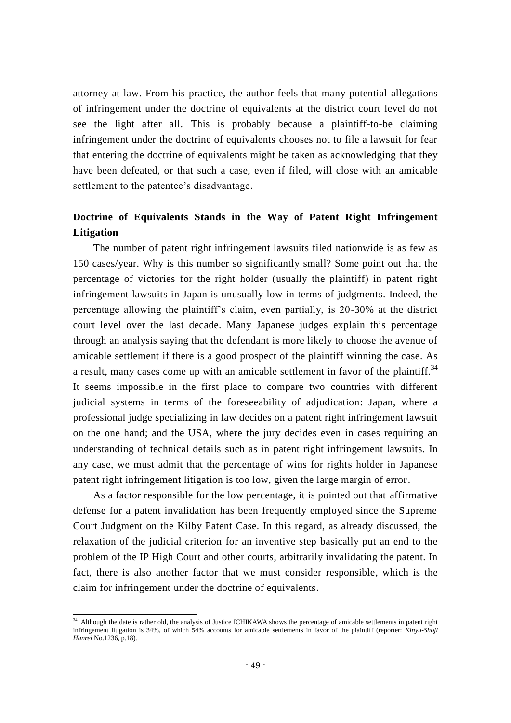attorney-at-law. From his practice, the author feels that many potential allegations of infringement under the doctrine of equivalents at the district court level do not see the light after all. This is probably because a plaintiff-to-be claiming infringement under the doctrine of equivalents chooses not to file a lawsuit for fear that entering the doctrine of equivalents might be taken as acknowledging that they have been defeated, or that such a case, even if filed, will close with an amicable settlement to the patentee's disadvantage.

## **Doctrine of Equivalents Stands in the Way of Patent Right Infringement Litigation**

The number of patent right infringement lawsuits filed nationwide is as few as 150 cases/year. Why is this number so significantly small? Some point out that the percentage of victories for the right holder (usually the plaintiff) in patent right infringement lawsuits in Japan is unusually low in terms of judgments. Indeed, the percentage allowing the plaintiff's claim, even partially, is 20-30% at the district court level over the last decade. Many Japanese judges explain this percentage through an analysis saying that the defendant is more likely to choose the avenue of amicable settlement if there is a good prospect of the plaintiff winning the case. As a result, many cases come up with an amicable settlement in favor of the plaintiff.<sup>34</sup> It seems impossible in the first place to compare two countries with different judicial systems in terms of the foreseeability of adjudication: Japan, where a professional judge specializing in law decides on a patent right infringement lawsuit on the one hand; and the USA, where the jury decides even in cases requiring an understanding of technical details such as in patent right infringement lawsuits. In any case, we must admit that the percentage of wins for rights holder in Japanese patent right infringement litigation is too low, given the large margin of error.

As a factor responsible for the low percentage, it is pointed out that affirmative defense for a patent invalidation has been frequently employed since the Supreme Court Judgment on the Kilby Patent Case. In this regard, as already discussed, the relaxation of the judicial criterion for an inventive step basically put an end to the problem of the IP High Court and other courts, arbitrarily invalidating the patent. In fact, there is also another factor that we must consider responsible, which is the claim for infringement under the doctrine of equivalents.

-

<sup>&</sup>lt;sup>34</sup> Although the date is rather old, the analysis of Justice ICHIKAWA shows the percentage of amicable settlements in patent right infringement litigation is 34%, of which 54% accounts for amicable settlements in favor of the plaintiff (reporter: *Kinyu-Shoji Hanrei* No.1236, p.18).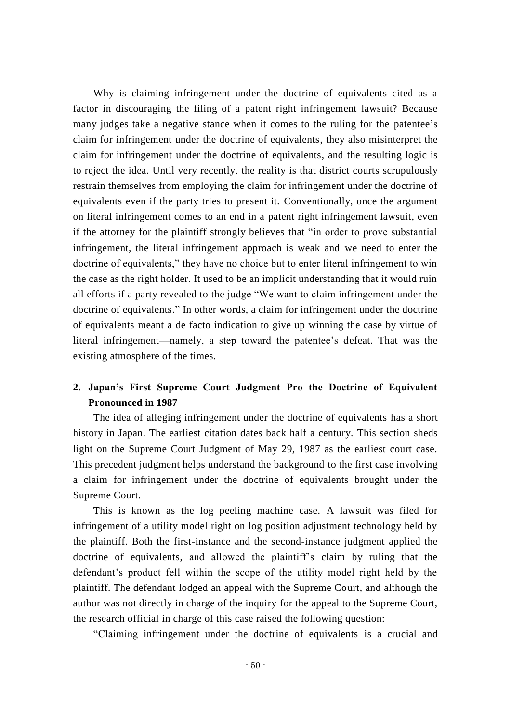Why is claiming infringement under the doctrine of equivalents cited as a factor in discouraging the filing of a patent right infringement lawsuit? Because many judges take a negative stance when it comes to the ruling for the patentee's claim for infringement under the doctrine of equivalents, they also misinterpret the claim for infringement under the doctrine of equivalents, and the resulting logic is to reject the idea. Until very recently, the reality is that district courts scrupulously restrain themselves from employing the claim for infringement under the doctrine of equivalents even if the party tries to present it. Conventionally, once the argument on literal infringement comes to an end in a patent right infringement lawsuit, even if the attorney for the plaintiff strongly believes that "in order to prove substantial infringement, the literal infringement approach is weak and we need to enter the doctrine of equivalents," they have no choice but to enter literal infringement to win the case as the right holder. It used to be an implicit understanding that it would ruin all efforts if a party revealed to the judge "We want to claim infringement under the doctrine of equivalents." In other words, a claim for infringement under the doctrine of equivalents meant a de facto indication to give up winning the case by virtue of literal infringement—namely, a step toward the patentee's defeat. That was the existing atmosphere of the times.

## **2. Japan's First Supreme Court Judgment Pro the Doctrine of Equivalent Pronounced in 1987**

The idea of alleging infringement under the doctrine of equivalents has a short history in Japan. The earliest citation dates back half a century. This section sheds light on the Supreme Court Judgment of May 29, 1987 as the earliest court case. This precedent judgment helps understand the background to the first case involving a claim for infringement under the doctrine of equivalents brought under the Supreme Court.

This is known as the log peeling machine case. A lawsuit was filed for infringement of a utility model right on log position adjustment technology held by the plaintiff. Both the first-instance and the second-instance judgment applied the doctrine of equivalents, and allowed the plaintiff's claim by ruling that the defendant's product fell within the scope of the utility model right held by the plaintiff. The defendant lodged an appeal with the Supreme Court, and although the author was not directly in charge of the inquiry for the appeal to the Supreme Court, the research official in charge of this case raised the following question:

"Claiming infringement under the doctrine of equivalents is a crucial and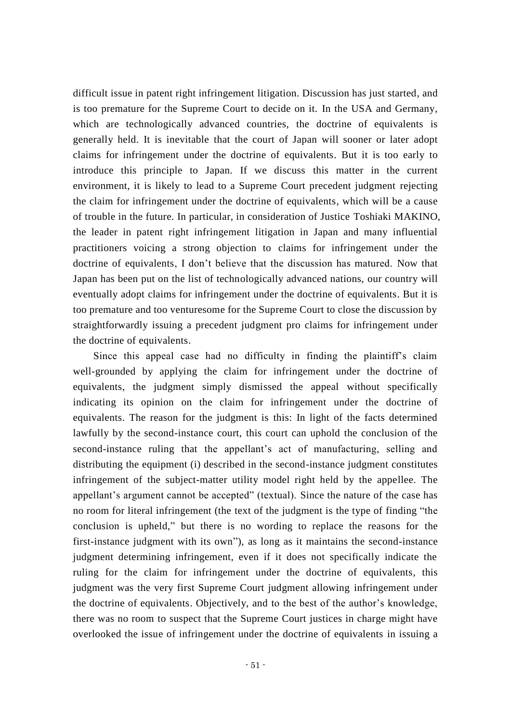difficult issue in patent right infringement litigation. Discussion has just started, and is too premature for the Supreme Court to decide on it. In the USA and Germany, which are technologically advanced countries, the doctrine of equivalents is generally held. It is inevitable that the court of Japan will sooner or later adopt claims for infringement under the doctrine of equivalents. But it is too early to introduce this principle to Japan. If we discuss this matter in the current environment, it is likely to lead to a Supreme Court precedent judgment rejecting the claim for infringement under the doctrine of equivalents, which will be a cause of trouble in the future. In particular, in consideration of Justice Toshiaki MAKINO, the leader in patent right infringement litigation in Japan and many influential practitioners voicing a strong objection to claims for infringement under the doctrine of equivalents, I don't believe that the discussion has matured. Now that Japan has been put on the list of technologically advanced nations, our country will eventually adopt claims for infringement under the doctrine of equivalents. But it is too premature and too venturesome for the Supreme Court to close the discussion by straightforwardly issuing a precedent judgment pro claims for infringement under the doctrine of equivalents.

Since this appeal case had no difficulty in finding the plaintiff's claim well-grounded by applying the claim for infringement under the doctrine of equivalents, the judgment simply dismissed the appeal without specifically indicating its opinion on the claim for infringement under the doctrine of equivalents. The reason for the judgment is this: In light of the facts determined lawfully by the second-instance court, this court can uphold the conclusion of the second-instance ruling that the appellant's act of manufacturing, selling and distributing the equipment (i) described in the second-instance judgment constitutes infringement of the subject-matter utility model right held by the appellee. The appellant's argument cannot be accepted" (textual). Since the nature of the case has no room for literal infringement (the text of the judgment is the type of finding "the conclusion is upheld," but there is no wording to replace the reasons for the first-instance judgment with its own"), as long as it maintains the second-instance judgment determining infringement, even if it does not specifically indicate the ruling for the claim for infringement under the doctrine of equivalents, this judgment was the very first Supreme Court judgment allowing infringement under the doctrine of equivalents. Objectively, and to the best of the author's knowledge, there was no room to suspect that the Supreme Court justices in charge might have overlooked the issue of infringement under the doctrine of equivalents in issuing a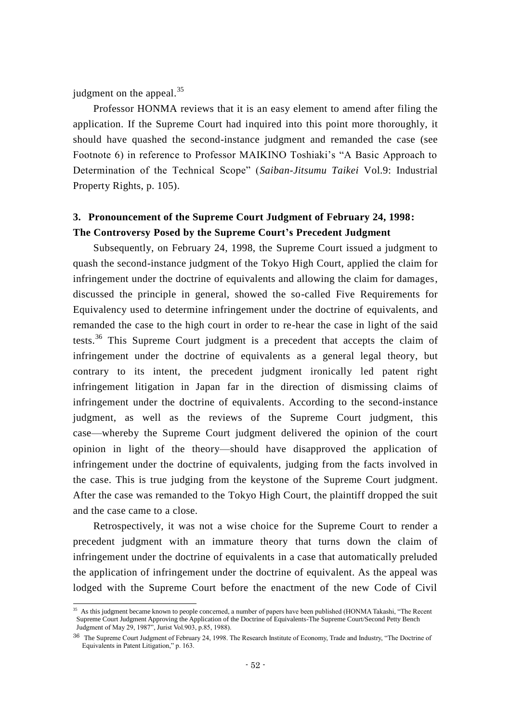judgment on the appeal. $35$ 

 $\overline{a}$ 

Professor HONMA reviews that it is an easy element to amend after filing the application. If the Supreme Court had inquired into this point more thoroughly, it should have quashed the second-instance judgment and remanded the case (see Footnote 6) in reference to Professor MAIKINO Toshiaki's "A Basic Approach to Determination of the Technical Scope" (*Saiban-Jitsumu Taikei* Vol.9: Industrial Property Rights, p. 105).

## **3. Pronouncement of the Supreme Court Judgment of February 24, 1998: The Controversy Posed by the Supreme Court's Precedent Judgment**

Subsequently, on February 24, 1998, the Supreme Court issued a judgment to quash the second-instance judgment of the Tokyo High Court, applied the claim for infringement under the doctrine of equivalents and allowing the claim for damages, discussed the principle in general, showed the so-called Five Requirements for Equivalency used to determine infringement under the doctrine of equivalents, and remanded the case to the high court in order to re-hear the case in light of the said tests.<sup>36</sup> This Supreme Court judgment is a precedent that accepts the claim of infringement under the doctrine of equivalents as a general legal theory, but contrary to its intent, the precedent judgment ironically led patent right infringement litigation in Japan far in the direction of dismissing claims of infringement under the doctrine of equivalents. According to the second-instance judgment, as well as the reviews of the Supreme Court judgment, this case—whereby the Supreme Court judgment delivered the opinion of the court opinion in light of the theory—should have disapproved the application of infringement under the doctrine of equivalents, judging from the facts involved in the case. This is true judging from the keystone of the Supreme Court judgment. After the case was remanded to the Tokyo High Court, the plaintiff dropped the suit and the case came to a close.

Retrospectively, it was not a wise choice for the Supreme Court to render a precedent judgment with an immature theory that turns down the claim of infringement under the doctrine of equivalents in a case that automatically preluded the application of infringement under the doctrine of equivalent. As the appeal was lodged with the Supreme Court before the enactment of the new Code of Civil

<sup>&</sup>lt;sup>35</sup> As this judgment became known to people concerned, a number of papers have been published (HONMA Takashi, "The Recent Supreme Court Judgment Approving the Application of the Doctrine of Equivalents-The Supreme Court/Second Petty Bench Judgment of May 29, 1987", Jurist Vol.903, p.85, 1988).

<sup>36</sup> The Supreme Court Judgment of February 24, 1998. The Research Institute of Economy, Trade and Industry, "The Doctrine of Equivalents in Patent Litigation," p. 163.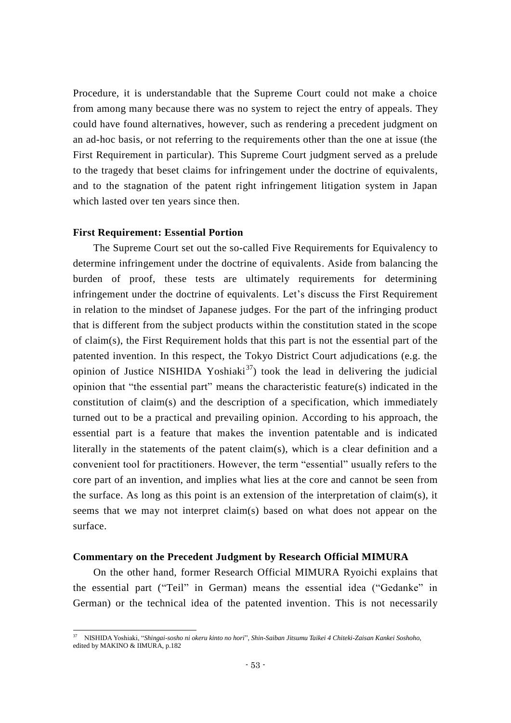Procedure, it is understandable that the Supreme Court could not make a choice from among many because there was no system to reject the entry of appeals. They could have found alternatives, however, such as rendering a precedent judgment on an ad-hoc basis, or not referring to the requirements other than the one at issue (the First Requirement in particular). This Supreme Court judgment served as a prelude to the tragedy that beset claims for infringement under the doctrine of equivalents, and to the stagnation of the patent right infringement litigation system in Japan which lasted over ten years since then.

#### **First Requirement: Essential Portion**

 $\overline{\phantom{a}}$ 

The Supreme Court set out the so-called Five Requirements for Equivalency to determine infringement under the doctrine of equivalents. Aside from balancing the burden of proof, these tests are ultimately requirements for determining infringement under the doctrine of equivalents. Let's discuss the First Requirement in relation to the mindset of Japanese judges. For the part of the infringing product that is different from the subject products within the constitution stated in the scope of claim(s), the First Requirement holds that this part is not the essential part of the patented invention. In this respect, the Tokyo District Court adjudications (e.g. the opinion of Justice NISHIDA Yoshiaki<sup>37</sup>) took the lead in delivering the judicial opinion that "the essential part" means the characteristic feature(s) indicated in the constitution of claim(s) and the description of a specification, which immediately turned out to be a practical and prevailing opinion. According to his approach, the essential part is a feature that makes the invention patentable and is indicated literally in the statements of the patent claim(s), which is a clear definition and a convenient tool for practitioners. However, the term "essential" usually refers to the core part of an invention, and implies what lies at the core and cannot be seen from the surface. As long as this point is an extension of the interpretation of claim(s), it seems that we may not interpret claim(s) based on what does not appear on the surface.

#### **Commentary on the Precedent Judgment by Research Official MIMURA**

On the other hand, former Research Official MIMURA Ryoichi explains that the essential part ("Teil" in German) means the essential idea ("Gedanke" in German) or the technical idea of the patented invention. This is not necessarily

<sup>37</sup> NISHIDA Yoshiaki, "*Shingai-sosho ni okeru kinto no hori*", *Shin-Saiban Jitsumu Taikei 4 Chiteki-Zaisan Kankei Soshoho*, edited by MAKINO & IIMURA, p.182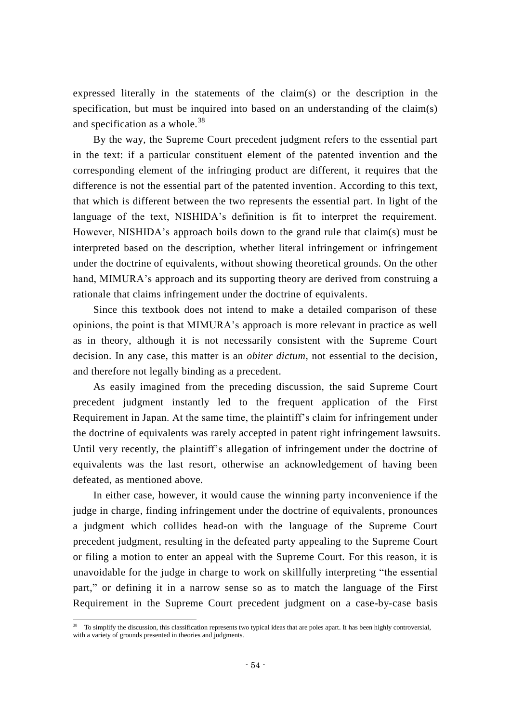expressed literally in the statements of the claim(s) or the description in the specification, but must be inquired into based on an understanding of the claim(s) and specification as a whole. $38$ 

By the way, the Supreme Court precedent judgment refers to the essential part in the text: if a particular constituent element of the patented invention and the corresponding element of the infringing product are different, it requires that the difference is not the essential part of the patented invention. According to this text, that which is different between the two represents the essential part. In light of the language of the text, NISHIDA's definition is fit to interpret the requirement. However, NISHIDA's approach boils down to the grand rule that claim(s) must be interpreted based on the description, whether literal infringement or infringement under the doctrine of equivalents, without showing theoretical grounds. On the other hand, MIMURA's approach and its supporting theory are derived from construing a rationale that claims infringement under the doctrine of equivalents.

Since this textbook does not intend to make a detailed comparison of these opinions, the point is that MIMURA's approach is more relevant in practice as well as in theory, although it is not necessarily consistent with the Supreme Court decision. In any case, this matter is an *obiter dictum*, not essential to the decision, and therefore not legally binding as a precedent.

As easily imagined from the preceding discussion, the said Supreme Court precedent judgment instantly led to the frequent application of the First Requirement in Japan. At the same time, the plaintiff's claim for infringement under the doctrine of equivalents was rarely accepted in patent right infringement lawsuits. Until very recently, the plaintiff's allegation of infringement under the doctrine of equivalents was the last resort, otherwise an acknowledgement of having been defeated, as mentioned above.

In either case, however, it would cause the winning party inconvenience if the judge in charge, finding infringement under the doctrine of equivalents, pronounces a judgment which collides head-on with the language of the Supreme Court precedent judgment, resulting in the defeated party appealing to the Supreme Court or filing a motion to enter an appeal with the Supreme Court. For this reason, it is unavoidable for the judge in charge to work on skillfully interpreting "the essential part," or defining it in a narrow sense so as to match the language of the First Requirement in the Supreme Court precedent judgment on a case-by-case basis

 $\overline{\phantom{a}}$ 

<sup>&</sup>lt;sup>38</sup> To simplify the discussion, this classification represents two typical ideas that are poles apart. It has been highly controversial, with a variety of grounds presented in theories and judgments.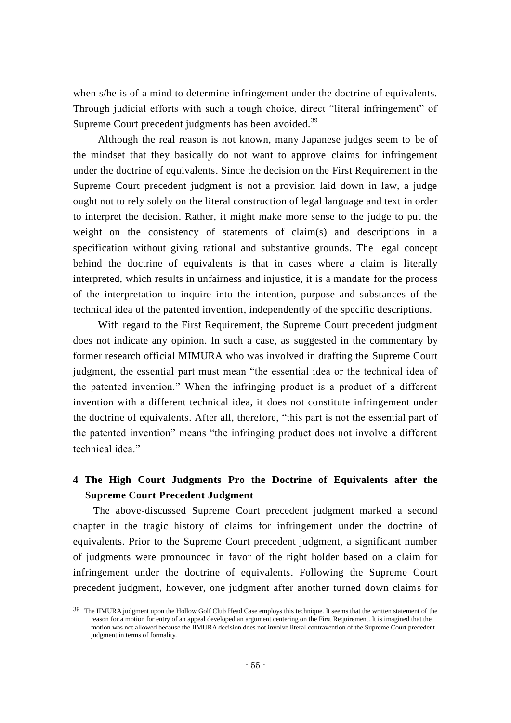when s/he is of a mind to determine infringement under the doctrine of equivalents. Through judicial efforts with such a tough choice, direct "literal infringement" of Supreme Court precedent judgments has been avoided.<sup>39</sup>

Although the real reason is not known, many Japanese judges seem to be of the mindset that they basically do not want to approve claims for infringement under the doctrine of equivalents. Since the decision on the First Requirement in the Supreme Court precedent judgment is not a provision laid down in law, a judge ought not to rely solely on the literal construction of legal language and text in order to interpret the decision. Rather, it might make more sense to the judge to put the weight on the consistency of statements of claim(s) and descriptions in a specification without giving rational and substantive grounds. The legal concept behind the doctrine of equivalents is that in cases where a claim is literally interpreted, which results in unfairness and injustice, it is a mandate for the process of the interpretation to inquire into the intention, purpose and substances of the technical idea of the patented invention, independently of the specific descriptions.

With regard to the First Requirement, the Supreme Court precedent judgment does not indicate any opinion. In such a case, as suggested in the commentary by former research official MIMURA who was involved in drafting the Supreme Court judgment, the essential part must mean "the essential idea or the technical idea of the patented invention." When the infringing product is a product of a different invention with a different technical idea, it does not constitute infringement under the doctrine of equivalents. After all, therefore, "this part is not the essential part of the patented invention" means "the infringing product does not involve a different technical idea."

## **4 The High Court Judgments Pro the Doctrine of Equivalents after the Supreme Court Precedent Judgment**

The above-discussed Supreme Court precedent judgment marked a second chapter in the tragic history of claims for infringement under the doctrine of equivalents. Prior to the Supreme Court precedent judgment, a significant number of judgments were pronounced in favor of the right holder based on a claim for infringement under the doctrine of equivalents. Following the Supreme Court precedent judgment, however, one judgment after another turned down claims for

 $\overline{a}$ 

<sup>&</sup>lt;sup>39</sup> The IIMURA judgment upon the Hollow Golf Club Head Case employs this technique. It seems that the written statement of the reason for a motion for entry of an appeal developed an argument centering on the First Requirement. It is imagined that the motion was not allowed because the IIMURA decision does not involve literal contravention of the Supreme Court precedent judgment in terms of formality.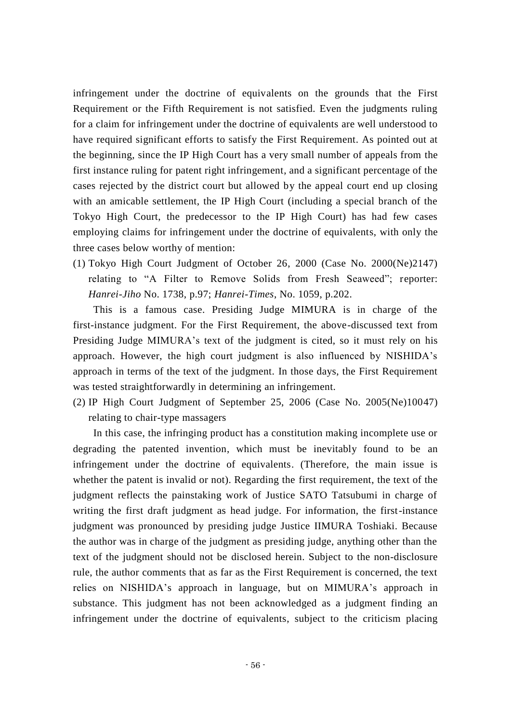infringement under the doctrine of equivalents on the grounds that the First Requirement or the Fifth Requirement is not satisfied. Even the judgments ruling for a claim for infringement under the doctrine of equivalents are well understood to have required significant efforts to satisfy the First Requirement. As pointed out at the beginning, since the IP High Court has a very small number of appeals from the first instance ruling for patent right infringement, and a significant percentage of the cases rejected by the district court but allowed by the appeal court end up closing with an amicable settlement, the IP High Court (including a special branch of the Tokyo High Court, the predecessor to the IP High Court) has had few cases employing claims for infringement under the doctrine of equivalents, with only the three cases below worthy of mention:

(1) Tokyo High Court Judgment of October 26, 2000 (Case No. 2000(Ne)2147) relating to "A Filter to Remove Solids from Fresh Seaweed"; reporter: *Hanrei-Jiho* No. 1738, p.97; *Hanrei-Times*, No. 1059, p.202.

This is a famous case. Presiding Judge MIMURA is in charge of the first-instance judgment. For the First Requirement, the above-discussed text from Presiding Judge MIMURA's text of the judgment is cited, so it must rely on his approach. However, the high court judgment is also influenced by NISHIDA's approach in terms of the text of the judgment. In those days, the First Requirement was tested straightforwardly in determining an infringement.

(2) IP High Court Judgment of September 25, 2006 (Case No. 2005(Ne)10047) relating to chair-type massagers

In this case, the infringing product has a constitution making incomplete use or degrading the patented invention, which must be inevitably found to be an infringement under the doctrine of equivalents. (Therefore, the main issue is whether the patent is invalid or not). Regarding the first requirement, the text of the judgment reflects the painstaking work of Justice SATO Tatsubumi in charge of writing the first draft judgment as head judge. For information, the first-instance judgment was pronounced by presiding judge Justice IIMURA Toshiaki. Because the author was in charge of the judgment as presiding judge, anything other than the text of the judgment should not be disclosed herein. Subject to the non-disclosure rule, the author comments that as far as the First Requirement is concerned, the text relies on NISHIDA's approach in language, but on MIMURA's approach in substance. This judgment has not been acknowledged as a judgment finding an infringement under the doctrine of equivalents, subject to the criticism placing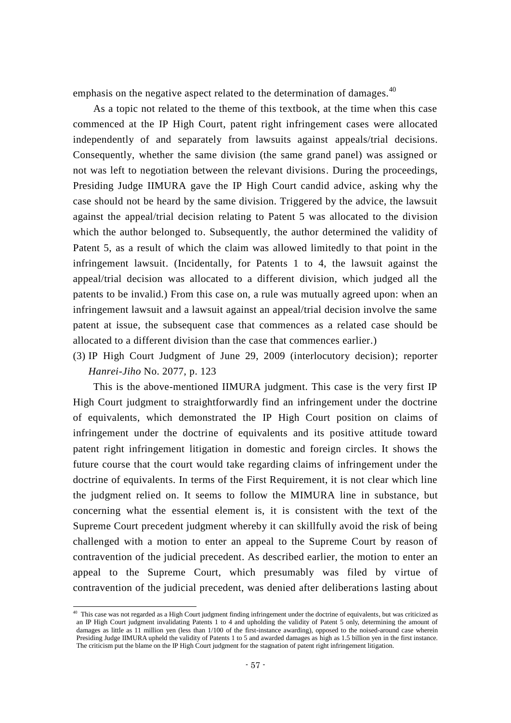emphasis on the negative aspect related to the determination of damages.<sup>40</sup>

As a topic not related to the theme of this textbook, at the time when this case commenced at the IP High Court, patent right infringement cases were allocated independently of and separately from lawsuits against appeals/trial decisions. Consequently, whether the same division (the same grand panel) was assigned or not was left to negotiation between the relevant divisions. During the proceedings, Presiding Judge IIMURA gave the IP High Court candid advice, asking why the case should not be heard by the same division. Triggered by the advice, the lawsuit against the appeal/trial decision relating to Patent 5 was allocated to the division which the author belonged to. Subsequently, the author determined the validity of Patent 5, as a result of which the claim was allowed limitedly to that point in the infringement lawsuit. (Incidentally, for Patents 1 to 4, the lawsuit against the appeal/trial decision was allocated to a different division, which judged all the patents to be invalid.) From this case on, a rule was mutually agreed upon: when an infringement lawsuit and a lawsuit against an appeal/trial decision involve the same patent at issue, the subsequent case that commences as a related case should be allocated to a different division than the case that commences earlier.)

(3) IP High Court Judgment of June 29, 2009 (interlocutory decision); reporter *Hanrei-Jiho* No. 2077, p. 123

This is the above-mentioned IIMURA judgment. This case is the very first IP High Court judgment to straightforwardly find an infringement under the doctrine of equivalents, which demonstrated the IP High Court position on claims of infringement under the doctrine of equivalents and its positive attitude toward patent right infringement litigation in domestic and foreign circles. It shows the future course that the court would take regarding claims of infringement under the doctrine of equivalents. In terms of the First Requirement, it is not clear which line the judgment relied on. It seems to follow the MIMURA line in substance, but concerning what the essential element is, it is consistent with the text of the Supreme Court precedent judgment whereby it can skillfully avoid the risk of being challenged with a motion to enter an appeal to the Supreme Court by reason of contravention of the judicial precedent. As described earlier, the motion to enter an appeal to the Supreme Court, which presumably was filed by virtue of contravention of the judicial precedent, was denied after deliberations lasting about

-

<sup>&</sup>lt;sup>40</sup> This case was not regarded as a High Court judgment finding infringement under the doctrine of equivalents, but was criticized as an IP High Court judgment invalidating Patents 1 to 4 and upholding the validity of Patent 5 only, determining the amount of damages as little as 11 million yen (less than 1/100 of the first-instance awarding), opposed to the noised-around case wherein Presiding Judge IIMURA upheld the validity of Patents 1 to 5 and awarded damages as high as 1.5 billion yen in the first instance. The criticism put the blame on the IP High Court judgment for the stagnation of patent right infringement litigation.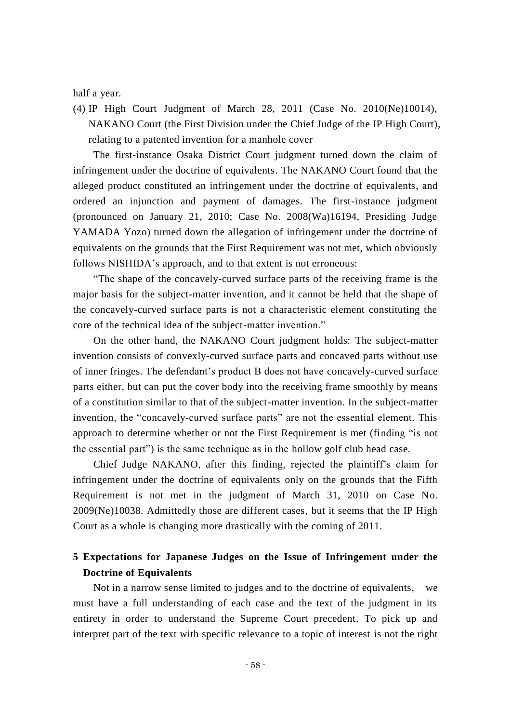half a year.

(4) IP High Court Judgment of March 28, 2011 (Case No. 2010(Ne)10014), NAKANO Court (the First Division under the Chief Judge of the IP High Court), relating to a patented invention for a manhole cover

The first-instance Osaka District Court judgment turned down the claim of infringement under the doctrine of equivalents. The NAKANO Court found that the alleged product constituted an infringement under the doctrine of equivalents, and ordered an injunction and payment of damages. The first-instance judgment (pronounced on January 21, 2010; Case No. 2008(Wa)16194, Presiding Judge YAMADA Yozo) turned down the allegation of infringement under the doctrine of equivalents on the grounds that the First Requirement was not met, which obviously follows NISHIDA's approach, and to that extent is not erroneous:

"The shape of the concavely-curved surface parts of the receiving frame is the major basis for the subject-matter invention, and it cannot be held that the shape of the concavely-curved surface parts is not a characteristic element constituting the core of the technical idea of the subject-matter invention."

On the other hand, the NAKANO Court judgment holds: The subject-matter invention consists of convexly-curved surface parts and concaved parts without use of inner fringes. The defendant's product B does not have concavely-curved surface parts either, but can put the cover body into the receiving frame smoothly by means of a constitution similar to that of the subject-matter invention. In the subject-matter invention, the "concavely-curved surface parts" are not the essential element. This approach to determine whether or not the First Requirement is met (finding "is not the essential part") is the same technique as in the hollow golf club head case.

Chief Judge NAKANO, after this finding, rejected the plaintiff's claim for infringement under the doctrine of equivalents only on the grounds that the Fifth Requirement is not met in the judgment of March 31, 2010 on Case No. 2009(Ne)10038. Admittedly those are different cases, but it seems that the IP High Court as a whole is changing more drastically with the coming of 2011.

## **5 Expectations for Japanese Judges on the Issue of Infringement under the Doctrine of Equivalents**

Not in a narrow sense limited to judges and to the doctrine of equivalents, we must have a full understanding of each case and the text of the judgment in its entirety in order to understand the Supreme Court precedent. To pick up and interpret part of the text with specific relevance to a topic of interest is not the right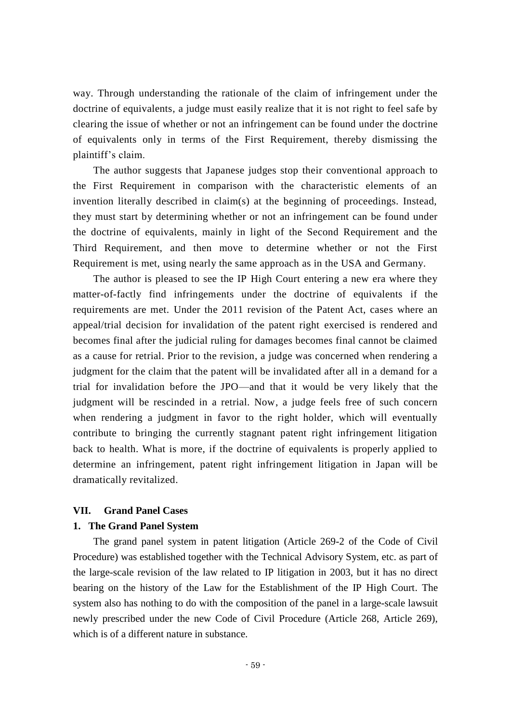way. Through understanding the rationale of the claim of infringement under the doctrine of equivalents, a judge must easily realize that it is not right to feel safe by clearing the issue of whether or not an infringement can be found under the doctrine of equivalents only in terms of the First Requirement, thereby dismissing the plaintiff's claim.

The author suggests that Japanese judges stop their conventional approach to the First Requirement in comparison with the characteristic elements of an invention literally described in claim(s) at the beginning of proceedings. Instead, they must start by determining whether or not an infringement can be found under the doctrine of equivalents, mainly in light of the Second Requirement and the Third Requirement, and then move to determine whether or not the First Requirement is met, using nearly the same approach as in the USA and Germany.

The author is pleased to see the IP High Court entering a new era where they matter-of-factly find infringements under the doctrine of equivalents if the requirements are met. Under the 2011 revision of the Patent Act, cases where an appeal/trial decision for invalidation of the patent right exercised is rendered and becomes final after the judicial ruling for damages becomes final cannot be claimed as a cause for retrial. Prior to the revision, a judge was concerned when rendering a judgment for the claim that the patent will be invalidated after all in a demand for a trial for invalidation before the JPO—and that it would be very likely that the judgment will be rescinded in a retrial. Now, a judge feels free of such concern when rendering a judgment in favor to the right holder, which will eventually contribute to bringing the currently stagnant patent right infringement litigation back to health. What is more, if the doctrine of equivalents is properly applied to determine an infringement, patent right infringement litigation in Japan will be dramatically revitalized.

#### **VII. Grand Panel Cases**

#### **1. The Grand Panel System**

The grand panel system in patent litigation (Article 269-2 of the Code of Civil Procedure) was established together with the Technical Advisory System, etc. as part of the large-scale revision of the law related to IP litigation in 2003, but it has no direct bearing on the history of the Law for the Establishment of the IP High Court. The system also has nothing to do with the composition of the panel in a large-scale lawsuit newly prescribed under the new Code of Civil Procedure (Article 268, Article 269), which is of a different nature in substance.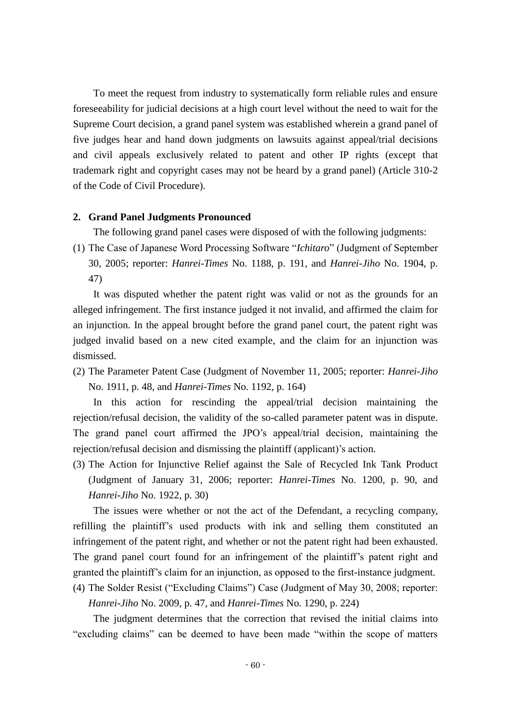To meet the request from industry to systematically form reliable rules and ensure foreseeability for judicial decisions at a high court level without the need to wait for the Supreme Court decision, a grand panel system was established wherein a grand panel of five judges hear and hand down judgments on lawsuits against appeal/trial decisions and civil appeals exclusively related to patent and other IP rights (except that trademark right and copyright cases may not be heard by a grand panel) (Article 310-2 of the Code of Civil Procedure).

#### **2. Grand Panel Judgments Pronounced**

The following grand panel cases were disposed of with the following judgments:

(1) The Case of Japanese Word Processing Software "*Ichitaro*" (Judgment of September 30, 2005; reporter: *Hanrei-Times* No. 1188, p. 191, and *Hanrei-Jiho* No. 1904, p. 47)

It was disputed whether the patent right was valid or not as the grounds for an alleged infringement. The first instance judged it not invalid, and affirmed the claim for an injunction. In the appeal brought before the grand panel court, the patent right was judged invalid based on a new cited example, and the claim for an injunction was dismissed.

(2) The Parameter Patent Case (Judgment of November 11, 2005; reporter: *Hanrei-Jiho* No. 1911, p. 48, and *Hanrei-Times* No. 1192, p. 164)

In this action for rescinding the appeal/trial decision maintaining the rejection/refusal decision, the validity of the so-called parameter patent was in dispute. The grand panel court affirmed the JPO's appeal/trial decision, maintaining the rejection/refusal decision and dismissing the plaintiff (applicant)'s action.

(3) The Action for Injunctive Relief against the Sale of Recycled Ink Tank Product (Judgment of January 31, 2006; reporter: *Hanrei-Times* No. 1200, p. 90, and *Hanrei-Jiho* No. 1922, p. 30)

The issues were whether or not the act of the Defendant, a recycling company, refilling the plaintiff's used products with ink and selling them constituted an infringement of the patent right, and whether or not the patent right had been exhausted. The grand panel court found for an infringement of the plaintiff's patent right and granted the plaintiff's claim for an injunction, as opposed to the first-instance judgment.

(4) The Solder Resist ("Excluding Claims") Case (Judgment of May 30, 2008; reporter: *Hanrei-Jiho* No. 2009, p. 47, and *Hanrei-Times* No. 1290, p. 224)

The judgment determines that the correction that revised the initial claims into "excluding claims" can be deemed to have been made "within the scope of matters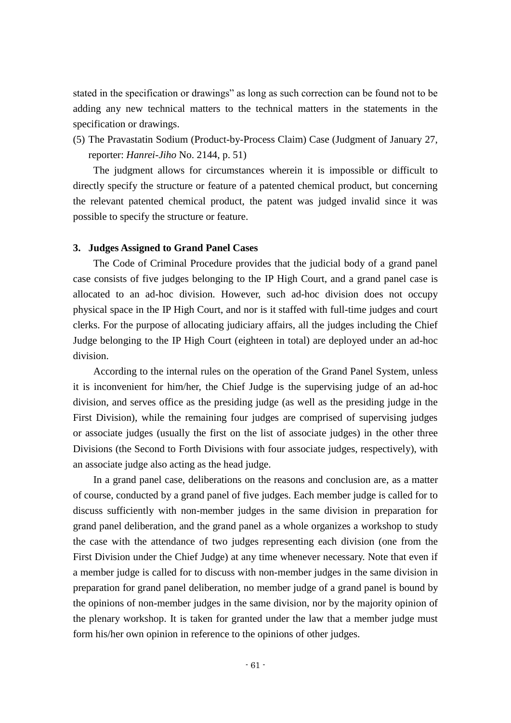stated in the specification or drawings" as long as such correction can be found not to be adding any new technical matters to the technical matters in the statements in the specification or drawings.

(5) The Pravastatin Sodium (Product-by-Process Claim) Case (Judgment of January 27, reporter: *Hanrei-Jiho* No. 2144, p. 51)

The judgment allows for circumstances wherein it is impossible or difficult to directly specify the structure or feature of a patented chemical product, but concerning the relevant patented chemical product, the patent was judged invalid since it was possible to specify the structure or feature.

#### **3. Judges Assigned to Grand Panel Cases**

The Code of Criminal Procedure provides that the judicial body of a grand panel case consists of five judges belonging to the IP High Court, and a grand panel case is allocated to an ad-hoc division. However, such ad-hoc division does not occupy physical space in the IP High Court, and nor is it staffed with full-time judges and court clerks. For the purpose of allocating judiciary affairs, all the judges including the Chief Judge belonging to the IP High Court (eighteen in total) are deployed under an ad-hoc division.

According to the internal rules on the operation of the Grand Panel System, unless it is inconvenient for him/her, the Chief Judge is the supervising judge of an ad-hoc division, and serves office as the presiding judge (as well as the presiding judge in the First Division), while the remaining four judges are comprised of supervising judges or associate judges (usually the first on the list of associate judges) in the other three Divisions (the Second to Forth Divisions with four associate judges, respectively), with an associate judge also acting as the head judge.

In a grand panel case, deliberations on the reasons and conclusion are, as a matter of course, conducted by a grand panel of five judges. Each member judge is called for to discuss sufficiently with non-member judges in the same division in preparation for grand panel deliberation, and the grand panel as a whole organizes a workshop to study the case with the attendance of two judges representing each division (one from the First Division under the Chief Judge) at any time whenever necessary. Note that even if a member judge is called for to discuss with non-member judges in the same division in preparation for grand panel deliberation, no member judge of a grand panel is bound by the opinions of non-member judges in the same division, nor by the majority opinion of the plenary workshop. It is taken for granted under the law that a member judge must form his/her own opinion in reference to the opinions of other judges.